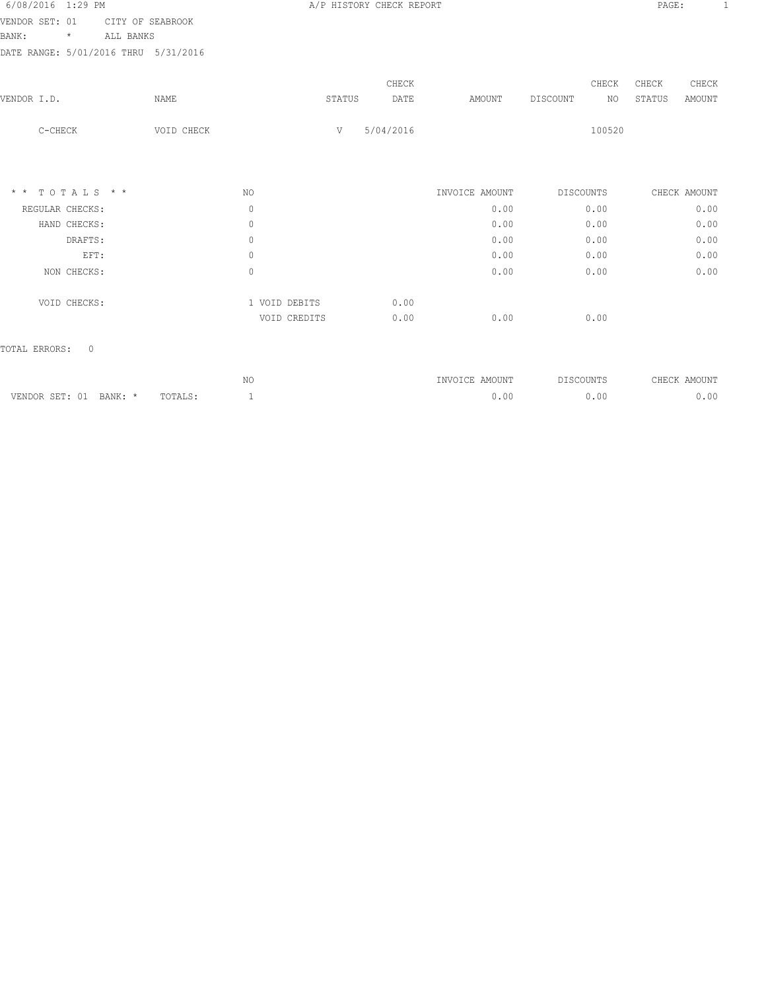|                                      |         |             |                               |                |                          | PAGE:    | -1                                    |
|--------------------------------------|---------|-------------|-------------------------------|----------------|--------------------------|----------|---------------------------------------|
| CITY OF SEABROOK                     |         |             |                               |                |                          |          |                                       |
| ALL BANKS                            |         |             |                               |                |                          |          |                                       |
| DATE RANGE: 5/01/2016 THRU 5/31/2016 |         |             |                               |                |                          |          |                                       |
|                                      |         |             | CHECK                         |                |                          | CHECK    | CHECK                                 |
| NAME                                 |         |             | DATE                          | AMOUNT         |                          | STATUS   | AMOUNT                                |
| VOID CHECK                           |         | $\mathbf V$ | 5/04/2016                     |                |                          |          |                                       |
|                                      |         |             |                               |                |                          |          |                                       |
|                                      | NO.     |             |                               | INVOICE AMOUNT | DISCOUNTS                |          |                                       |
|                                      | $\circ$ |             |                               | 0.00           | 0.00                     |          | 0.00                                  |
|                                      | $\circ$ |             |                               | 0.00           | 0.00                     |          | 0.00                                  |
|                                      | $\circ$ |             |                               | 0.00           | 0.00                     |          | 0.00                                  |
|                                      | 0       |             |                               | 0.00           | 0.00                     |          | 0.00                                  |
|                                      | $\circ$ |             |                               | 0.00           | 0.00                     |          | 0.00                                  |
|                                      |         |             | 0.00                          |                |                          |          |                                       |
|                                      |         |             | 0.00                          | 0.00           | 0.00                     |          |                                       |
|                                      |         |             |                               |                |                          |          |                                       |
|                                      |         |             | 1 VOID DEBITS<br>VOID CREDITS | STATUS         | A/P HISTORY CHECK REPORT | DISCOUNT | CHECK<br>NO<br>100520<br>CHECK AMOUNT |

|                           |         | ⊥∨ ∪ | <b>TNVOTCE</b><br>AMOUNT | DISCOUNTS | AMOUNT<br>アロロンド<br>تناشئات |
|---------------------------|---------|------|--------------------------|-----------|----------------------------|
| VENDOR SET: 01<br>BANK: * | TOTALS: |      |                          | O.OO      | 0.00                       |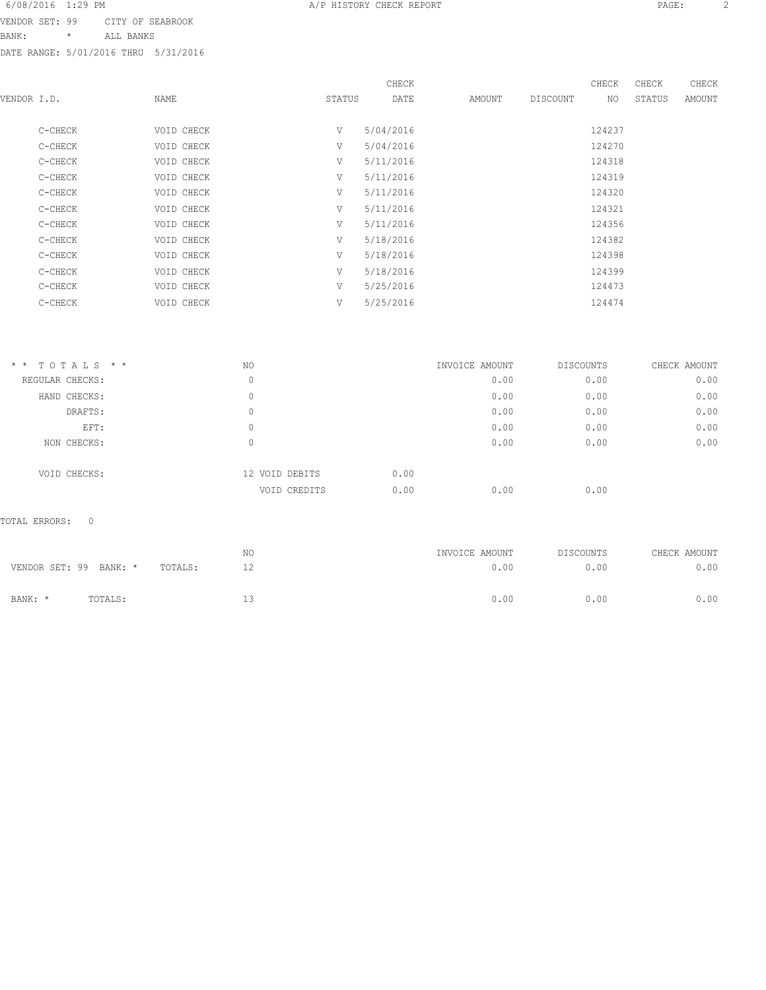BANK: \* ALL BANKS

DATE RANGE: 5/01/2016 THRU 5/31/2016

|             |         |            |        | CHECK     |        |          | CHECK  | CHECK  | CHECK  |
|-------------|---------|------------|--------|-----------|--------|----------|--------|--------|--------|
| VENDOR I.D. |         | NAME       | STATUS | DATE      | AMOUNT | DISCOUNT | NO     | STATUS | AMOUNT |
|             |         |            |        |           |        |          |        |        |        |
|             | C-CHECK | VOID CHECK | V      | 5/04/2016 |        |          | 124237 |        |        |
|             | C-CHECK | VOID CHECK | V      | 5/04/2016 |        |          | 124270 |        |        |
|             | C-CHECK | VOID CHECK | V      | 5/11/2016 |        |          | 124318 |        |        |
|             | C-CHECK | VOID CHECK | V      | 5/11/2016 |        |          | 124319 |        |        |
|             | C-CHECK | VOID CHECK | V      | 5/11/2016 |        |          | 124320 |        |        |
|             | C-CHECK | VOID CHECK | V      | 5/11/2016 |        |          | 124321 |        |        |
|             | C-CHECK | VOID CHECK | V      | 5/11/2016 |        |          | 124356 |        |        |
|             | C-CHECK | VOID CHECK | V      | 5/18/2016 |        |          | 124382 |        |        |
|             | C-CHECK | VOID CHECK | V      | 5/18/2016 |        |          | 124398 |        |        |
|             | C-CHECK | VOID CHECK | V      | 5/18/2016 |        |          | 124399 |        |        |
|             | C-CHECK | VOID CHECK | V      | 5/25/2016 |        |          | 124473 |        |        |
|             | C-CHECK | VOID CHECK | V      | 5/25/2016 |        |          | 124474 |        |        |
|             |         |            |        |           |        |          |        |        |        |

| $*$ * TOTALS * * | NO |                        | INVOICE AMOUNT | DISCOUNTS | CHECK AMOUNT |
|------------------|----|------------------------|----------------|-----------|--------------|
| REGULAR CHECKS:  | 0  |                        | 0.00           | 0.00      | 0.00         |
| HAND CHECKS:     | 0  |                        | 0.00           | 0.00      | 0.00         |
| DRAFTS:          | 0  |                        | 0.00           | 0.00      | 0.00         |
| EFT:             | 0  |                        | 0.00           | 0.00      | 0.00         |
| NON CHECKS:      | 0  |                        | 0.00           | 0.00      | 0.00         |
| VOID CHECKS:     |    | 0.00<br>12 VOID DEBITS |                |           |              |
|                  |    | 0.00<br>VOID CREDITS   | 0.00           | 0.00      |              |

#### TOTAL ERRORS: 0

| VENDOR SET: 99 BANK: * |         | TOTALS: | ΝO  | INVOICE AMOUNT<br>0.00 | DISCOUNTS<br>0.00 | CHECK AMOUNT<br>0.00 |
|------------------------|---------|---------|-----|------------------------|-------------------|----------------------|
| BANK: *                | TOTALS: |         | - - | 0.00                   | 0.00              | 0.00                 |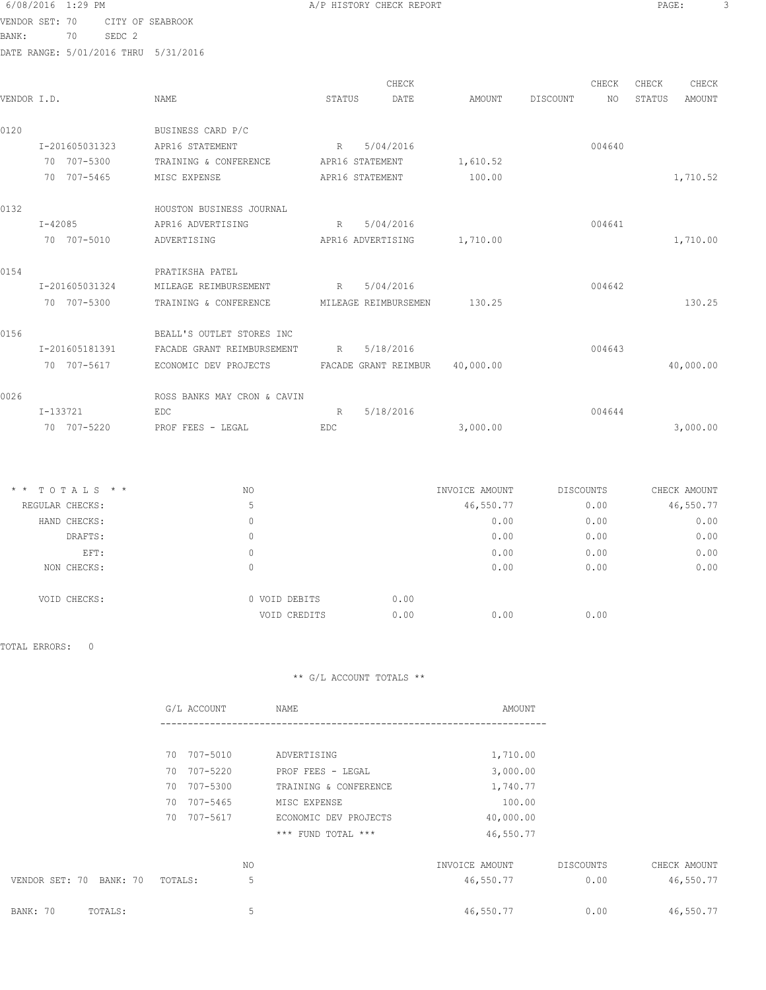6/08/2016 1:29 PM **A/P HISTORY CHECK REPORT PAGE:** 3 VENDOR SET: 70 CITY OF SEABROOK BANK: 70 SEDC 2 DATE RANGE: 5/01/2016 THRU 5/31/2016

|             |                |                                            |        | CHECK                |           |          | CHECK  | CHECK  | CHECK         |
|-------------|----------------|--------------------------------------------|--------|----------------------|-----------|----------|--------|--------|---------------|
| VENDOR I.D. |                | <b>NAME</b>                                | STATUS | DATE                 | AMOUNT    | DISCOUNT | NO     | STATUS | <b>AMOUNT</b> |
| 0120        |                | BUSINESS CARD P/C                          |        |                      |           |          |        |        |               |
|             | I-201605031323 | APR16 STATEMENT                            | R      | 5/04/2016            |           |          | 004640 |        |               |
|             | 70 707-5300    | TRAINING & CONFERENCE                      |        | APR16 STATEMENT      | 1,610.52  |          |        |        |               |
|             | 70 707-5465    | MISC EXPENSE                               |        | APR16 STATEMENT      | 100.00    |          |        |        | 1,710.52      |
| 0132        |                | HOUSTON BUSINESS JOURNAL                   |        |                      |           |          |        |        |               |
|             | $I - 42085$    | APR16 ADVERTISING                          | R      | 5/04/2016            |           |          | 004641 |        |               |
|             | 70 707-5010    | ADVERTISING                                |        | APR16 ADVERTISING    | 1,710.00  |          |        |        | 1,710.00      |
| 0154        |                | PRATIKSHA PATEL                            |        |                      |           |          |        |        |               |
|             | I-201605031324 | MILEAGE REIMBURSEMENT                      | R      | 5/04/2016            |           |          | 004642 |        |               |
|             | 70 707-5300    | TRAINING & CONFERENCE                      |        | MILEAGE REIMBURSEMEN | 130.25    |          |        |        | 130.25        |
| 0156        |                | BEALL'S OUTLET STORES INC                  |        |                      |           |          |        |        |               |
|             | I-201605181391 | FACADE GRANT REIMBURSEMENT                 | R      | 5/18/2016            |           |          | 004643 |        |               |
|             | 70 707-5617    | ECONOMIC DEV PROJECTS FACADE GRANT REIMBUR |        |                      | 40,000.00 |          |        |        | 40,000.00     |
| 0026        |                | ROSS BANKS MAY CRON & CAVIN                |        |                      |           |          |        |        |               |
|             | I-133721       | EDC                                        | R      | 5/18/2016            |           |          | 004644 |        |               |
|             | 70 707-5220    | PROF FEES - LEGAL                          | EDC    |                      | 3,000.00  |          |        |        | 3,000.00      |

| TOTALS * *<br>$\star$ $\star$ | NO            | INVOICE AMOUNT | DISCOUNTS | CHECK AMOUNT |
|-------------------------------|---------------|----------------|-----------|--------------|
| REGULAR CHECKS:               | 5             | 46,550.77      | 0.00      | 46,550.77    |
| HAND CHECKS:                  | 0             | 0.00           | 0.00      | 0.00         |
| DRAFTS:                       | 0             | 0.00           | 0.00      | 0.00         |
| EFT:                          | 0             | 0.00           | 0.00      | 0.00         |
| NON CHECKS:                   | 0             | 0.00           | 0.00      | 0.00         |
| VOID CHECKS:                  | 0 VOID DEBITS | 0.00           |           |              |
|                               | VOID CREDITS  | 0.00<br>0.00   | 0.00      |              |

TOTAL ERRORS: 0

|                         | G/L ACCOUNT | NAME                  | AMOUNT         |           |              |
|-------------------------|-------------|-----------------------|----------------|-----------|--------------|
|                         |             |                       |                |           |              |
|                         | 70 707-5010 | ADVERTISING           | 1,710.00       |           |              |
|                         | 70 707-5220 | PROF FEES - LEGAL     | 3,000.00       |           |              |
|                         | 70 707-5300 | TRAINING & CONFERENCE | 1,740.77       |           |              |
|                         | 70 707-5465 | MISC EXPENSE          | 100.00         |           |              |
|                         | 70 707-5617 | ECONOMIC DEV PROJECTS | 40,000.00      |           |              |
|                         |             | *** FUND TOTAL ***    | 46,550.77      |           |              |
|                         | NO.         |                       | INVOICE AMOUNT | DISCOUNTS | CHECK AMOUNT |
| VENDOR SET: 70 BANK: 70 | TOTALS:     | 5                     | 46,550.77      | 0.00      | 46,550.77    |
| BANK: 70<br>TOTALS:     |             | 5                     | 46,550.77      | 0.00      | 46,550.77    |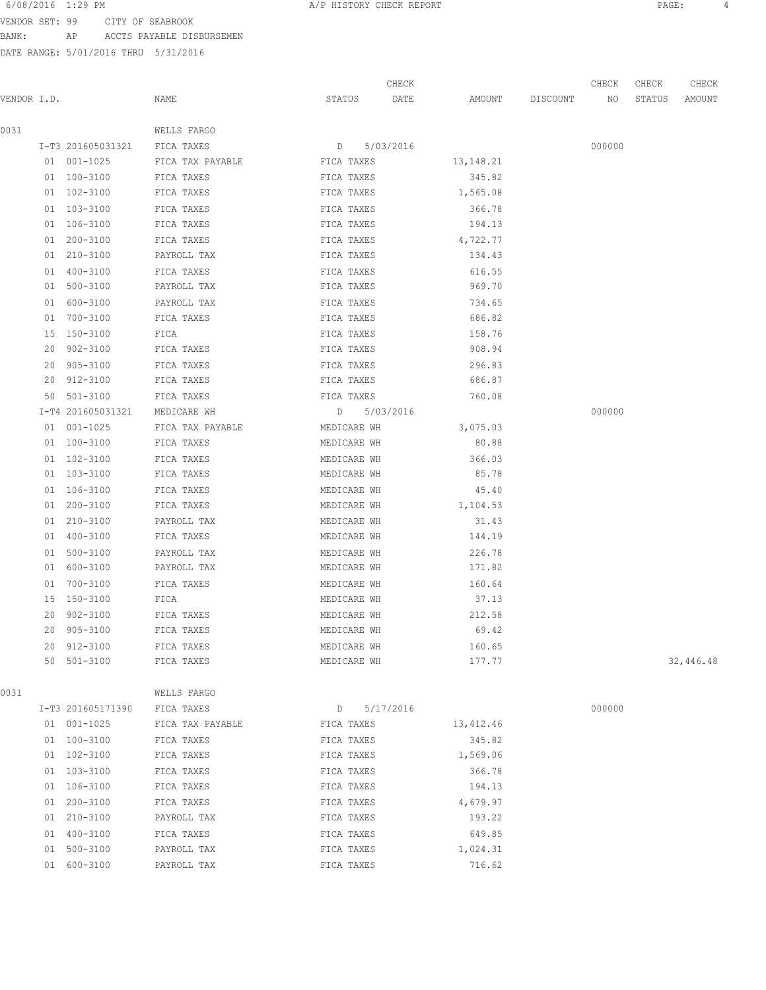VENDOR SET: 99 CITY OF SEABROOK

BANK: AP ACCTS PAYABLE DISBURSEMEN

| 6/08/2016 1:29 PM |                                 | A/P HISTORY CHECK REPORT |  |  | PAGE |  |
|-------------------|---------------------------------|--------------------------|--|--|------|--|
|                   | VENDOR SET: 99 CITY OF SEABROOK |                          |  |  |      |  |

| VENDOR I.D. |    |                   | NAME             | STATUS      | CHECK<br>DATE | AMOUNT      | DISCOUNT | CHECK<br>NO | CHECK<br>STATUS | CHECK<br>AMOUNT |
|-------------|----|-------------------|------------------|-------------|---------------|-------------|----------|-------------|-----------------|-----------------|
|             |    |                   |                  |             |               |             |          |             |                 |                 |
| 0031        |    |                   | WELLS FARGO      |             |               |             |          |             |                 |                 |
|             |    | I-T3 201605031321 | FICA TAXES       | D           | 5/03/2016     |             |          | 000000      |                 |                 |
|             |    | 01 001-1025       | FICA TAX PAYABLE | FICA TAXES  |               | 13, 148. 21 |          |             |                 |                 |
|             |    | 01 100-3100       | FICA TAXES       | FICA TAXES  |               | 345.82      |          |             |                 |                 |
|             |    | 01 102-3100       | FICA TAXES       | FICA TAXES  |               | 1,565.08    |          |             |                 |                 |
|             |    | 01 103-3100       | FICA TAXES       | FICA TAXES  |               | 366.78      |          |             |                 |                 |
|             |    | 01 106-3100       | FICA TAXES       | FICA TAXES  |               | 194.13      |          |             |                 |                 |
|             |    | 01 200-3100       | FICA TAXES       | FICA TAXES  |               | 4,722.77    |          |             |                 |                 |
|             |    | 01 210-3100       | PAYROLL TAX      | FICA TAXES  |               | 134.43      |          |             |                 |                 |
|             | 01 | 400-3100          | FICA TAXES       | FICA TAXES  |               | 616.55      |          |             |                 |                 |
|             | 01 | 500-3100          | PAYROLL TAX      | FICA TAXES  |               | 969.70      |          |             |                 |                 |
|             | 01 | 600-3100          | PAYROLL TAX      | FICA TAXES  |               | 734.65      |          |             |                 |                 |
|             | 01 | 700-3100          | FICA TAXES       | FICA TAXES  |               | 686.82      |          |             |                 |                 |
|             |    | 15 150-3100       | FICA             | FICA TAXES  |               | 158.76      |          |             |                 |                 |
|             | 20 | $902 - 3100$      | FICA TAXES       | FICA TAXES  |               | 908.94      |          |             |                 |                 |
|             | 20 | 905-3100          | FICA TAXES       | FICA TAXES  |               | 296.83      |          |             |                 |                 |
|             | 20 | 912-3100          | FICA TAXES       | FICA TAXES  |               | 686.87      |          |             |                 |                 |
|             | 50 | 501-3100          | FICA TAXES       | FICA TAXES  |               | 760.08      |          |             |                 |                 |
|             |    | I-T4 201605031321 | MEDICARE WH      |             | D 5/03/2016   |             |          | 000000      |                 |                 |
|             |    | 01 001-1025       | FICA TAX PAYABLE | MEDICARE WH |               | 3,075.03    |          |             |                 |                 |
|             |    | 01 100-3100       | FICA TAXES       | MEDICARE WH |               | 80.88       |          |             |                 |                 |
|             |    | 01 102-3100       | FICA TAXES       | MEDICARE WH |               | 366.03      |          |             |                 |                 |
|             |    | 01 103-3100       | FICA TAXES       | MEDICARE WH |               | 85.78       |          |             |                 |                 |
|             |    | 01 106-3100       | FICA TAXES       | MEDICARE WH |               | 45.40       |          |             |                 |                 |
|             | 01 | 200-3100          | FICA TAXES       | MEDICARE WH |               | 1,104.53    |          |             |                 |                 |
|             |    | 01 210-3100       | PAYROLL TAX      | MEDICARE WH |               | 31.43       |          |             |                 |                 |
|             |    | 01 400-3100       | FICA TAXES       | MEDICARE WH |               | 144.19      |          |             |                 |                 |
|             |    | 01 500-3100       | PAYROLL TAX      | MEDICARE WH |               | 226.78      |          |             |                 |                 |
|             |    | 01 600-3100       | PAYROLL TAX      | MEDICARE WH |               | 171.82      |          |             |                 |                 |
|             |    | 01 700-3100       | FICA TAXES       | MEDICARE WH |               | 160.64      |          |             |                 |                 |
|             | 15 | 150-3100          | FICA             | MEDICARE WH |               | 37.13       |          |             |                 |                 |
|             |    | 20 902-3100       | FICA TAXES       | MEDICARE WH |               | 212.58      |          |             |                 |                 |
|             | 20 | 905-3100          | FICA TAXES       | MEDICARE WH |               | 69.42       |          |             |                 |                 |
|             | 20 | 912-3100          | FICA TAXES       | MEDICARE WH |               | 160.65      |          |             |                 | 32,446.48       |
|             |    | 50 501-3100       | FICA TAXES       | MEDICARE WH |               | 177.77      |          |             |                 |                 |
| 0031        |    |                   | WELLS FARGO      |             |               |             |          |             |                 |                 |
|             |    | I-T3 201605171390 | FICA TAXES       | D           | 5/17/2016     |             |          | 000000      |                 |                 |
|             |    | 01 001-1025       | FICA TAX PAYABLE | FICA TAXES  |               | 13,412.46   |          |             |                 |                 |
|             |    | 01 100-3100       | FICA TAXES       | FICA TAXES  |               | 345.82      |          |             |                 |                 |
|             |    | 01 102-3100       | FICA TAXES       | FICA TAXES  |               | 1,569.06    |          |             |                 |                 |
|             |    | 01 103-3100       | FICA TAXES       | FICA TAXES  |               | 366.78      |          |             |                 |                 |
|             |    | 01 106-3100       | FICA TAXES       | FICA TAXES  |               | 194.13      |          |             |                 |                 |
|             |    | 01 200-3100       | FICA TAXES       | FICA TAXES  |               | 4,679.97    |          |             |                 |                 |
|             |    | 01 210-3100       | PAYROLL TAX      | FICA TAXES  |               | 193.22      |          |             |                 |                 |
|             |    | 01 400-3100       | FICA TAXES       | FICA TAXES  |               | 649.85      |          |             |                 |                 |
|             |    | 01 500-3100       | PAYROLL TAX      | FICA TAXES  |               | 1,024.31    |          |             |                 |                 |
|             |    | 01 600-3100       | PAYROLL TAX      | FICA TAXES  |               | 716.62      |          |             |                 |                 |
|             |    |                   |                  |             |               |             |          |             |                 |                 |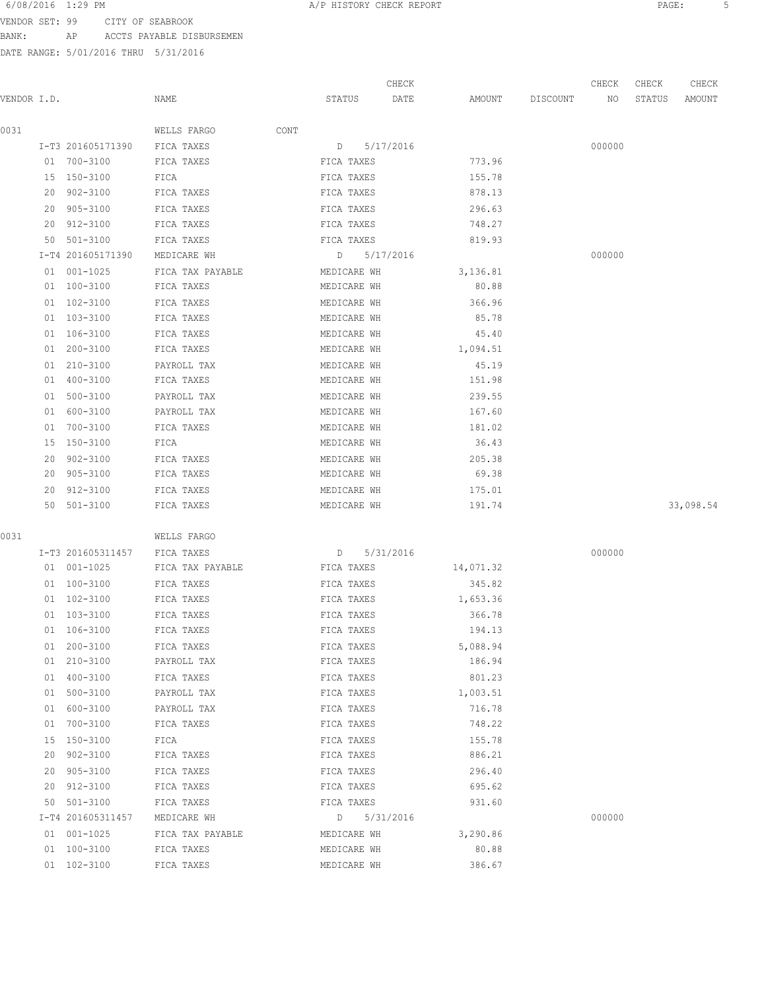VENDOR SET: 99 CITY OF SEABROOK BANK: AP ACCTS PAYABLE DISBURSEMEN

DATE RANGE: 5/01/2016 THRU 5/31/2016

 CHECK CHECK CHECK CHECK VENDOR I.D. NAME STATUS DATE AMOUNT DISCOUNT NO STATUS AMOUNT 0031 WELLS FARGO CONT I-T3 201605171390 FICA TAXES D 5/17/2016 000000 01 700-3100 FICA TAXES FICA TAXES FICA TAXES 773.96 15 150-3100 FICA FICA TAXES 155.78 20 902-3100 FICA TAXES FICA TAXES 878.13 20 905-3100 FICA TAXES FICA TAXES 296.63 20 912-3100 FICA TAXES FICA TAXES 748.27 50 501-3100 FICA TAXES FICA TAXES 819.93 I-T4 201605171390 MEDICARE WH D 5/17/2016 000000 01 001-1025 FICA TAX PAYABLE **MEDICARE WH** 3,136.81 01 100-3100 FICA TAXES MEDICARE WH 80.88 01 102-3100 FICA TAXES MEDICARE WH 366.96 01 103-3100 FICA TAXES MEDICARE WH 85.78 01 106-3100 FICA TAXES MEDICARE WH 45.40 01 200-3100 FICA TAXES MEDICARE WH 1,094.51 01 210-3100 PAYROLL TAX MEDICARE WH 45.19 01 400-3100 FICA TAXES MEDICARE WH 151.98 01 500-3100 PAYROLL TAX MEDICARE WH 239.55 01 600-3100 PAYROLL TAX MEDICARE WH 167.60 01 700-3100 FICA TAXES MEDICARE WH 181.02 15 150-3100 FICA MEDICARE WH 36.43 20 902-3100 FICA TAXES MEDICARE WH 205.38 20 905-3100 FICA TAXES MEDICARE WH 69.38 20 912-3100 FICA TAXES MEDICARE WH 175.01 50 501-3100 FICA TAXES MEDICARE WH 191.74 33,098.54 0031 WELLS FARGO I-T3 201605311457 FICA TAXES D 5/31/2016 000000 01 001-1025 FICA TAX PAYABLE FICA TAXES 14,071.32 01 100-3100 FICA TAXES FICA TAXES FICA TAXES 345.82 01 102-3100 FICA TAXES FICA TAXES FICA TAXES 1,653.36 01 103-3100 FICA TAXES FICA TAXES 366.78 01 106-3100 FICA TAXES FICA TAXES FICA TAXES 194.13 01 200-3100 FICA TAXES FICA TAXES 5,088.94 01 210-3100 PAYROLL TAX FICA TAXES 186.94 01 400-3100 FICA TAXES FICA TAXES 801.23 01 500-3100 PAYROLL TAX FICA TAXES 1,003.51 01 600-3100 PAYROLL TAX FICA TAXES 716.78 01 700-3100 FICA TAXES FICA TAXES FICA TAXES 748.22 15 150-3100 FICA FICA TAXES 155.78 20 902-3100 FICA TAXES FICA TAXES 886.21 20 905-3100 FICA TAXES FICA TAXES 296.40 20 912-3100 FICA TAXES FICA TAXES 695.62 50 501-3100 FICA TAXES FICA TAXES 931.60 I-T4 201605311457 MEDICARE WH D 5/31/2016 000000 01 001-1025 FICA TAX PAYABLE MEDICARE WH 3,290.86 01 100-3100 FICA TAXES MEDICARE WH 80.88 01 102-3100 FICA TAXES MEDICARE WH 386.67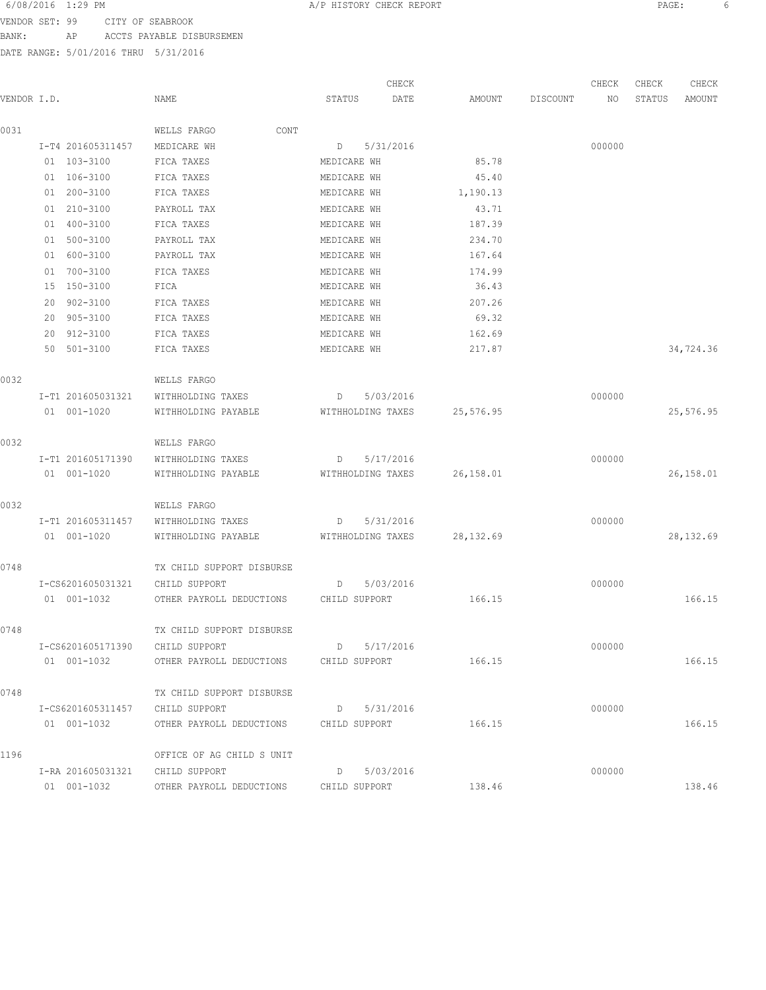VENDOR SET: 99 CITY OF SEABROOK

BANK: AP ACCTS PAYABLE DISBURSEMEN

DATE RANGE: 5/01/2016 THRU 5/31/2016

CHECK CHECK CHECK CHECK VENDOR I.D. NAME STATUS DATE AMOUNT DISCOUNT NO STATUS AMOUNT 0031 WELLS FARGO CONT I-T4 201605311457 MEDICARE WH D 5/31/2016 000000 01 103-3100 FICA TAXES MEDICARE WH 85.78 01 106-3100 FICA TAXES MEDICARE WH 45.40 01 200-3100 FICA TAXES MEDICARE WH 1,190.13 01 210-3100 PAYROLL TAX MEDICARE WH 43.71 01 400-3100 FICA TAXES MEDICARE WH 187.39 01 500-3100 PAYROLL TAX MEDICARE WH 234.70 01 600-3100 PAYROLL TAX MEDICARE WH 167.64 01 700-3100 FICA TAXES MEDICARE WH 174.99 15 150-3100 FICA MEDICARE WH 36.43 20 902-3100 FICA TAXES MEDICARE WH 207.26 20 905-3100 FICA TAXES MEDICARE WH 69.32 20 912-3100 FICA TAXES MEDICARE WH 162.69 50 501-3100 FICA TAXES MEDICARE WH 217.87 217.87 34,724.36 0032 WELLS FARGO I-T1 201605031321 WITHHOLDING TAXES D 5/03/2016 000000 01 001-1020 WITHHOLDING PAYABLE WITHHOLDING TAXES 25,576.95 25,076.95 0032 WELLS FARGO I-T1 201605171390 WITHHOLDING TAXES D 5/17/2016 000000 01 001-1020 WITHHOLDING PAYABLE WITHHOLDING TAXES 26,158.01 26,158.01 0032 WELLS FARGO I-T1 201605311457 WITHHOLDING TAXES D 5/31/2016 000000 01 001-1020 WITHHOLDING PAYABLE WITHHOLDING TAXES 28,132.69 28,132.69 0748 TX CHILD SUPPORT DISBURSE I-CS6201605031321 CHILD SUPPORT D 5/03/2016 000000 01 001-1032 OTHER PAYROLL DEDUCTIONS CHILD SUPPORT 166.15 166.15 0748 TX CHILD SUPPORT DISBURSE I-CS6201605171390 CHILD SUPPORT D 5/17/2016 000000 01 001-1032 OTHER PAYROLL DEDUCTIONS CHILD SUPPORT 166.15 166.15 166.15 0748 TX CHILD SUPPORT DISBURSE I-CS6201605311457 CHILD SUPPORT D 5/31/2016 000000 01 001-1032 OTHER PAYROLL DEDUCTIONS CHILD SUPPORT 166.15 166.15 166.15 1196 OFFICE OF AG CHILD S UNIT I-RA 201605031321 CHILD SUPPORT D 5/03/2016 000000 01 001-1032 OTHER PAYROLL DEDUCTIONS CHILD SUPPORT 138.46 138.46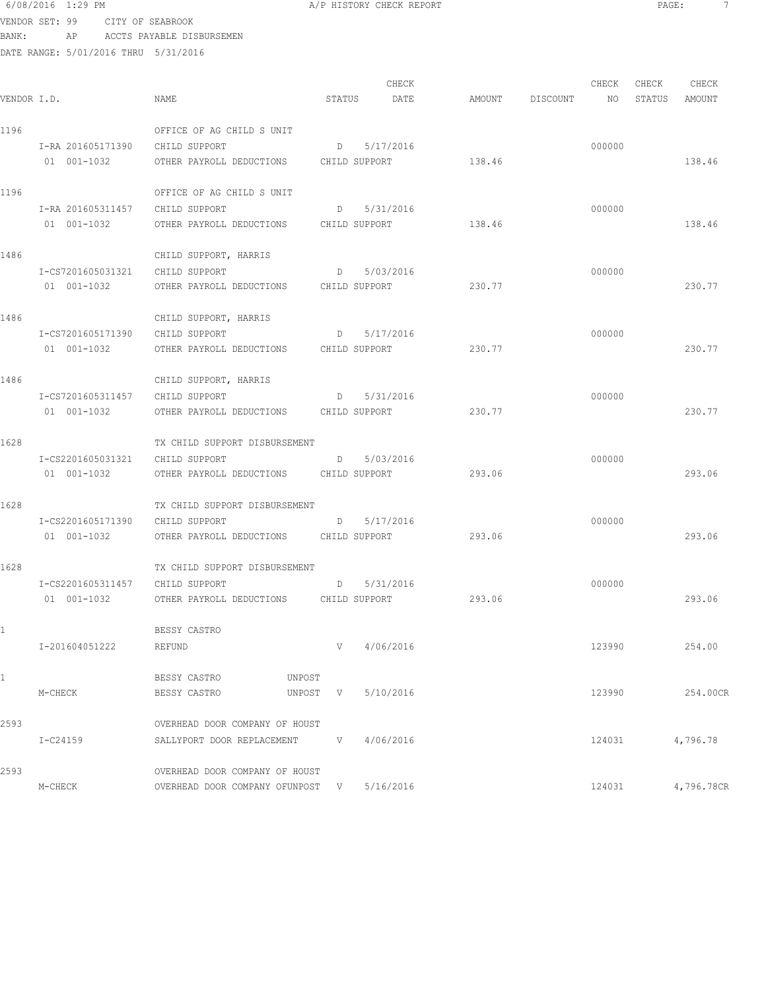## 6/08/2016 1:29 PM A/P HISTORY CHECK REPORT PAGE: 7 VENDOR SET: 99 CITY OF SEABROOK

BANK: AP ACCTS PAYABLE DISBURSEMEN

| VENDOR I.D. |                                 | NAME                                   | STATUS | CHECK<br>DATE   |        | AMOUNT DISCOUNT | CHECK<br>NO | CHECK<br>STATUS | CHECK<br>AMOUNT |
|-------------|---------------------------------|----------------------------------------|--------|-----------------|--------|-----------------|-------------|-----------------|-----------------|
| 1196        |                                 | OFFICE OF AG CHILD S UNIT              |        |                 |        |                 |             |                 |                 |
|             | I-RA 201605171390 CHILD SUPPORT |                                        |        | D 5/17/2016     |        |                 | 000000      |                 |                 |
|             | 01  001-1032                    | OTHER PAYROLL DEDUCTIONS CHILD SUPPORT |        |                 | 138.46 |                 |             |                 | 138.46          |
| 1196        |                                 | OFFICE OF AG CHILD S UNIT              |        |                 |        |                 |             |                 |                 |
|             | I-RA 201605311457 CHILD SUPPORT |                                        |        | D 5/31/2016     |        |                 | 000000      |                 |                 |
|             | 01 001-1032                     | OTHER PAYROLL DEDUCTIONS CHILD SUPPORT |        |                 | 138.46 |                 |             |                 | 138.46          |
| 1486        |                                 | CHILD SUPPORT, HARRIS                  |        |                 |        |                 |             |                 |                 |
|             | I-CS7201605031321               | CHILD SUPPORT                          |        | $D = 5/03/2016$ |        |                 | 000000      |                 |                 |
|             | 01 001-1032                     | OTHER PAYROLL DEDUCTIONS CHILD SUPPORT |        |                 | 230.77 |                 |             |                 | 230.77          |
| 1486        |                                 | CHILD SUPPORT, HARRIS                  |        |                 |        |                 |             |                 |                 |
|             | I-CS7201605171390               | CHILD SUPPORT                          |        | $D = 5/17/2016$ |        |                 | 000000      |                 |                 |
|             | 01 001-1032                     | OTHER PAYROLL DEDUCTIONS CHILD SUPPORT |        |                 | 230.77 |                 |             |                 | 230.77          |
| 1486        |                                 | CHILD SUPPORT, HARRIS                  |        |                 |        |                 |             |                 |                 |
|             | I-CS7201605311457               | CHILD SUPPORT                          |        | D 5/31/2016     |        |                 | 000000      |                 |                 |
|             | 01 001-1032                     | OTHER PAYROLL DEDUCTIONS CHILD SUPPORT |        |                 | 230.77 |                 |             |                 | 230.77          |
| 1628        |                                 | TX CHILD SUPPORT DISBURSEMENT          |        |                 |        |                 |             |                 |                 |
|             | I-CS2201605031321 CHILD SUPPORT |                                        |        | $D = 5/03/2016$ |        |                 | 000000      |                 |                 |
|             | 01  001-1032                    | OTHER PAYROLL DEDUCTIONS CHILD SUPPORT |        |                 | 293.06 |                 |             |                 | 293.06          |
| 1628        |                                 | TX CHILD SUPPORT DISBURSEMENT          |        |                 |        |                 |             |                 |                 |
|             | I-CS2201605171390               | CHILD SUPPORT                          |        | $D = 5/17/2016$ |        |                 | 000000      |                 |                 |
|             | 01 001-1032                     | OTHER PAYROLL DEDUCTIONS CHILD SUPPORT |        |                 | 293.06 |                 |             |                 | 293.06          |
| 1628        |                                 | TX CHILD SUPPORT DISBURSEMENT          |        |                 |        |                 |             |                 |                 |
|             | I-CS2201605311457 CHILD SUPPORT |                                        |        | D 5/31/2016     |        |                 | 000000      |                 |                 |
|             | 01 001-1032                     | OTHER PAYROLL DEDUCTIONS CHILD SUPPORT |        |                 | 293.06 |                 |             |                 | 293.06          |
|             |                                 | BESSY CASTRO                           |        |                 |        |                 |             |                 |                 |
|             | I-201604051222                  | REFUND                                 | V      | 4/06/2016       |        |                 | 123990      |                 | 254.00          |
| 1           |                                 | BESSY CASTRO<br>UNPOST                 |        |                 |        |                 |             |                 |                 |
|             | M-CHECK                         | BESSY CASTRO<br>UNPOST                 | V      | 5/10/2016       |        |                 | 123990      |                 | 254.00CR        |
| 2593        |                                 | OVERHEAD DOOR COMPANY OF HOUST         |        |                 |        |                 |             |                 |                 |
|             | $I-C24159$                      | SALLYPORT DOOR REPLACEMENT             |        | $V = 4/06/2016$ |        |                 | 124031      |                 | 4,796.78        |
| 2593        |                                 | OVERHEAD DOOR COMPANY OF HOUST         |        |                 |        |                 |             |                 |                 |
|             | M-CHECK                         | OVERHEAD DOOR COMPANY OFUNPOST V       |        | 5/16/2016       |        |                 | 124031      |                 | 4,796.78CR      |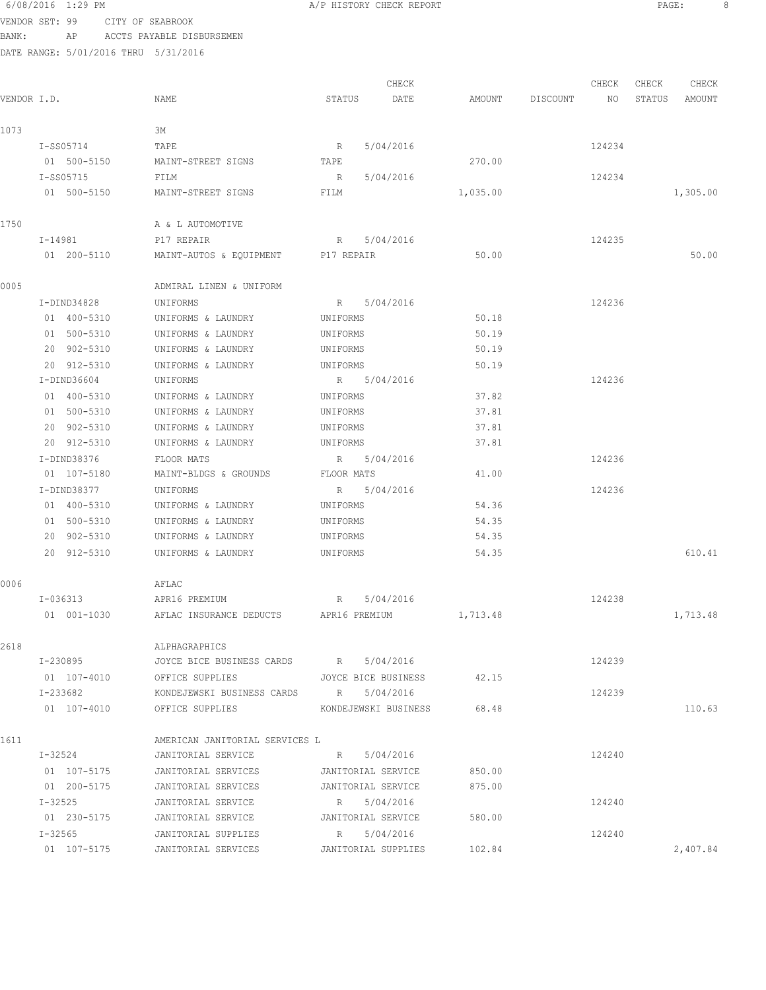#### 6/08/2016 1:29 PM A/P HISTORY CHECK REPORT PAGE: 8 VENDOR SET: 99 CITY OF SEABROOK

BANK: AP ACCTS PAYABLE DISBURSEMEN

DATE RANGE: 5/01/2016 THRU 5/31/2016

CHECK CHECK CHECK CHECK .<br>In the other weapon of the Search Status Date and a the Discount and Status amount Amount Amount and the Statu 1073 3M I-SS05714 TAPE R 5/04/2016 R 5/04/2016 124234 01 500-5150 MAINT-STREET SIGNS TAPE 270.00 I-SS05715 FILM R 5/04/2016 124234 01 500-5150 MAINT-STREET SIGNS FILM 1,035.00 1,035.00 1,305.00 1750 A & L AUTOMOTIVE I-14981 P17 REPAIR R 5/04/2016 R 5/04/2016 124235 01 200-5110 MAINT-AUTOS & EQUIPMENT P17 REPAIR 50.00 50.00 0005 ADMIRAL LINEN & UNIFORM I-DIND34828 UNIFORMS R 5/04/2016 124236 01 400-5310 UNIFORMS & LAUNDRY UNIFORMS 50.18 01 500-5310 UNIFORMS & LAUNDRY UNIFORMS 50.19 20 902-5310 UNIFORMS & LAUNDRY UNIFORMS 50.19 20 912-5310 UNIFORMS & LAUNDRY UNIFORMS 50.19 I-DIND36604 UNIFORMS R 5/04/2016<br>124236 01 400-5310 UNIFORMS & LAUNDRY UNIFORMS 37.82 01 400-5310 UNIFORMS & LAUNDRY UNIFORMS 01 500-5310 UNIFORMS & LAUNDRY UNIFORMS 37.81 20 902-5310 UNIFORMS & LAUNDRY UNIFORMS 37.81 20 912-5310 UNIFORMS & LAUNDRY UNIFORMS 37.81 I-DIND38376 FLOOR MATS R 5/04/2016 124236 01 107-5180 MAINT-BLDGS & GROUNDS FLOOR MATS 41.00 I-DIND38377 UNIFORMS R 5/04/2016 124236 01 400-5310 UNIFORMS & LAUNDRY UNIFORMS 54.36 01 500-5310 UNIFORMS & LAUNDRY UNIFORMS 54.35 20 902-5310 UNIFORMS & LAUNDRY UNIFORMS 54.35 20 912-5310 UNIFORMS & LAUNDRY UNIFORMS 54.35 610.41 0006 AFLAC I-036313 APR16 PREMIUM R 5/04/2016 124238 01 001-1030 AFLAC INSURANCE DEDUCTS APR16 PREMIUM 1,713.48 1,713.48 2618 ALPHAGRAPHICS I-230895 JOYCE BICE BUSINESS CARDS R 5/04/2016 124239 01 107-4010 OFFICE SUPPLIES JOYCE BICE BUSINESS 42.15 I-233682 KONDEJEWSKI BUSINESS CARDS R 5/04/2016 124239 01 107-4010 OFFICE SUPPLIES KONDEJEWSKI BUSINESS 68.48 1611 AMERICAN JANITORIAL SERVICES L I-32524 JANITORIAL SERVICE R 5/04/2016 124240 01 107-5175 JANITORIAL SERVICES JANITORIAL SERVICE 850.00 01 200-5175 JANITORIAL SERVICES JANITORIAL SERVICE 875.00 I-32525 JANITORIAL SERVICE R 5/04/2016 124240 01 230-5175 JANITORIAL SERVICE JANITORIAL SERVICE 580.00 I-32565 JANITORIAL SUPPLIES R 5/04/2016 124240 01 107-5175 JANITORIAL SERVICES JANITORIAL SUPPLIES 102.84 2,407.84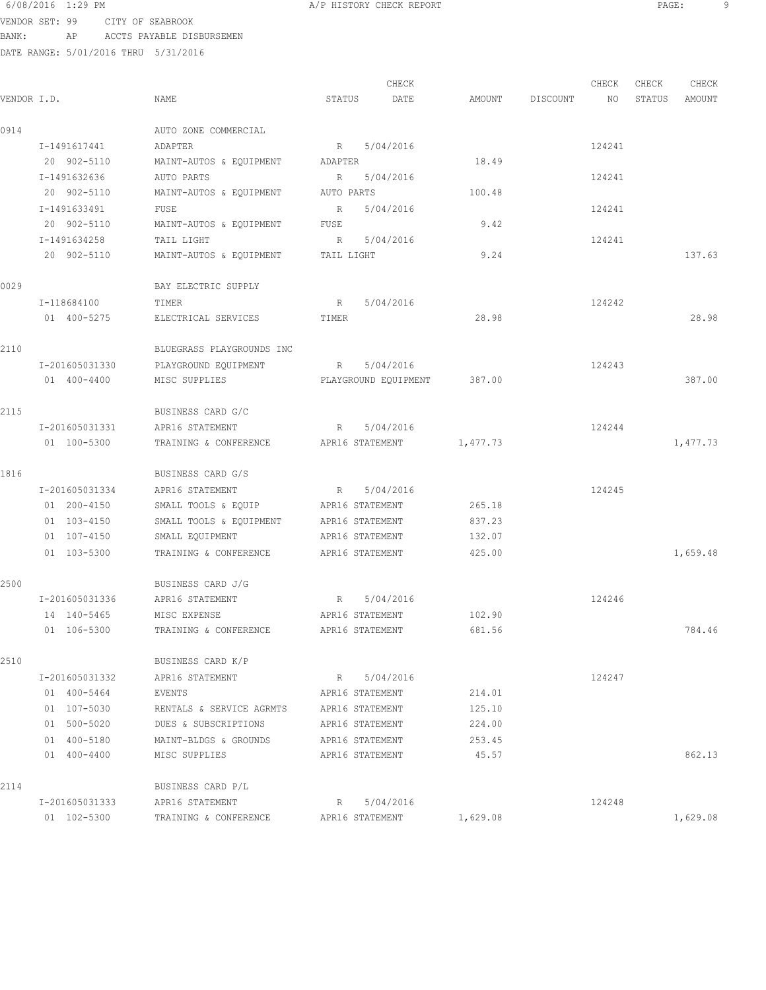VENDOR SET: 99 CITY OF SEABROOK BANK: AP ACCTS PAYABLE DISBURSEMEN

|             |                |                                          | CHECK                    |          |                    | CHECK  | CHECK  | CHECK    |
|-------------|----------------|------------------------------------------|--------------------------|----------|--------------------|--------|--------|----------|
| VENDOR I.D. |                | NAME                                     | STATUS<br>DATE           |          | AMOUNT DISCOUNT NO |        | STATUS | AMOUNT   |
| 0914        |                | AUTO ZONE COMMERCIAL                     |                          |          |                    |        |        |          |
|             | I-1491617441   | ADAPTER                                  | R 5/04/2016              |          |                    | 124241 |        |          |
|             | 20 902-5110    | MAINT-AUTOS & EQUIPMENT ADAPTER          |                          | 18.49    |                    |        |        |          |
|             | I-1491632636   | AUTO PARTS                               | R 5/04/2016              |          |                    | 124241 |        |          |
|             | 20 902-5110    | MAINT-AUTOS & EQUIPMENT AUTO PARTS       |                          | 100.48   |                    |        |        |          |
|             | I-1491633491   | FUSE                                     | R<br>5/04/2016           |          |                    | 124241 |        |          |
|             | 20 902-5110    | MAINT-AUTOS & EQUIPMENT                  | FUSE                     | 9.42     |                    |        |        |          |
|             | I-1491634258   | TAIL LIGHT                               | R 5/04/2016              |          |                    | 124241 |        |          |
|             | 20 902-5110    | MAINT-AUTOS & EQUIPMENT TAIL LIGHT       |                          | 9.24     |                    |        |        | 137.63   |
| 0029        |                | BAY ELECTRIC SUPPLY                      |                          |          |                    |        |        |          |
|             | I-118684100    | TIMER                                    | R 5/04/2016              |          |                    | 124242 |        |          |
|             | 01 400-5275    | ELECTRICAL SERVICES                      | TIMER                    | 28.98    |                    |        |        | 28.98    |
| 2110        |                | BLUEGRASS PLAYGROUNDS INC                |                          |          |                    |        |        |          |
|             | I-201605031330 | PLAYGROUND EQUIPMENT                     | 5/04/2016<br>R           |          |                    | 124243 |        |          |
|             | 01 400-4400    | MISC SUPPLIES                            | PLAYGROUND EOUIPMENT     | 387.00   |                    |        |        | 387.00   |
| 2115        |                | BUSINESS CARD G/C                        |                          |          |                    |        |        |          |
|             | I-201605031331 | APR16 STATEMENT                          | R 5/04/2016              |          |                    | 124244 |        |          |
|             | 01 100-5300    | TRAINING & CONFERENCE                    | APR16 STATEMENT          | 1,477.73 |                    |        |        | 1,477.73 |
| 1816        |                | BUSINESS CARD G/S                        |                          |          |                    |        |        |          |
|             | I-201605031334 | APR16 STATEMENT                          | 5/04/2016<br>$R_{\rm c}$ |          |                    | 124245 |        |          |
|             | 01 200-4150    | SMALL TOOLS & EQUIP APR16 STATEMENT      |                          | 265.18   |                    |        |        |          |
|             | 01 103-4150    | SMALL TOOLS & EQUIPMENT APR16 STATEMENT  |                          | 837.23   |                    |        |        |          |
|             | 01 107-4150    | SMALL EQUIPMENT                          | APR16 STATEMENT          | 132.07   |                    |        |        |          |
|             | 01 103-5300    | TRAINING & CONFERENCE                    | APR16 STATEMENT          | 425.00   |                    |        |        | 1,659.48 |
| 2500        |                | BUSINESS CARD J/G                        |                          |          |                    |        |        |          |
|             | I-201605031336 | APR16 STATEMENT                          | R 5/04/2016              |          |                    | 124246 |        |          |
|             | 14 140-5465    | MISC EXPENSE                             | APR16 STATEMENT          | 102.90   |                    |        |        |          |
|             | 01 106-5300    | TRAINING & CONFERENCE                    | APR16 STATEMENT          | 681.56   |                    |        |        | 784.46   |
| 2510        |                | BUSINESS CARD K/P                        |                          |          |                    |        |        |          |
|             |                | I-201605031332 APR16 STATEMENT           | R 5/04/2016              |          |                    | 124247 |        |          |
|             | 01 400-5464    | EVENTS                                   | APR16 STATEMENT          | 214.01   |                    |        |        |          |
|             | 01 107-5030    | RENTALS & SERVICE AGRMTS APR16 STATEMENT |                          | 125.10   |                    |        |        |          |
|             | 01 500-5020    | DUES & SUBSCRIPTIONS APR16 STATEMENT     |                          | 224.00   |                    |        |        |          |
|             | 01 400-5180    | MAINT-BLDGS & GROUNDS APR16 STATEMENT    |                          | 253.45   |                    |        |        |          |
|             | 01 400-4400    | MISC SUPPLIES                            | APR16 STATEMENT          | 45.57    |                    |        |        | 862.13   |
| 2114        |                | BUSINESS CARD P/L                        |                          |          |                    |        |        |          |
|             | I-201605031333 | APR16 STATEMENT                          | R 5/04/2016              |          |                    | 124248 |        |          |
|             | 01 102-5300    | TRAINING & CONFERENCE                    | APR16 STATEMENT          | 1,629.08 |                    |        |        | 1,629.08 |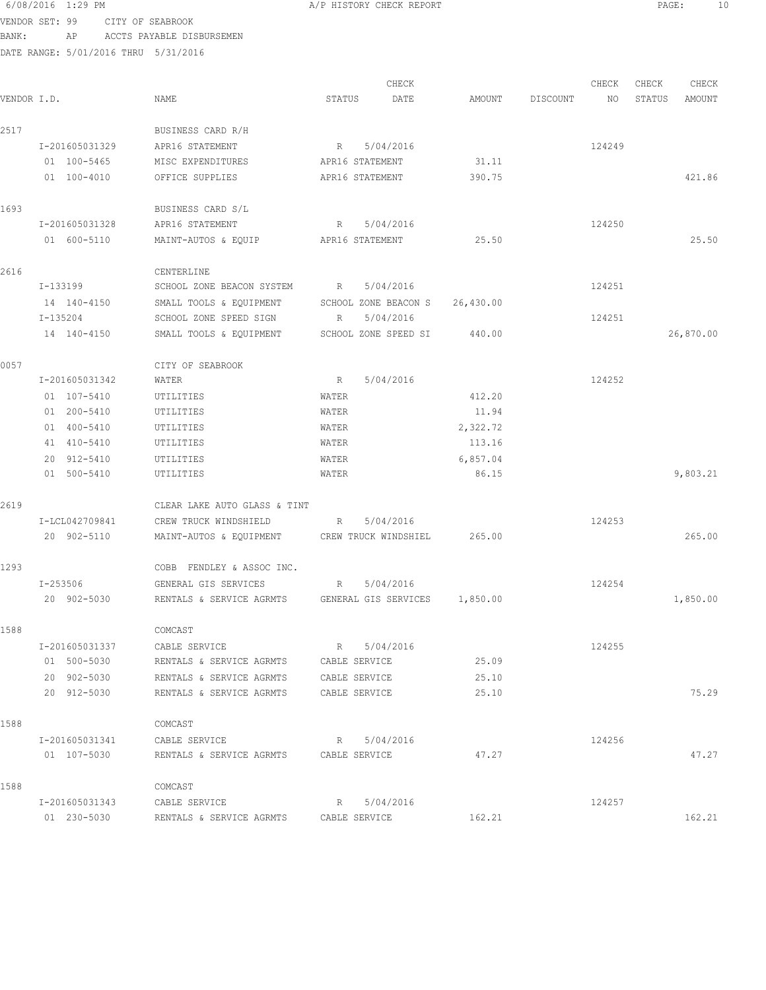### 6/08/2016 1:29 PM A/P HISTORY CHECK REPORT PAGE: 10 VENDOR SET: 99 CITY OF SEABROOK

BANK: AP ACCTS PAYABLE DISBURSEMEN

DATE RANGE: 5/01/2016 THRU 5/31/2016

CHECK CHECK CHECK CHECK CHECK CHECK CHECK CHECK CHECK CHECK CHECK CHECK CHECK CHECK CHECK CHECK CHECK CHECK CHECK CHECK CHECK CHECK CHECK CHECK CHECK CHECK CHECK CHECK CHECK CHECK CHECK CHECK CHECK CHECK CHECK CHECK CHECK VENDOR I.D. NAME STATUS DATE AMOUNT DISCOUNT NO STATUS AMOUNT 2517 BUSINESS CARD R/H I-201605031329 APR16 STATEMENT R 5/04/2016 124249 01 100-5465 MISC EXPENDITURES APR16 STATEMENT 31.11 01 100-4010 OFFICE SUPPLIES APR16 STATEMENT 390.75 390.75 1693 BUSINESS CARD S/L I-201605031328 APR16 STATEMENT R 5/04/2016 124250 01 600-5110 MAINT-AUTOS & EQUIP APR16 STATEMENT 25.50 25.50 2616 CENTERLINE<br>I-133199 SCHOOL ZONE SCHOOL ZONE BEACON SYSTEM R 5/04/2016 124251 14 140-4150 SMALL TOOLS & EQUIPMENT SCHOOL ZONE BEACON S 26,430.00 I-135204 SCHOOL ZONE SPEED SIGN R 5/04/2016 124251 14 140-4150 SMALL TOOLS & EQUIPMENT SCHOOL ZONE SPEED SI 440.00 26,870.00 0057 CITY OF SEABROOK I-201605031342 WATER R 5/04/2016 R 5/04/2016 01 107-5410 UTILITIES WATER 412.20 01 200-5410 UTILITIES WATER 11.94 01 400-5410 UTILITIES WATER 2,322.72 41 410-5410 UTILITIES WATER 113.16 20 912-5410 UTILITIES WATER 6,857.04 01 500-5410 UTILITIES WATER 86.15 9,803.21 9,803.21 2619 CLEAR LAKE AUTO GLASS & TINT I-LCL042709841 CREW TRUCK WINDSHIELD R 5/04/2016 124253 20 902-5110 MAINT-AUTOS & EQUIPMENT CREW TRUCK WINDSHIEL 265.00 265.00 1293 COBB FENDLEY & ASSOC INC. I-253506 GENERAL GIS SERVICES R 5/04/2016 124254 20 902-5030 RENTALS & SERVICE AGRMTS GENERAL GIS SERVICES 1,850.00 1,850.00 1,850.00 1588 COMCAST I-201605031337 CABLE SERVICE R 5/04/2016 124255 01 500-5030 RENTALS & SERVICE AGRMTS CABLE SERVICE 25.09 20 902-5030 RENTALS & SERVICE AGRMTS CABLE SERVICE 25.10 20 912-5030 RENTALS & SERVICE AGRMTS CABLE SERVICE 25.10 75.29 1588 COMCAST I-201605031341 CABLE SERVICE R 5/04/2016 R 5/04/2016 01 107-5030 RENTALS & SERVICE AGRMTS CABLE SERVICE 47.27 47.27 47.27 1588 COMCAST I-201605031343 CABLE SERVICE R 5/04/2016 124257 01 230-5030 RENTALS & SERVICE AGRMTS CABLE SERVICE 162.21 162.21 162.21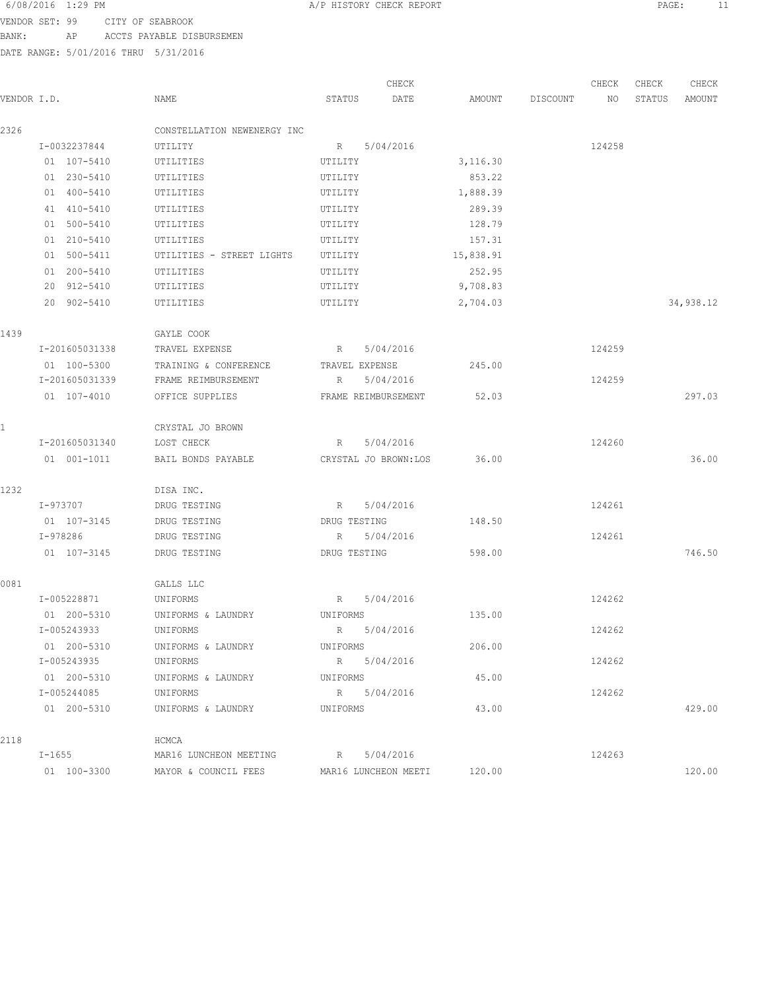VENDOR SET: 99 CITY OF SEABROOK

BANK: AP ACCTS PAYABLE DISBURSEMEN

|             |                |                             | CHECK                |           |          | CHECK  | CHECK  | CHECK     |
|-------------|----------------|-----------------------------|----------------------|-----------|----------|--------|--------|-----------|
| VENDOR I.D. |                | NAME                        | STATUS<br>DATE       | AMOUNT    | DISCOUNT | NO     | STATUS | AMOUNT    |
| 2326        |                | CONSTELLATION NEWENERGY INC |                      |           |          |        |        |           |
|             | I-0032237844   | UTILITY                     | 5/04/2016<br>R       |           |          | 124258 |        |           |
|             | 01 107-5410    | UTILITIES                   | UTILITY              | 3,116.30  |          |        |        |           |
|             | 01 230-5410    | UTILITIES                   | UTILITY              | 853.22    |          |        |        |           |
|             | 01 400-5410    | UTILITIES                   | UTILITY              | 1,888.39  |          |        |        |           |
|             | 41 410-5410    | UTILITIES                   | UTILITY              | 289.39    |          |        |        |           |
|             | 01 500-5410    | UTILITIES                   | UTILITY              | 128.79    |          |        |        |           |
|             | 01 210-5410    | UTILITIES                   | UTILITY              | 157.31    |          |        |        |           |
|             | 01 500-5411    | UTILITIES - STREET LIGHTS   | UTILITY              | 15,838.91 |          |        |        |           |
|             | 01 200-5410    | UTILITIES                   | UTILITY              | 252.95    |          |        |        |           |
|             | 20 912-5410    | UTILITIES                   | UTILITY              | 9,708.83  |          |        |        |           |
|             | 20 902-5410    | UTILITIES                   | UTILITY              | 2,704.03  |          |        |        | 34,938.12 |
| 1439        |                | GAYLE COOK                  |                      |           |          |        |        |           |
|             | I-201605031338 | TRAVEL EXPENSE              | 5/04/2016<br>R       |           |          | 124259 |        |           |
|             | 01 100-5300    | TRAINING & CONFERENCE       | TRAVEL EXPENSE       | 245.00    |          |        |        |           |
|             | I-201605031339 | FRAME REIMBURSEMENT         | 5/04/2016<br>R       |           |          | 124259 |        |           |
|             | 01 107-4010    | OFFICE SUPPLIES             | FRAME REIMBURSEMENT  | 52.03     |          |        |        | 297.03    |
|             |                | CRYSTAL JO BROWN            |                      |           |          |        |        |           |
|             | I-201605031340 | LOST CHECK                  | 5/04/2016<br>R       |           |          | 124260 |        |           |
|             | 01 001-1011    | BAIL BONDS PAYABLE          | CRYSTAL JO BROWN:LOS | 36.00     |          |        |        | 36.00     |
| 1232        |                | DISA INC.                   |                      |           |          |        |        |           |
|             | I-973707       | DRUG TESTING                | R<br>5/04/2016       |           |          | 124261 |        |           |
|             | 01 107-3145    | DRUG TESTING                | DRUG TESTING         | 148.50    |          |        |        |           |
|             | I-978286       | DRUG TESTING                | 5/04/2016<br>R       |           |          | 124261 |        |           |
|             | 01 107-3145    | DRUG TESTING                | DRUG TESTING         | 598.00    |          |        |        | 746.50    |
| 0081        |                | GALLS LLC                   |                      |           |          |        |        |           |
|             | I-005228871    | UNIFORMS                    | R<br>5/04/2016       |           |          | 124262 |        |           |
|             | 01 200-5310    | UNIFORMS & LAUNDRY          | UNIFORMS             | 135.00    |          |        |        |           |
|             | I-005243933    | UNIFORMS                    | 5/04/2016<br>R       |           |          | 124262 |        |           |
|             | 01 200-5310    | UNIFORMS & LAUNDRY          | UNIFORMS             | 206.00    |          |        |        |           |
|             | I-005243935    | UNIFORMS                    | R 5/04/2016          |           |          | 124262 |        |           |
|             | 01 200-5310    | UNIFORMS & LAUNDRY          | UNIFORMS             | 45.00     |          |        |        |           |
|             | I-005244085    | UNIFORMS                    | R 5/04/2016          |           |          | 124262 |        |           |
|             | 01 200-5310    | UNIFORMS & LAUNDRY          | UNIFORMS             | 43.00     |          |        |        | 429.00    |
| 2118        |                | HCMCA                       |                      |           |          |        |        |           |
|             | $I-1655$       | MAR16 LUNCHEON MEETING      | 5/04/2016<br>R       |           |          | 124263 |        |           |
|             | 01 100-3300    | MAYOR & COUNCIL FEES        | MAR16 LUNCHEON MEETI | 120.00    |          |        |        | 120.00    |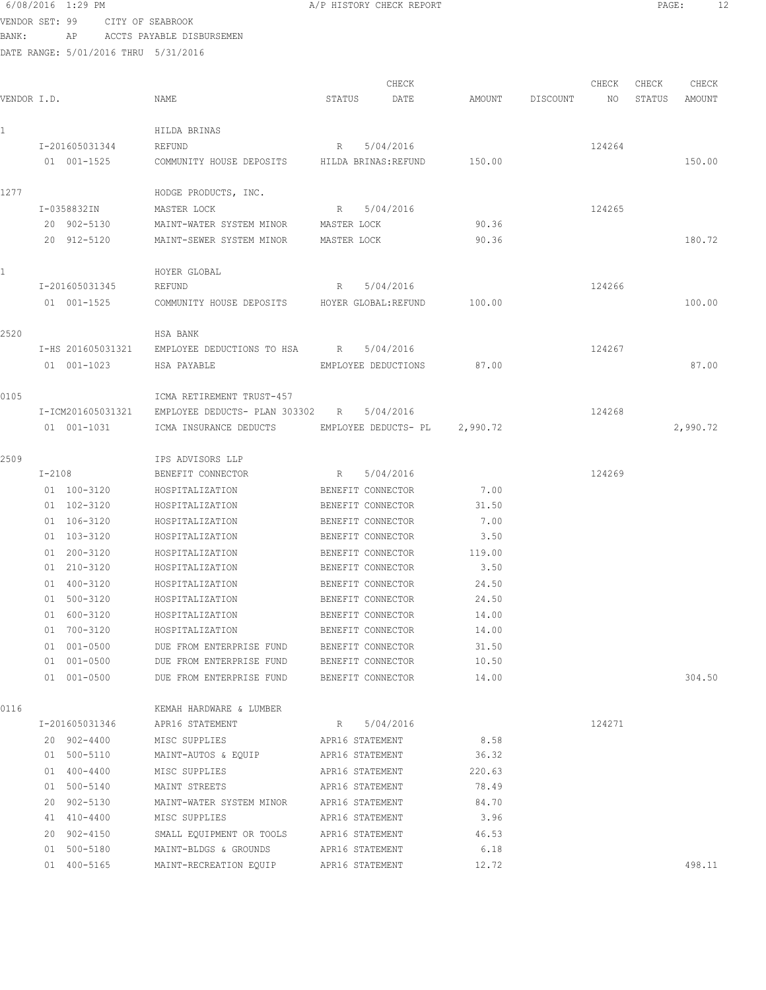6/08/2016 1:29 PM **A/P HISTORY CHECK REPORT PAGE:** 12 VENDOR SET: 99 CITY OF SEABROOK

BANK: AP ACCTS PAYABLE DISBURSEMEN

|             |                   |                                                  |                     | CHECK                |          |          | CHECK  | CHECK  | CHECK    |
|-------------|-------------------|--------------------------------------------------|---------------------|----------------------|----------|----------|--------|--------|----------|
| VENDOR I.D. |                   | NAME                                             | STATUS              | DATE                 | AMOUNT   | DISCOUNT | NO.    | STATUS | AMOUNT   |
|             |                   | HILDA BRINAS                                     |                     |                      |          |          |        |        |          |
|             | I-201605031344    | REFUND                                           | R                   | 5/04/2016            |          |          | 124264 |        |          |
|             | 01 001-1525       | COMMUNITY HOUSE DEPOSITS HILDA BRINAS: REFUND    |                     |                      | 150.00   |          |        |        | 150.00   |
| 1277        |                   | HODGE PRODUCTS, INC.                             |                     |                      |          |          |        |        |          |
|             | I-0358832IN       | MASTER LOCK                                      | R                   | 5/04/2016            |          |          | 124265 |        |          |
|             | 20 902-5130       | MAINT-WATER SYSTEM MINOR MASTER LOCK             |                     |                      | 90.36    |          |        |        |          |
|             | 20 912-5120       | MAINT-SEWER SYSTEM MINOR                         | MASTER LOCK         |                      | 90.36    |          |        |        | 180.72   |
|             |                   | HOYER GLOBAL                                     |                     |                      |          |          |        |        |          |
|             | I-201605031345    | REFUND                                           | R                   | 5/04/2016            |          |          | 124266 |        |          |
|             | 01 001-1525       | COMMUNITY HOUSE DEPOSITS HOYER GLOBAL:REFUND     |                     |                      | 100.00   |          |        |        | 100.00   |
| 2520        |                   | HSA BANK                                         |                     |                      |          |          |        |        |          |
|             | I-HS 201605031321 | EMPLOYEE DEDUCTIONS TO HSA R                     |                     | 5/04/2016            |          |          | 124267 |        |          |
|             | 01 001-1023       | HSA PAYABLE                                      | EMPLOYEE DEDUCTIONS |                      | 87.00    |          |        |        | 87.00    |
| 0105        |                   | ICMA RETIREMENT TRUST-457                        |                     |                      |          |          |        |        |          |
|             | I-ICM201605031321 | EMPLOYEE DEDUCTS- PLAN 303302 R                  |                     | 5/04/2016            |          |          | 124268 |        |          |
|             | 01 001-1031       | ICMA INSURANCE DEDUCTS                           |                     | EMPLOYEE DEDUCTS- PL | 2,990.72 |          |        |        | 2,990.72 |
| 2509        |                   | IPS ADVISORS LLP                                 |                     |                      |          |          |        |        |          |
|             | I-2108            | BENEFIT CONNECTOR                                | R                   | 5/04/2016            |          |          | 124269 |        |          |
|             | 01 100-3120       | HOSPITALIZATION                                  | BENEFIT CONNECTOR   |                      | 7.00     |          |        |        |          |
|             | 01 102-3120       | HOSPITALIZATION                                  | BENEFIT CONNECTOR   |                      | 31.50    |          |        |        |          |
|             | 01 106-3120       | HOSPITALIZATION                                  | BENEFIT CONNECTOR   |                      | 7.00     |          |        |        |          |
|             | 01 103-3120       | HOSPITALIZATION                                  | BENEFIT CONNECTOR   |                      | 3.50     |          |        |        |          |
|             | 01 200-3120       | HOSPITALIZATION                                  | BENEFIT CONNECTOR   |                      | 119.00   |          |        |        |          |
|             | 01 210-3120       | HOSPITALIZATION                                  | BENEFIT CONNECTOR   |                      | 3.50     |          |        |        |          |
|             | 01 400-3120       | HOSPITALIZATION                                  | BENEFIT CONNECTOR   |                      | 24.50    |          |        |        |          |
|             | 01 500-3120       | HOSPITALIZATION                                  | BENEFIT CONNECTOR   |                      | 24.50    |          |        |        |          |
|             | 01 600-3120       | HOSPITALIZATION                                  | BENEFIT CONNECTOR   |                      | 14.00    |          |        |        |          |
|             | 01 700-3120       | HOSPITALIZATION                                  | BENEFIT CONNECTOR   |                      | 14.00    |          |        |        |          |
|             | 01 001-0500       | DUE FROM ENTERPRISE FUND                         | BENEFIT CONNECTOR   |                      | 31.50    |          |        |        |          |
|             | 01 001-0500       | DUE FROM ENTERPRISE FUND BENEFIT CONNECTOR       |                     |                      | 10.50    |          |        |        |          |
|             | 01 001-0500       | DUE FROM ENTERPRISE FUND BENEFIT CONNECTOR 14.00 |                     |                      |          |          |        |        | 304.50   |
| 0116        |                   | KEMAH HARDWARE & LUMBER                          |                     |                      |          |          |        |        |          |
|             | I-201605031346    | APR16 STATEMENT                                  | R                   | 5/04/2016            |          |          | 124271 |        |          |
|             | 20 902-4400       | MISC SUPPLIES APR16 STATEMENT                    |                     |                      | 8.58     |          |        |        |          |
|             | 01 500-5110       | MAINT-AUTOS & EQUIP APR16 STATEMENT              |                     |                      | 36.32    |          |        |        |          |
|             | 01 400-4400       | MISC SUPPLIES                                    | APR16 STATEMENT     |                      | 220.63   |          |        |        |          |
|             | 01 500-5140       | MAINT STREETS                                    | APR16 STATEMENT     |                      | 78.49    |          |        |        |          |
|             | 20 902-5130       | MAINT-WATER SYSTEM MINOR APR16 STATEMENT         |                     |                      | 84.70    |          |        |        |          |
|             | 41 410-4400       | MISC SUPPLIES                                    | APR16 STATEMENT     |                      | 3.96     |          |        |        |          |
|             | 20 902-4150       | SMALL EQUIPMENT OR TOOLS                         | APR16 STATEMENT     |                      | 46.53    |          |        |        |          |
|             | 01 500-5180       | MAINT-BLDGS & GROUNDS                            | APR16 STATEMENT     |                      | 6.18     |          |        |        |          |
|             | 01 400-5165       | MAINT-RECREATION EQUIP                           | APR16 STATEMENT     |                      | 12.72    |          |        |        | 498.11   |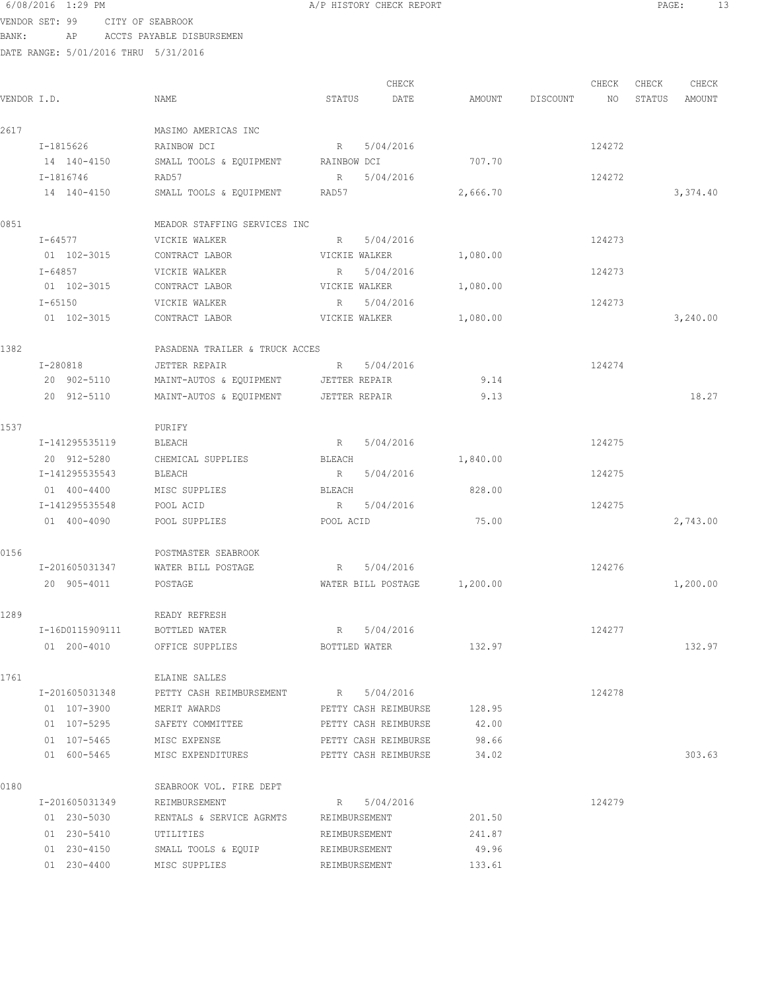#### 6/08/2016 1:29 PM **A/P HISTORY CHECK REPORT PAGE:** 13 VENDOR SET: 99 CITY OF SEABROOK

BANK: AP ACCTS PAYABLE DISBURSEMEN

|             |                 |                                                     |                             | CHECK                       |          |                    | CHECK  | CHECK  | CHECK    |
|-------------|-----------------|-----------------------------------------------------|-----------------------------|-----------------------------|----------|--------------------|--------|--------|----------|
| VENDOR I.D. |                 | NAME                                                | STATUS                      | DATE                        |          | AMOUNT DISCOUNT NO |        | STATUS | AMOUNT   |
| 2617        |                 | MASIMO AMERICAS INC                                 |                             |                             |          |                    |        |        |          |
|             | I-1815626       | RAINBOW DCI                                         | R                           | 5/04/2016                   |          |                    | 124272 |        |          |
|             | 14 140-4150     | SMALL TOOLS & EQUIPMENT RAINBOW DCI                 |                             |                             | 707.70   |                    |        |        |          |
|             | I-1816746       | RAD57                                               | R                           | 5/04/2016                   |          |                    | 124272 |        |          |
|             | 14 140-4150     | SMALL TOOLS & EQUIPMENT RAD57                       |                             |                             | 2,666.70 |                    |        |        | 3,374.40 |
| 0851        |                 | MEADOR STAFFING SERVICES INC                        |                             |                             |          |                    |        |        |          |
|             | I-64577         | VICKIE WALKER                                       | R                           | 5/04/2016                   |          |                    | 124273 |        |          |
|             | 01 102-3015     | CONTRACT LABOR                                      | VICKIE WALKER               |                             | 1,080.00 |                    |        |        |          |
|             | I-64857         | VICKIE WALKER                                       | R                           | 5/04/2016                   |          |                    | 124273 |        |          |
|             | 01 102-3015     | CONTRACT LABOR                                      | VICKIE WALKER               |                             | 1,080.00 |                    |        |        |          |
|             | I-65150         | VICKIE WALKER                                       | R                           | 5/04/2016                   |          |                    | 124273 |        |          |
|             | 01 102-3015     | CONTRACT LABOR                                      | VICKIE WALKER               |                             | 1,080.00 |                    |        |        | 3,240.00 |
| 1382        |                 | PASADENA TRAILER & TRUCK ACCES                      |                             |                             |          |                    |        |        |          |
|             | I-280818        | JETTER REPAIR                                       | R                           | 5/04/2016                   |          |                    | 124274 |        |          |
|             | 20 902-5110     | MAINT-AUTOS & EQUIPMENT JETTER REPAIR               |                             |                             | 9.14     |                    |        |        |          |
|             | 20 912-5110     | MAINT-AUTOS & EQUIPMENT JETTER REPAIR               |                             |                             | 9.13     |                    |        |        | 18.27    |
| 1537        |                 | PURIFY                                              |                             |                             |          |                    |        |        |          |
|             | I-141295535119  | BLEACH                                              | $R_{\rm{max}}$              | 5/04/2016                   |          |                    | 124275 |        |          |
|             | 20 912-5280     | CHEMICAL SUPPLIES                                   | BLEACH                      |                             | 1,840.00 |                    |        |        |          |
|             | I-141295535543  | BLEACH                                              | R                           | 5/04/2016                   |          |                    | 124275 |        |          |
|             | 01 400-4400     | MISC SUPPLIES                                       | BLEACH                      |                             | 828.00   |                    |        |        |          |
|             | I-141295535548  | POOL ACID                                           | R 5/04/2016                 |                             |          |                    | 124275 |        |          |
|             | 01 400-4090     | POOL SUPPLIES                                       | POOL ACID                   |                             | 75.00    |                    |        |        | 2,743.00 |
| 0156        |                 | POSTMASTER SEABROOK                                 |                             |                             |          |                    |        |        |          |
|             | I-201605031347  | WATER BILL POSTAGE                                  | R 5/04/2016                 |                             |          |                    | 124276 |        |          |
|             | 20 905-4011     | POSTAGE                                             |                             | WATER BILL POSTAGE 1,200.00 |          |                    |        |        | 1,200.00 |
| 1289        |                 | READY REFRESH                                       |                             |                             |          |                    |        |        |          |
|             | I-16D0115909111 | BOTTLED WATER                                       | R                           | 5/04/2016                   |          |                    | 124277 |        |          |
|             | 01 200-4010     | OFFICE SUPPLIES                                     | BOTTLED WATER               |                             | 132.97   |                    |        |        | 132.97   |
| 1761        |                 | ELAINE SALLES                                       |                             |                             |          |                    |        |        |          |
|             | I-201605031348  | PETTY CASH REIMBURSEMENT R 5/04/2016                |                             |                             |          |                    | 124278 |        |          |
|             | 01 107-3900     | MERIT AWARDS                                        | PETTY CASH REIMBURSE 128.95 |                             |          |                    |        |        |          |
|             |                 | 01 107-5295 SAFETY COMMITTEE PETTY CASH REIMBURSE   |                             |                             | 42.00    |                    |        |        |          |
|             |                 | 01 107-5465 MISC EXPENSE PETTY CASH REIMBURSE 98.66 |                             |                             |          |                    |        |        |          |
|             | 01 600-5465     | MISC EXPENDITURES PETTY CASH REIMBURSE 34.02        |                             |                             |          |                    |        |        | 303.63   |
| 0180        |                 | SEABROOK VOL. FIRE DEPT                             |                             |                             |          |                    |        |        |          |
|             | I-201605031349  | REIMBURSEMENT                                       | R 5/04/2016                 |                             |          |                    | 124279 |        |          |
|             | 01 230-5030     | RENTALS & SERVICE AGRMTS                            | REIMBURSEMENT               |                             | 201.50   |                    |        |        |          |
|             | 01 230-5410     | UTILITIES                                           | REIMBURSEMENT               |                             | 241.87   |                    |        |        |          |
|             | 01 230-4150     | SMALL TOOLS & EQUIP                                 | REIMBURSEMENT               |                             | 49.96    |                    |        |        |          |
|             | 01 230-4400     | MISC SUPPLIES                                       | REIMBURSEMENT               |                             | 133.61   |                    |        |        |          |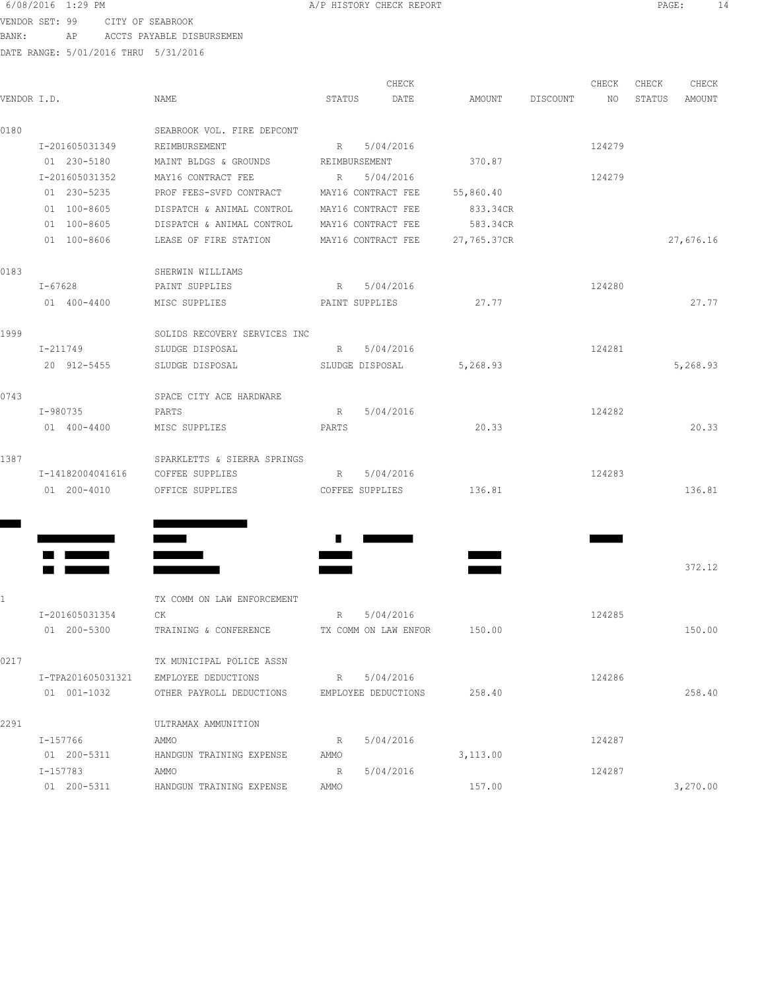VENDOR SET: 99 CITY OF SEABROOK

| BANK:       | AP<br>DATE RANGE: 5/01/2016 THRU 5/31/2016 | ACCTS PAYABLE DISBURSEMEN                            |        |                     |                 |        |       |               |
|-------------|--------------------------------------------|------------------------------------------------------|--------|---------------------|-----------------|--------|-------|---------------|
|             |                                            |                                                      |        | CHECK               |                 | CHECK  | CHECK | CHECK         |
| VENDOR I.D. |                                            | NAME                                                 | STATUS | DATE                | AMOUNT DISCOUNT | NO     |       | STATUS AMOUNT |
| 0180        |                                            | SEABROOK VOL. FIRE DEPCONT                           |        |                     |                 |        |       |               |
|             | I-201605031349                             | REIMBURSEMENT                                        | R      | 5/04/2016           |                 | 124279 |       |               |
|             | 01 230-5180                                | MAINT BLDGS & GROUNDS                                |        | REIMBURSEMENT       | 370.87          |        |       |               |
|             | I-201605031352                             | MAY16 CONTRACT FEE                                   |        | R 5/04/2016         |                 | 124279 |       |               |
|             | 01 230-5235                                | PROF FEES-SVFD CONTRACT MAY16 CONTRACT FEE           |        |                     | 55,860.40       |        |       |               |
|             | 01 100-8605                                | DISPATCH & ANIMAL CONTROL MAY16 CONTRACT FEE         |        |                     | 833.34CR        |        |       |               |
|             | 01 100-8605                                | DISPATCH & ANIMAL CONTROL MAY16 CONTRACT FEE         |        |                     | 583.34CR        |        |       |               |
|             | 01 100-8606                                | LEASE OF FIRE STATION MAY16 CONTRACT FEE 27,765.37CR |        |                     |                 |        |       | 27,676.16     |
| 0183        |                                            | SHERWIN WILLIAMS                                     |        |                     |                 |        |       |               |
|             | I-67628                                    | PAINT SUPPLIES                                       |        | R 5/04/2016         |                 | 124280 |       |               |
|             | 01 400-4400                                | MISC SUPPLIES                                        |        | PAINT SUPPLIES      | 27.77           |        |       | 27.77         |
| 1999        |                                            | SOLIDS RECOVERY SERVICES INC                         |        |                     |                 |        |       |               |
|             | I-211749                                   | SLUDGE DISPOSAL                                      |        | R 5/04/2016         |                 | 124281 |       |               |
|             | 20 912-5455                                | SLUDGE DISPOSAL<br>SLUDGE DISPOSAL                   |        |                     | 5,268.93        |        |       | 5,268.93      |
| 0743        |                                            | SPACE CITY ACE HARDWARE                              |        |                     |                 |        |       |               |
|             | I-980735                                   | PARTS                                                | R      | 5/04/2016           |                 | 124282 |       |               |
|             | 01 400-4400                                | MISC SUPPLIES<br><b>PARTS</b>                        |        |                     | 20.33           |        |       | 20.33         |
| 1387        |                                            | SPARKLETTS & SIERRA SPRINGS                          |        |                     |                 |        |       |               |
|             |                                            | I-14182004041616 COFFEE SUPPLIES                     |        | R 5/04/2016         |                 | 124283 |       |               |
|             | 01 200-4010                                | OFFICE SUPPLIES                                      |        | COFFEE SUPPLIES     | 136.81          |        |       | 136.81        |
|             |                                            |                                                      |        |                     |                 |        |       |               |
|             |                                            |                                                      |        |                     |                 |        |       |               |
|             |                                            |                                                      |        |                     |                 |        |       | 372.12        |
| 1           |                                            | TX COMM ON LAW ENFORCEMENT                           |        |                     |                 |        |       |               |
|             | I-201605031354                             | CK                                                   | R      | 5/04/2016           |                 | 124285 |       |               |
|             | 01 200-5300                                | TRAINING & CONFERENCE TX COMM ON LAW ENFOR 150.00    |        |                     |                 |        |       | 150.00        |
| 0217        |                                            | TX MUNICIPAL POLICE ASSN                             |        |                     |                 |        |       |               |
|             | I-TPA201605031321                          | EMPLOYEE DEDUCTIONS                                  |        | R 5/04/2016         |                 | 124286 |       |               |
|             | 01 001-1032                                | OTHER PAYROLL DEDUCTIONS                             |        | EMPLOYEE DEDUCTIONS | 258.40          |        |       | 258.40        |
| 2291        |                                            | ULTRAMAX AMMUNITION                                  |        |                     |                 |        |       |               |
|             | I-157766                                   | AMMO                                                 | R      | 5/04/2016           |                 | 124287 |       |               |
|             | 01 200-5311                                | HANDGUN TRAINING EXPENSE                             | AMMO   |                     | 3,113.00        |        |       |               |

HANDGUN TRAINING EXPENSE AMMO 3,113.00 I-157783 AMMO R 5/04/2016 124287

01 200-5311 HANDGUN TRAINING EXPENSE AMMO 157.00 157.00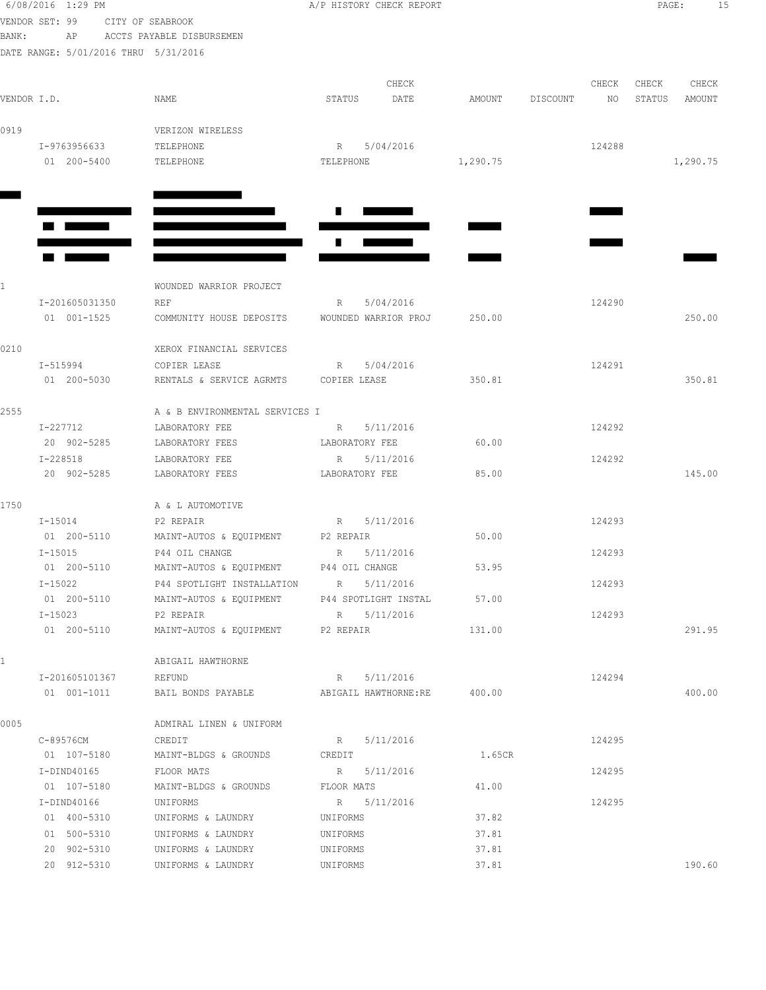|             | 6/08/2016 1:29 PM<br>VENDOR SET: 99  | CITY OF SEABROOK                                                                    | A/P HISTORY CHECK REPORT               | PAGE:<br>15    |          |        |        |          |  |
|-------------|--------------------------------------|-------------------------------------------------------------------------------------|----------------------------------------|----------------|----------|--------|--------|----------|--|
| BANK:       | AP                                   | ACCTS PAYABLE DISBURSEMEN                                                           |                                        |                |          |        |        |          |  |
|             | DATE RANGE: 5/01/2016 THRU 5/31/2016 |                                                                                     |                                        |                |          |        |        |          |  |
|             |                                      |                                                                                     | CHECK                                  |                |          | CHECK  | CHECK  | CHECK    |  |
| VENDOR I.D. |                                      | NAME                                                                                | DATE<br>STATUS                         | AMOUNT         | DISCOUNT | NO     | STATUS | AMOUNT   |  |
|             |                                      |                                                                                     |                                        |                |          |        |        |          |  |
| 0919        |                                      | VERIZON WIRELESS                                                                    |                                        |                |          |        |        |          |  |
|             | I-9763956633                         | TELEPHONE                                                                           | 5/04/2016<br>R                         |                |          | 124288 |        |          |  |
|             | 01 200-5400                          | TELEPHONE                                                                           | TELEPHONE                              | 1,290.75       |          |        |        | 1,290.75 |  |
|             |                                      |                                                                                     |                                        |                |          |        |        |          |  |
|             |                                      |                                                                                     |                                        |                |          |        |        |          |  |
|             |                                      |                                                                                     |                                        |                |          |        |        |          |  |
|             |                                      |                                                                                     |                                        |                |          |        |        |          |  |
|             |                                      |                                                                                     |                                        |                |          |        |        |          |  |
|             |                                      |                                                                                     |                                        |                |          |        |        |          |  |
| 1.          |                                      | WOUNDED WARRIOR PROJECT                                                             |                                        |                |          |        |        |          |  |
|             | I-201605031350<br>01 001-1525        | REF                                                                                 | 5/04/2016<br>R<br>WOUNDED WARRIOR PROJ | 250.00         |          | 124290 |        | 250.00   |  |
|             |                                      | COMMUNITY HOUSE DEPOSITS                                                            |                                        |                |          |        |        |          |  |
| 0210        |                                      | XEROX FINANCIAL SERVICES                                                            |                                        |                |          |        |        |          |  |
|             | I-515994                             | COPIER LEASE                                                                        | 5/04/2016<br>$R \sim$                  |                |          | 124291 |        |          |  |
|             | 01 200-5030                          | RENTALS & SERVICE AGRMTS                                                            | COPIER LEASE                           | 350.81         |          |        |        | 350.81   |  |
|             |                                      |                                                                                     |                                        |                |          |        |        |          |  |
| 2555        |                                      | A & B ENVIRONMENTAL SERVICES I                                                      |                                        |                |          |        |        |          |  |
|             | I-227712                             | LABORATORY FEE                                                                      | R<br>5/11/2016                         |                |          | 124292 |        |          |  |
|             | 20 902-5285                          | LABORATORY FEES                                                                     | LABORATORY FEE                         | 60.00          |          |        |        |          |  |
|             | I-228518                             | LABORATORY FEE                                                                      | R 5/11/2016                            |                |          | 124292 |        |          |  |
|             | 20 902-5285                          | LABORATORY FEES                                                                     | LABORATORY FEE                         | 85.00          |          |        |        | 145.00   |  |
| 1750        |                                      | A & L AUTOMOTIVE                                                                    |                                        |                |          |        |        |          |  |
|             | $I - 15014$                          | P2 REPAIR                                                                           | $R \sim$<br>5/11/2016                  |                |          | 124293 |        |          |  |
|             | 01 200-5110                          | MAINT-AUTOS & EQUIPMENT P2 REPAIR                                                   |                                        | 50.00          |          |        |        |          |  |
|             | $I - 15015$                          | P44 OIL CHANGE                                                                      | R 5/11/2016                            |                |          | 124293 |        |          |  |
|             | 01 200-5110                          | MAINT-AUTOS & EQUIPMENT P44 OIL CHANGE                                              |                                        | 53.95          |          |        |        |          |  |
|             | I-15022                              | P44 SPOTLIGHT INSTALLATION R 5/11/2016                                              |                                        |                |          | 124293 |        |          |  |
|             | 01 200-5110                          | MAINT-AUTOS & EQUIPMENT P44 SPOTLIGHT INSTAL                                        |                                        | 57.00          |          |        |        |          |  |
|             | $I-15023$                            | P2 REPAIR                                                                           | R 5/11/2016                            |                |          | 124293 |        |          |  |
|             | 01 200-5110                          | MAINT-AUTOS & EQUIPMENT P2 REPAIR                                                   |                                        | 131.00         |          |        |        | 291.95   |  |
|             |                                      |                                                                                     |                                        |                |          |        |        |          |  |
|             |                                      | ABIGAIL HAWTHORNE                                                                   |                                        |                |          | 124294 |        |          |  |
|             |                                      | I-201605101367 REFUND<br>01 001-1011 BAIL BONDS PAYABLE ABIGAIL HAWTHORNE:RE 400.00 | R 5/11/2016                            |                |          |        |        | 400.00   |  |
|             |                                      |                                                                                     |                                        |                |          |        |        |          |  |
| 0005        |                                      | ADMIRAL LINEN & UNIFORM                                                             |                                        |                |          |        |        |          |  |
|             | C-89576CM                            | CREDIT                                                                              | R 5/11/2016                            |                |          | 124295 |        |          |  |
|             | 01 107-5180                          | MAINT-BLDGS & GROUNDS CREDIT                                                        |                                        | 1.65CR         |          |        |        |          |  |
|             | I-DIND40165                          | FLOOR MATS                                                                          | R 5/11/2016                            |                |          | 124295 |        |          |  |
|             | 01 107-5180                          | MAINT-BLDGS & GROUNDS                                                               | FLOOR MATS                             | 41.00          |          |        |        |          |  |
|             | I-DIND40166                          | UNIFORMS                                                                            | R 5/11/2016                            |                |          | 124295 |        |          |  |
|             | 01 400-5310                          | UNIFORMS & LAUNDRY                                                                  | UNIFORMS                               | 37.82          |          |        |        |          |  |
|             | 01 500-5310                          | UNIFORMS & LAUNDRY                                                                  | UNIFORMS                               | 37.81          |          |        |        |          |  |
|             | 20 902-5310                          | UNIFORMS & LAUNDRY<br>20 912-5310 UNIFORMS & LAUNDRY                                | UNIFORMS<br>UNIFORMS                   | 37.81<br>37.81 |          |        |        | 190.60   |  |
|             |                                      |                                                                                     |                                        |                |          |        |        |          |  |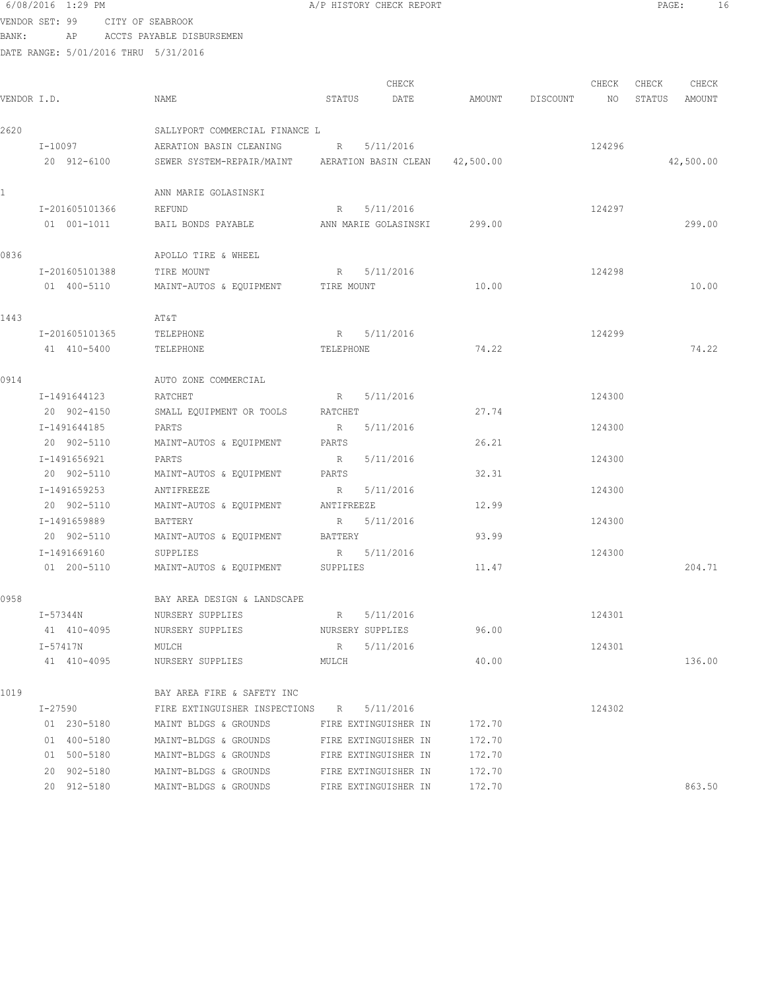|             | VENDOR SET: 99              | CITY OF SEABROOK                                         |              |                         |        |          |        |        |           |
|-------------|-----------------------------|----------------------------------------------------------|--------------|-------------------------|--------|----------|--------|--------|-----------|
| BANK:       |                             | AP ACCTS PAYABLE DISBURSEMEN                             |              |                         |        |          |        |        |           |
|             |                             | DATE RANGE: 5/01/2016 THRU 5/31/2016                     |              |                         |        |          |        |        |           |
|             |                             |                                                          |              |                         |        |          |        |        |           |
|             |                             |                                                          |              | CHECK                   |        |          | CHECK  | CHECK  | CHECK     |
| VENDOR I.D. |                             | NAME                                                     | STATUS       | DATE                    | AMOUNT | DISCOUNT | NO     | STATUS | AMOUNT    |
| 2620        |                             | SALLYPORT COMMERCIAL FINANCE L                           |              |                         |        |          |        |        |           |
|             | I-10097                     | AERATION BASIN CLEANING                                  | R            | 5/11/2016               |        |          | 124296 |        |           |
|             | 20 912-6100                 | SEWER SYSTEM-REPAIR/MAINT AERATION BASIN CLEAN 42,500.00 |              |                         |        |          |        |        | 42,500.00 |
|             |                             |                                                          |              |                         |        |          |        |        |           |
| 1           |                             | ANN MARIE GOLASINSKI                                     |              |                         |        |          |        |        |           |
|             | I-201605101366              | REFUND                                                   | R            | 5/11/2016               |        |          | 124297 |        |           |
|             | 01 001-1011                 | BAIL BONDS PAYABLE                                       |              | ANN MARIE GOLASINSKI    | 299.00 |          |        |        | 299.00    |
| 0836        |                             | APOLLO TIRE & WHEEL                                      |              |                         |        |          |        |        |           |
|             | I-201605101388              | TIRE MOUNT                                               | R            | 5/11/2016               |        |          | 124298 |        |           |
|             | 01 400-5110                 | MAINT-AUTOS & EQUIPMENT TIRE MOUNT                       |              |                         | 10.00  |          |        |        | 10.00     |
|             |                             |                                                          |              |                         |        |          |        |        |           |
| 1443        |                             | AΤ&Τ                                                     |              |                         |        |          |        |        |           |
|             | I-201605101365              | TELEPHONE                                                | R            | 5/11/2016               |        |          | 124299 |        |           |
|             | 41 410-5400                 | TELEPHONE                                                | TELEPHONE    |                         | 74.22  |          |        |        | 74.22     |
|             |                             |                                                          |              |                         |        |          |        |        |           |
| 0914        |                             | AUTO ZONE COMMERCIAL                                     |              |                         |        |          |        |        |           |
|             | I-1491644123                | RATCHET                                                  | $R_{\odot}$  | 5/11/2016               |        |          | 124300 |        |           |
|             | 20 902-4150                 | SMALL EQUIPMENT OR TOOLS                                 | RATCHET      |                         | 27.74  |          |        |        |           |
|             | I-1491644185                | PARTS                                                    | R            | 5/11/2016               |        |          | 124300 |        |           |
|             | 20 902-5110                 | MAINT-AUTOS & EQUIPMENT                                  | PARTS        |                         | 26.21  |          |        |        |           |
|             | I-1491656921                | PARTS                                                    | R            | 5/11/2016               |        |          | 124300 |        |           |
|             | 20 902-5110                 | MAINT-AUTOS & EQUIPMENT                                  | PARTS        |                         | 32.31  |          |        |        |           |
|             | I-1491659253<br>20 902-5110 | ANTIFREEZE<br>MAINT-AUTOS & EQUIPMENT                    | R            | 5/11/2016<br>ANTIFREEZE | 12.99  |          | 124300 |        |           |
|             | I-1491659889                | BATTERY                                                  |              | 5/11/2016               |        |          | 124300 |        |           |
|             | 20 902-5110                 | MAINT-AUTOS & EQUIPMENT                                  | R<br>BATTERY |                         | 93.99  |          |        |        |           |
|             | I-1491669160                | SUPPLIES                                                 | R            | 5/11/2016               |        |          | 124300 |        |           |
|             | 01 200-5110                 | MAINT-AUTOS & EQUIPMENT                                  | SUPPLIES     |                         | 11.47  |          |        |        | 204.71    |
|             |                             |                                                          |              |                         |        |          |        |        |           |
| 0958        |                             | BAY AREA DESIGN & LANDSCAPE                              |              |                         |        |          |        |        |           |
|             | I-57344N                    | NURSERY SUPPLIES                                         | R            | 5/11/2016               |        |          | 124301 |        |           |
|             | 41 410-4095                 | NURSERY SUPPLIES                                         |              | NURSERY SUPPLIES        | 96.00  |          |        |        |           |
|             | I-57417N                    | MULCH                                                    | R            | 5/11/2016               |        |          | 124301 |        |           |
|             | 41 410-4095                 | NURSERY SUPPLIES                                         | MULCH        |                         | 40.00  |          |        |        | 136.00    |
| 1019        |                             | BAY AREA FIRE & SAFETY INC                               |              |                         |        |          |        |        |           |
|             | I-27590                     | FIRE EXTINGUISHER INSPECTIONS R                          |              | 5/11/2016               |        |          | 124302 |        |           |
|             | 01 230-5180                 | MAINT BLDGS & GROUNDS                                    |              | FIRE EXTINGUISHER IN    | 172.70 |          |        |        |           |
|             | 01 400-5180                 | MAINT-BLDGS & GROUNDS                                    |              | FIRE EXTINGUISHER IN    | 172.70 |          |        |        |           |
|             | 01 500-5180                 | MAINT-BLDGS & GROUNDS                                    |              | FIRE EXTINGUISHER IN    | 172.70 |          |        |        |           |
|             | 20 902-5180                 | MAINT-BLDGS & GROUNDS                                    |              | FIRE EXTINGUISHER IN    | 172.70 |          |        |        |           |
|             | 20 912-5180                 | MAINT-BLDGS & GROUNDS                                    |              | FIRE EXTINGUISHER IN    | 172.70 |          |        |        | 863.50    |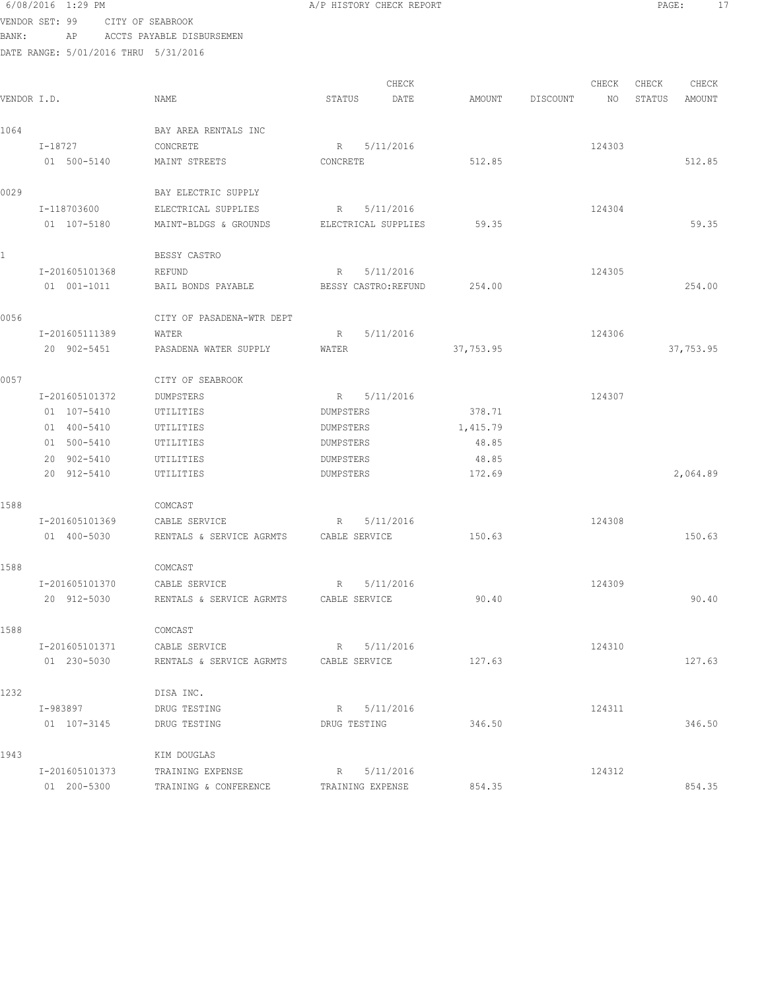| BANK:       |          | ΑP             | ACCTS PAYABLE DISBURSEMEN            |                     |                      |           |          |        |        |           |
|-------------|----------|----------------|--------------------------------------|---------------------|----------------------|-----------|----------|--------|--------|-----------|
|             |          |                | DATE RANGE: 5/01/2016 THRU 5/31/2016 |                     |                      |           |          |        |        |           |
|             |          |                |                                      |                     | CHECK                |           |          | CHECK  | CHECK  | CHECK     |
| VENDOR I.D. |          |                | NAME                                 | STATUS              | DATE                 | AMOUNT    | DISCOUNT | NO     | STATUS | AMOUNT    |
|             |          |                |                                      |                     |                      |           |          |        |        |           |
| 1064        |          |                | BAY AREA RENTALS INC                 |                     |                      |           |          |        |        |           |
|             | I-18727  |                | CONCRETE                             | R                   | 5/11/2016            |           |          | 124303 |        |           |
|             |          | 01 500-5140    | MAINT STREETS                        | CONCRETE            |                      | 512.85    |          |        |        | 512.85    |
| 0029        |          |                | BAY ELECTRIC SUPPLY                  |                     |                      |           |          |        |        |           |
|             |          | I-118703600    | ELECTRICAL SUPPLIES                  | R                   | 5/11/2016            |           |          | 124304 |        |           |
|             |          | 01 107-5180    | MAINT-BLDGS & GROUNDS                | ELECTRICAL SUPPLIES |                      | 59.35     |          |        |        | 59.35     |
| 1           |          |                | BESSY CASTRO                         |                     |                      |           |          |        |        |           |
|             |          | I-201605101368 | REFUND                               | R                   | 5/11/2016            |           |          | 124305 |        |           |
|             |          | 01 001-1011    | BAIL BONDS PAYABLE                   |                     | BESSY CASTRO: REFUND | 254.00    |          |        |        | 254.00    |
| 0056        |          |                | CITY OF PASADENA-WTR DEPT            |                     |                      |           |          |        |        |           |
|             |          | I-201605111389 | WATER                                | R                   | 5/11/2016            |           |          | 124306 |        |           |
|             |          | 20 902-5451    | PASADENA WATER SUPPLY                | WATER               |                      | 37,753.95 |          |        |        | 37,753.95 |
| 0057        |          |                | CITY OF SEABROOK                     |                     |                      |           |          |        |        |           |
|             |          | I-201605101372 | DUMPSTERS                            | R                   | 5/11/2016            |           |          | 124307 |        |           |
|             |          | 01 107-5410    | UTILITIES                            | DUMPSTERS           |                      | 378.71    |          |        |        |           |
|             |          | 01 400-5410    | UTILITIES                            | DUMPSTERS           |                      | 1,415.79  |          |        |        |           |
|             |          | 01 500-5410    | UTILITIES                            | DUMPSTERS           |                      | 48.85     |          |        |        |           |
|             |          | 20 902-5410    | UTILITIES                            | DUMPSTERS           |                      | 48.85     |          |        |        |           |
|             |          | 20 912-5410    | UTILITIES                            | DUMPSTERS           |                      | 172.69    |          |        |        | 2,064.89  |
| 1588        |          |                | COMCAST                              |                     |                      |           |          |        |        |           |
|             |          | I-201605101369 | CABLE SERVICE                        | R                   | 5/11/2016            |           |          | 124308 |        |           |
|             |          | 01 400-5030    | RENTALS & SERVICE AGRMTS             | CABLE SERVICE       |                      | 150.63    |          |        |        | 150.63    |
| 1588        |          |                | COMCAST                              |                     |                      |           |          |        |        |           |
|             |          | I-201605101370 | CABLE SERVICE                        | R                   | 5/11/2016            |           |          | 124309 |        |           |
|             |          | 20 912-5030    | RENTALS & SERVICE AGRMTS             | CABLE SERVICE       |                      | 90.40     |          |        |        | 90.40     |
| 1588        |          |                | COMCAST                              |                     |                      |           |          |        |        |           |
|             |          | I-201605101371 | CABLE SERVICE                        | R                   | 5/11/2016            |           |          | 124310 |        |           |
|             |          | 01 230-5030    | RENTALS & SERVICE AGRMTS             | CABLE SERVICE       |                      | 127.63    |          |        |        | 127.63    |
| 1232        |          |                | DISA INC.                            |                     |                      |           |          |        |        |           |
|             | I-983897 |                | DRUG TESTING                         | R                   | 5/11/2016            |           |          | 124311 |        |           |
|             |          | 01 107-3145    | DRUG TESTING                         | DRUG TESTING        |                      | 346.50    |          |        |        | 346.50    |
| 1943        |          |                | KIM DOUGLAS                          |                     |                      |           |          |        |        |           |
|             |          | I-201605101373 | TRAINING EXPENSE                     | R                   | 5/11/2016            |           |          | 124312 |        |           |
|             |          | 01 200-5300    | TRAINING & CONFERENCE                | TRAINING EXPENSE    |                      | 854.35    |          |        |        | 854.35    |

VENDOR SET: 99 CITY OF SEABROOK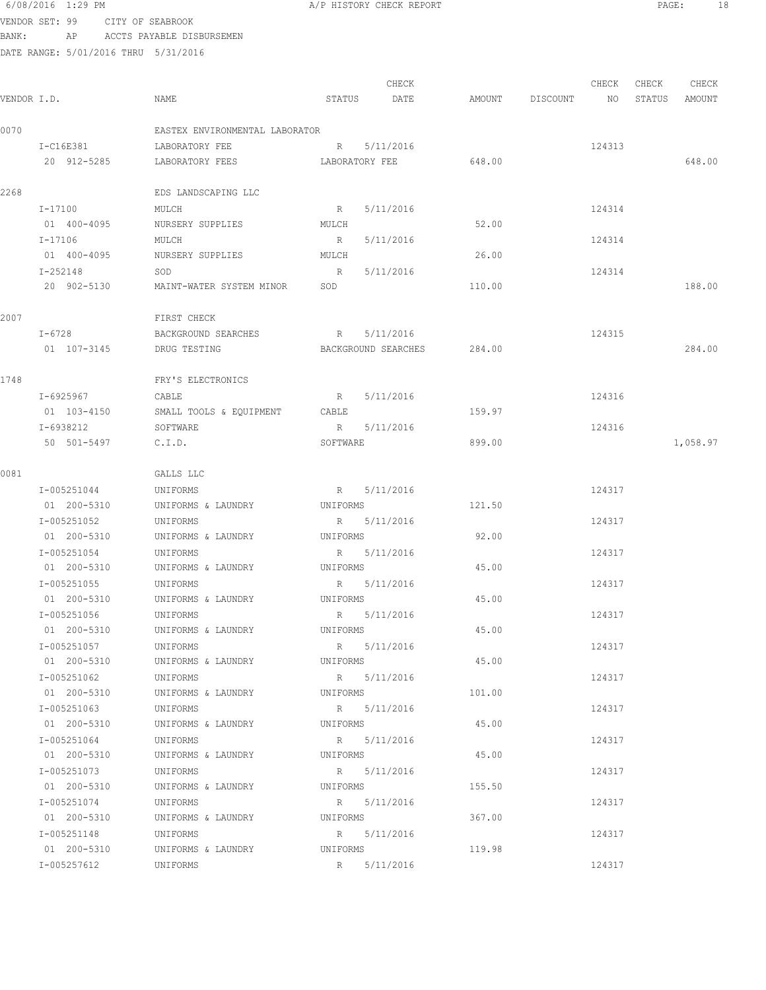#### 6/08/2016 1:29 PM **A/P HISTORY CHECK REPORT PAGE:** 18 VENDOR SET: 99 CITY OF SEABROOK

BANK: AP ACCTS PAYABLE DISBURSEMEN

|             |             |                                |          | CHECK               |        |          | CHECK  | CHECK  | CHECK    |
|-------------|-------------|--------------------------------|----------|---------------------|--------|----------|--------|--------|----------|
| VENDOR I.D. |             | NAME                           | STATUS   | DATE                | AMOUNT | DISCOUNT | NO     | STATUS | AMOUNT   |
| 0070        |             | EASTEX ENVIRONMENTAL LABORATOR |          |                     |        |          |        |        |          |
|             | I-C16E381   | LABORATORY FEE                 |          | R 5/11/2016         |        |          | 124313 |        |          |
|             | 20 912-5285 | LABORATORY FEES                |          | LABORATORY FEE      | 648.00 |          |        |        | 648.00   |
| 2268        |             | EDS LANDSCAPING LLC            |          |                     |        |          |        |        |          |
|             | I-17100     | MULCH                          | R        | 5/11/2016           |        |          | 124314 |        |          |
|             | 01 400-4095 | NURSERY SUPPLIES               | MULCH    |                     | 52.00  |          |        |        |          |
|             | I-17106     | MULCH                          | R        | 5/11/2016           |        |          | 124314 |        |          |
|             | 01 400-4095 | NURSERY SUPPLIES               | MULCH    |                     | 26.00  |          |        |        |          |
|             | I-252148    | SOD                            | R        | 5/11/2016           |        |          | 124314 |        |          |
|             | 20 902-5130 | MAINT-WATER SYSTEM MINOR       | SOD      |                     | 110.00 |          |        |        | 188.00   |
| 2007        |             | FIRST CHECK                    |          |                     |        |          |        |        |          |
|             | I-6728      | BACKGROUND SEARCHES            |          | R 5/11/2016         |        |          | 124315 |        |          |
|             | 01 107-3145 | DRUG TESTING                   |          | BACKGROUND SEARCHES | 284.00 |          |        |        | 284.00   |
| 1748        |             | FRY'S ELECTRONICS              |          |                     |        |          |        |        |          |
|             | I-6925967   | CABLE                          | R        | 5/11/2016           |        |          | 124316 |        |          |
|             | 01 103-4150 | SMALL TOOLS & EQUIPMENT        | CABLE    |                     | 159.97 |          |        |        |          |
|             | I-6938212   | SOFTWARE                       | R        | 5/11/2016           |        |          | 124316 |        |          |
|             | 50 501-5497 | C.I.D.                         | SOFTWARE |                     | 899.00 |          |        |        | 1,058.97 |
| 0081        |             | GALLS LLC                      |          |                     |        |          |        |        |          |
|             | I-005251044 | UNIFORMS                       |          | R 5/11/2016         |        |          | 124317 |        |          |
|             | 01 200-5310 | UNIFORMS & LAUNDRY             | UNIFORMS |                     | 121.50 |          |        |        |          |
|             | I-005251052 | UNIFORMS                       |          | R 5/11/2016         |        |          | 124317 |        |          |
|             | 01 200-5310 | UNIFORMS & LAUNDRY             | UNIFORMS |                     | 92.00  |          |        |        |          |
|             | I-005251054 | UNIFORMS                       |          | R 5/11/2016         |        |          | 124317 |        |          |
|             | 01 200-5310 | UNIFORMS & LAUNDRY             | UNIFORMS |                     | 45.00  |          |        |        |          |
|             | I-005251055 | UNIFORMS                       |          | R 5/11/2016         |        |          | 124317 |        |          |
|             | 01 200-5310 | UNIFORMS & LAUNDRY             |          | UNIFORMS            | 45.00  |          |        |        |          |
|             | I-005251056 | UNIFORMS                       |          | R 5/11/2016         |        |          | 124317 |        |          |
|             | 01 200-5310 | UNIFORMS & LAUNDRY             |          | UNIFORMS            | 45.00  |          |        |        |          |
|             | I-005251057 | UNIFORMS                       |          | R 5/11/2016         |        |          | 124317 |        |          |
|             | 01 200-5310 | UNIFORMS & LAUNDRY             | UNIFORMS |                     | 45.00  |          |        |        |          |
|             | I-005251062 | UNIFORMS                       |          | R 5/11/2016         |        |          | 124317 |        |          |
|             | 01 200-5310 | UNIFORMS & LAUNDRY             | UNIFORMS |                     | 101.00 |          |        |        |          |
|             | I-005251063 | UNIFORMS                       |          | R 5/11/2016         |        |          | 124317 |        |          |
|             | 01 200-5310 | UNIFORMS & LAUNDRY             | UNIFORMS |                     | 45.00  |          |        |        |          |
|             | I-005251064 | UNIFORMS                       |          | R 5/11/2016         |        |          | 124317 |        |          |
|             | 01 200-5310 | UNIFORMS & LAUNDRY             | UNIFORMS |                     | 45.00  |          |        |        |          |
|             | I-005251073 | UNIFORMS                       |          | R 5/11/2016         |        |          | 124317 |        |          |
|             | 01 200-5310 | UNIFORMS & LAUNDRY             | UNIFORMS |                     | 155.50 |          |        |        |          |
|             | I-005251074 | UNIFORMS                       |          | R 5/11/2016         |        |          | 124317 |        |          |
|             | 01 200-5310 | UNIFORMS & LAUNDRY             |          | UNIFORMS            | 367.00 |          |        |        |          |
|             | I-005251148 | UNIFORMS                       |          | R 5/11/2016         |        |          | 124317 |        |          |
|             | 01 200-5310 | UNIFORMS & LAUNDRY             | UNIFORMS |                     | 119.98 |          |        |        |          |
|             | I-005257612 | UNIFORMS                       |          | R 5/11/2016         |        |          | 124317 |        |          |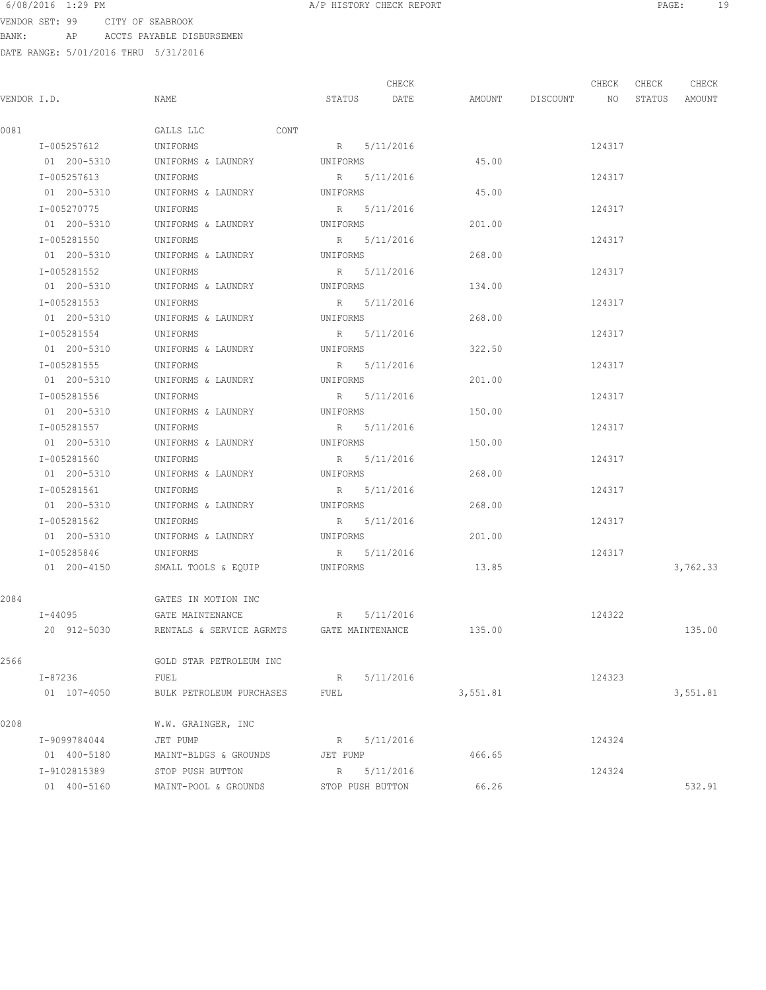VENDOR SET: 99 CITY OF SEABROOK BANK: AP ACCTS PAYABLE DISBURSEMEN

|             |              |                                           |          | CHECK            |          |             | CHECK  | CHECK  | CHECK    |
|-------------|--------------|-------------------------------------------|----------|------------------|----------|-------------|--------|--------|----------|
| VENDOR I.D. |              | NAME                                      | STATUS   | DATE             | AMOUNT   | DISCOUNT NO |        | STATUS | AMOUNT   |
| 0081        |              | GALLS LLC                                 | CONT     |                  |          |             |        |        |          |
|             | I-005257612  | UNIFORMS                                  |          | R 5/11/2016      |          |             | 124317 |        |          |
|             | 01 200-5310  | UNIFORMS & LAUNDRY                        | UNIFORMS |                  | 45.00    |             |        |        |          |
|             | I-005257613  | UNIFORMS                                  |          | R 5/11/2016      |          |             | 124317 |        |          |
|             | 01 200-5310  | UNIFORMS & LAUNDRY                        | UNIFORMS |                  | 45.00    |             |        |        |          |
|             | I-005270775  | UNIFORMS                                  | R        | 5/11/2016        |          |             | 124317 |        |          |
|             | 01 200-5310  | UNIFORMS & LAUNDRY                        | UNIFORMS |                  | 201.00   |             |        |        |          |
|             | I-005281550  | UNIFORMS                                  |          | R 5/11/2016      |          |             | 124317 |        |          |
|             | 01 200-5310  | UNIFORMS & LAUNDRY                        | UNIFORMS |                  | 268.00   |             |        |        |          |
|             | I-005281552  | UNIFORMS                                  |          | R 5/11/2016      |          |             | 124317 |        |          |
|             | 01 200-5310  | UNIFORMS & LAUNDRY                        | UNIFORMS |                  | 134.00   |             |        |        |          |
|             | I-005281553  | UNIFORMS                                  |          | R 5/11/2016      |          |             | 124317 |        |          |
|             | 01 200-5310  | UNIFORMS & LAUNDRY                        | UNIFORMS |                  | 268.00   |             |        |        |          |
|             | I-005281554  | UNIFORMS                                  |          | R 5/11/2016      |          |             | 124317 |        |          |
|             | 01 200-5310  | UNIFORMS & LAUNDRY                        | UNIFORMS |                  | 322.50   |             |        |        |          |
|             | I-005281555  | UNIFORMS                                  |          | R 5/11/2016      |          |             | 124317 |        |          |
|             | 01 200-5310  | UNIFORMS & LAUNDRY                        | UNIFORMS |                  | 201.00   |             |        |        |          |
|             | I-005281556  | UNIFORMS                                  |          | R 5/11/2016      |          |             | 124317 |        |          |
|             | 01 200-5310  | UNIFORMS & LAUNDRY                        |          | UNIFORMS         | 150.00   |             |        |        |          |
|             | I-005281557  | UNIFORMS                                  |          | R 5/11/2016      |          |             | 124317 |        |          |
|             | 01 200-5310  | UNIFORMS & LAUNDRY                        |          | UNIFORMS         | 150.00   |             |        |        |          |
|             | I-005281560  | UNIFORMS                                  |          | R 5/11/2016      |          |             | 124317 |        |          |
|             | 01 200-5310  | UNIFORMS & LAUNDRY                        | UNIFORMS |                  | 268.00   |             |        |        |          |
|             | I-005281561  | UNIFORMS                                  |          | R 5/11/2016      |          |             | 124317 |        |          |
|             | 01 200-5310  | UNIFORMS & LAUNDRY                        | UNIFORMS |                  | 268.00   |             |        |        |          |
|             | I-005281562  | UNIFORMS                                  |          | R 5/11/2016      |          |             | 124317 |        |          |
|             | 01 200-5310  | UNIFORMS & LAUNDRY                        | UNIFORMS |                  | 201.00   |             |        |        |          |
|             | I-005285846  | UNIFORMS                                  |          | R 5/11/2016      |          |             | 124317 |        |          |
|             | 01 200-4150  | SMALL TOOLS & EQUIP                       | UNIFORMS |                  | 13.85    |             |        |        | 3,762.33 |
| 2084        |              | GATES IN MOTION INC                       |          |                  |          |             |        |        |          |
|             | $I - 44095$  | GATE MAINTENANCE                          | R        | 5/11/2016        |          |             | 124322 |        |          |
|             | 20 912-5030  | RENTALS & SERVICE AGRMTS GATE MAINTENANCE |          |                  | 135.00   |             |        |        | 135.00   |
| 2566        |              | GOLD STAR PETROLEUM INC                   |          |                  |          |             |        |        |          |
|             | I-87236      | FUEL                                      | R        | 5/11/2016        |          |             | 124323 |        |          |
|             | 01 107-4050  | BULK PETROLEUM PURCHASES                  | FUEL     |                  | 3,551.81 |             |        |        | 3,551.81 |
| 0208        |              | W.W. GRAINGER, INC                        |          |                  |          |             |        |        |          |
|             | I-9099784044 | JET PUMP                                  |          | R 5/11/2016      |          |             | 124324 |        |          |
|             | 01 400-5180  | MAINT-BLDGS & GROUNDS                     | JET PUMP |                  | 466.65   |             |        |        |          |
|             | I-9102815389 | STOP PUSH BUTTON                          | R        | 5/11/2016        |          |             | 124324 |        |          |
|             | 01 400-5160  | MAINT-POOL & GROUNDS                      |          | STOP PUSH BUTTON | 66.26    |             |        |        | 532.91   |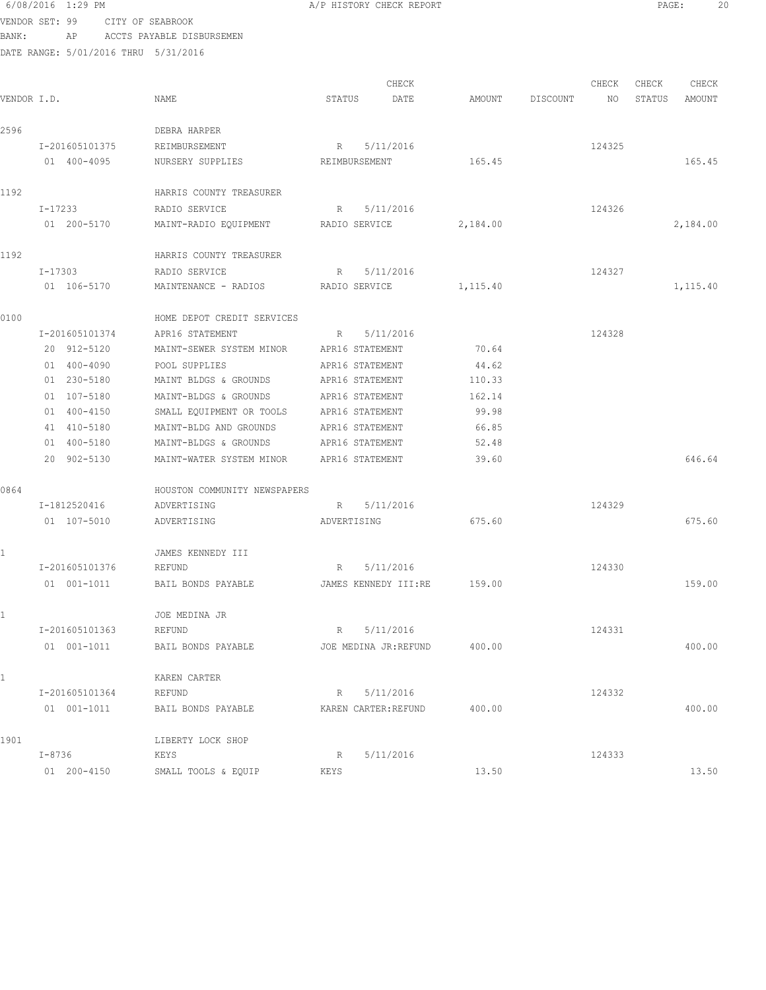|             | 6/08/2016 1:29 PM                    |                                             | A/P HISTORY CHECK REPORT |          |          |        | PAGE:  |          | 20 |
|-------------|--------------------------------------|---------------------------------------------|--------------------------|----------|----------|--------|--------|----------|----|
|             | VENDOR SET: 99                       | CITY OF SEABROOK                            |                          |          |          |        |        |          |    |
| BANK:       | AP                                   | ACCTS PAYABLE DISBURSEMEN                   |                          |          |          |        |        |          |    |
|             | DATE RANGE: 5/01/2016 THRU 5/31/2016 |                                             |                          |          |          |        |        |          |    |
|             |                                      |                                             |                          |          |          |        |        |          |    |
|             |                                      |                                             | CHECK                    |          |          | CHECK  | CHECK  | CHECK    |    |
| VENDOR I.D. |                                      | NAME                                        | STATUS<br>DATE           | AMOUNT   | DISCOUNT | NO     | STATUS | AMOUNT   |    |
|             |                                      |                                             |                          |          |          |        |        |          |    |
| 2596        |                                      | DEBRA HARPER                                |                          |          |          |        |        |          |    |
|             | I-201605101375                       | REIMBURSEMENT                               | R<br>5/11/2016           |          |          | 124325 |        |          |    |
|             | 01 400-4095                          | NURSERY SUPPLIES                            | REIMBURSEMENT            | 165.45   |          |        |        | 165.45   |    |
| 1192        |                                      | HARRIS COUNTY TREASURER                     |                          |          |          |        |        |          |    |
|             | I-17233                              | RADIO SERVICE                               | 5/11/2016<br>R           |          |          | 124326 |        |          |    |
|             | 01 200-5170                          | MAINT-RADIO EQUIPMENT                       | RADIO SERVICE            | 2,184.00 |          |        |        | 2,184.00 |    |
|             |                                      |                                             |                          |          |          |        |        |          |    |
| 1192        |                                      | HARRIS COUNTY TREASURER                     |                          |          |          |        |        |          |    |
|             | I-17303                              | RADIO SERVICE                               | 5/11/2016<br>R           |          |          | 124327 |        |          |    |
|             | 01 106-5170                          | MAINTENANCE - RADIOS                        | RADIO SERVICE            | 1,115.40 |          |        |        | 1,115.40 |    |
|             |                                      |                                             |                          |          |          |        |        |          |    |
| 0100        |                                      | HOME DEPOT CREDIT SERVICES                  |                          |          |          |        |        |          |    |
|             | I-201605101374                       | APR16 STATEMENT                             | 5/11/2016<br>R           |          |          | 124328 |        |          |    |
|             | 20 912-5120                          | MAINT-SEWER SYSTEM MINOR                    | APR16 STATEMENT          | 70.64    |          |        |        |          |    |
|             | 01 400-4090                          | POOL SUPPLIES                               | APR16 STATEMENT          | 44.62    |          |        |        |          |    |
|             | 01 230-5180                          | MAINT BLDGS & GROUNDS                       | APR16 STATEMENT          | 110.33   |          |        |        |          |    |
|             | 01 107-5180                          | MAINT-BLDGS & GROUNDS                       | APR16 STATEMENT          | 162.14   |          |        |        |          |    |
|             | 01 400-4150                          | SMALL EQUIPMENT OR TOOLS                    | APR16 STATEMENT          | 99.98    |          |        |        |          |    |
|             | 41 410-5180                          | MAINT-BLDG AND GROUNDS                      | APR16 STATEMENT          | 66.85    |          |        |        |          |    |
|             | 01 400-5180                          | MAINT-BLDGS & GROUNDS                       | APR16 STATEMENT          | 52.48    |          |        |        |          |    |
|             | 20 902-5130                          | MAINT-WATER SYSTEM MINOR                    | APR16 STATEMENT          | 39.60    |          |        |        | 646.64   |    |
|             |                                      |                                             |                          |          |          |        |        |          |    |
| 0864        | I-1812520416                         | HOUSTON COMMUNITY NEWSPAPERS<br>ADVERTISING | R 5/11/2016              |          |          | 124329 |        |          |    |
|             |                                      |                                             |                          |          |          |        |        |          |    |
|             | 01 107-5010                          | ADVERTISING                                 | ADVERTISING              | 675.60   |          |        |        | 675.60   |    |
|             |                                      | JAMES KENNEDY III                           |                          |          |          |        |        |          |    |
|             | I-201605101376                       | REFUND                                      | 5/11/2016<br>R           |          |          | 124330 |        |          |    |
|             | 01 001-1011                          | BAIL BONDS PAYABLE                          | JAMES KENNEDY III:RE     | 159.00   |          |        |        | 159.00   |    |
|             |                                      |                                             |                          |          |          |        |        |          |    |
|             |                                      | JOE MEDINA JR                               |                          |          |          |        |        |          |    |
|             | I-201605101363                       | REFUND                                      | 5/11/2016<br>R           |          |          | 124331 |        |          |    |
|             | $01 001 - 1011$                      | BAIL BONDS PAYABLE                          | JOE MEDINA JR:REFUND     | 400.00   |          |        |        | 400.00   |    |
| L           |                                      | KAREN CARTER                                |                          |          |          |        |        |          |    |
|             | I-201605101364                       | REFUND                                      | 5/11/2016<br>R           |          |          | 124332 |        |          |    |
|             | 01 001-1011                          | BAIL BONDS PAYABLE                          | KAREN CARTER: REFUND     | 400.00   |          |        |        | 400.00   |    |
| 1901        |                                      | LIBERTY LOCK SHOP                           |                          |          |          |        |        |          |    |
|             | I-8736                               | KEYS                                        | 5/11/2016<br>R           |          |          | 124333 |        |          |    |
|             | 01 200-4150                          | SMALL TOOLS & EQUIP                         | KEYS                     | 13.50    |          |        |        | 13.50    |    |
|             |                                      |                                             |                          |          |          |        |        |          |    |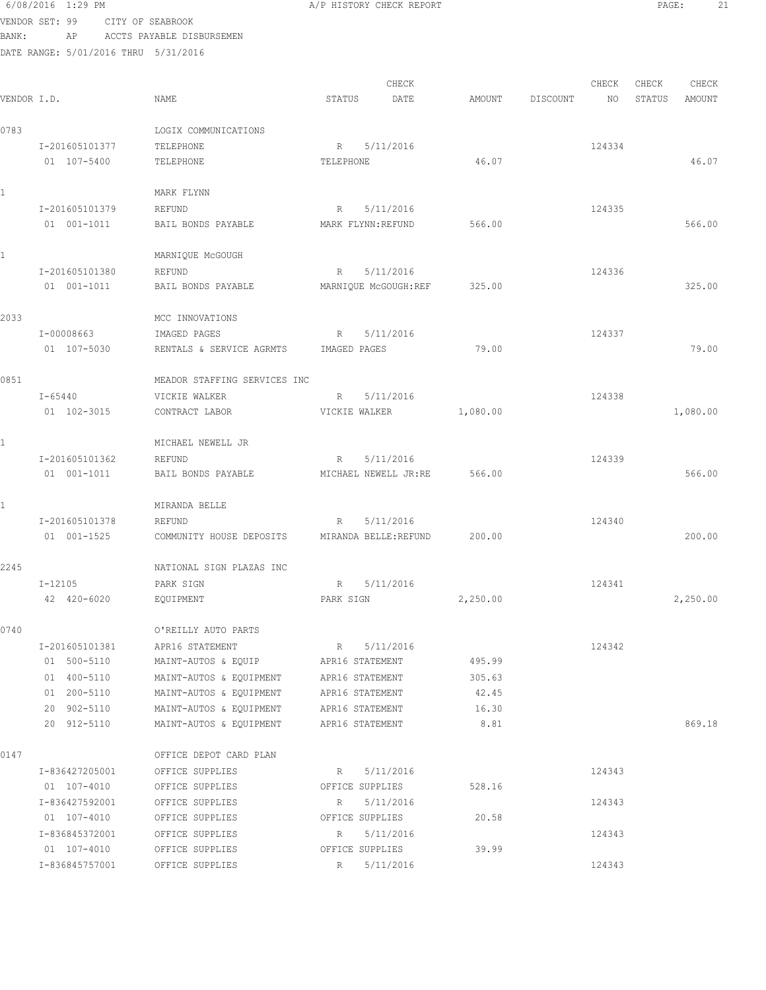6/08/2016 1:29 PM A/P HISTORY CHECK REPORT PAGE: 21 VENDOR SET: 99 CITY OF SEABROOK BANK: AP ACCTS PAYABLE DISBURSEMEN DATE RANGE: 5/01/2016 THRU 5/31/2016

CHECK CHECK CHECK CHECK .<br>In the other weakstates when the status of the contract of the extendio of the Status amount of the Mount of t<br>In the Status of the Status of the Status amount of the Status amount of the Status amount of the Status amou 0783 LOGIX COMMUNICATIONS I-201605101377 TELEPHONE R 5/11/2016 R 5/11/2016 01 107-5400 TELEPHONE TELEPHONE TELEPHONE 46.07 46.07 1 MARK FLYNN I-201605101379 REFUND R 5/11/2016 124335 01 001-1011 BAIL BONDS PAYABLE MARK FLYNN:REFUND 566.00 1 MARNIQUE MCGOUGH I-201605101380 REFUND R 5/11/2016 124336 01 001-1011 BAIL BONDS PAYABLE MARNIQUE McGOUGH:REF 325.00 325.00 325.00 2033 MCC INNOVATIONS I-00008663 IMAGED PAGES R 5/11/2016 R 5/11/2016 124337 01 107-5030 RENTALS & SERVICE AGRMTS IMAGED PAGES 79.00 79.00 79.00 0851 MEADOR STAFFING SERVICES INC I-65440 VICKIE WALKER R 5/11/2016 124338 01 102-3015 CONTRACT LABOR VICKIE WALKER 1,080.00 1,080.00 1,080.00 1 MICHAEL NEWELL JR I-201605101362 REFUND R 5/11/2016 124339 01 001-1011 BAIL BONDS PAYABLE MICHAEL NEWELL JR:RE 566.00 566.00 1 MIRANDA BELLE I-201605101378 REFUND R 5/11/2016 124340 01 001-1525 COMMUNITY HOUSE DEPOSITS MIRANDA BELLE:REFUND 200.00 200.00 2245 NATIONAL SIGN PLAZAS INC I-12105 PARK SIGN R 5/11/2016 124341 42 420-6020 EQUIPMENT PARK SIGN 2,250.00 2,250.00 0740 O'REILLY AUTO PARTS I-201605101381 APR16 STATEMENT R 5/11/2016 124342 01 500-5110 MAINT-AUTOS & EQUIP APR16 STATEMENT 495.99 01 400-5110 MAINT-AUTOS & EQUIPMENT APR16 STATEMENT 305.63 01 200-5110 MAINT-AUTOS & EQUIPMENT APR16 STATEMENT 42.45 20 902-5110 MAINT-AUTOS & EQUIPMENT APR16 STATEMENT 16.30 20 912-5110 MAINT-AUTOS & EQUIPMENT APR16 STATEMENT 8.81 869.18 0147 OFFICE DEPOT CARD PLAN I-836427205001 OFFICE SUPPLIES R 5/11/2016 R 5/11/2016 01 107-4010 OFFICE SUPPLIES OFFICE SUPPLIES 528.16 I-836427592001 OFFICE SUPPLIES R 5/11/2016 R 5/11/2016 01 107-4010 OFFICE SUPPLIES OFFICE SUPPLIES 20.58 I-836845372001 OFFICE SUPPLIES R 5/11/2016 124343 01 107-4010 OFFICE SUPPLIES OFFICE SUPPLIES 39.99 I-836845757001 OFFICE SUPPLIES R 5/11/2016 124343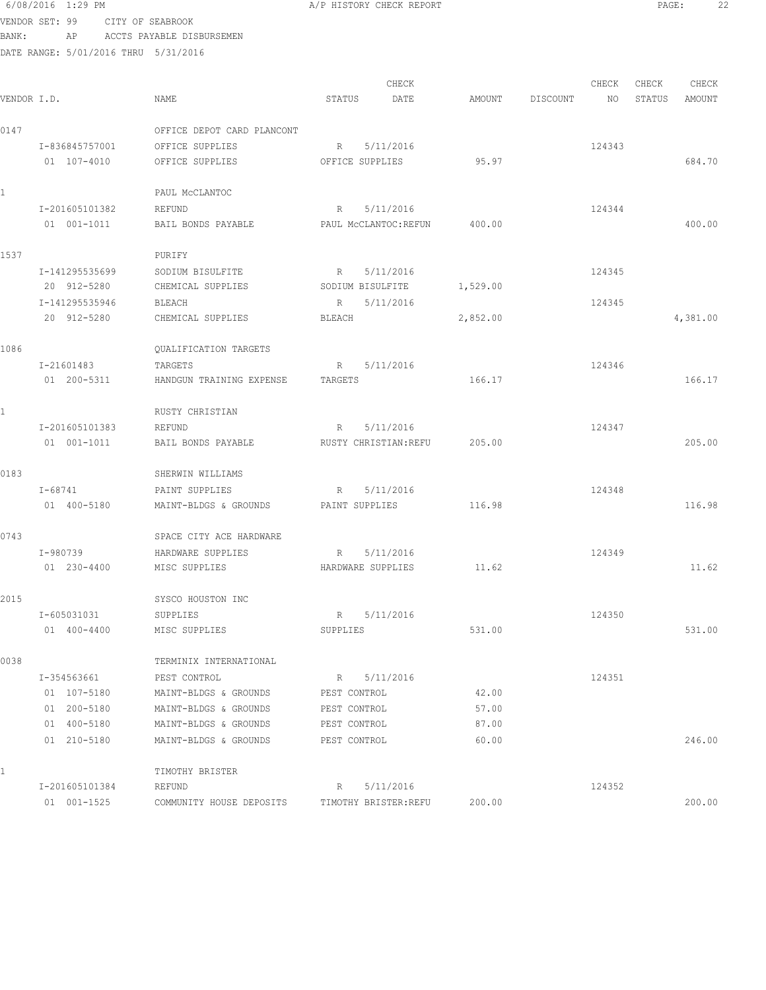| VENDOR SET: 99 |                               | CITY OF SEABROOK |                                                |                               |                |          |        |        |          |
|----------------|-------------------------------|------------------|------------------------------------------------|-------------------------------|----------------|----------|--------|--------|----------|
| BANK:          | AP                            |                  | ACCTS PAYABLE DISBURSEMEN                      |                               |                |          |        |        |          |
|                |                               |                  | DATE RANGE: 5/01/2016 THRU 5/31/2016           |                               |                |          |        |        |          |
|                |                               |                  |                                                |                               |                |          |        |        |          |
|                |                               |                  |                                                | CHECK                         |                |          | CHECK  | CHECK  | CHECK    |
| VENDOR I.D.    |                               |                  | NAME                                           | DATE<br>STATUS                | AMOUNT         | DISCOUNT | NO     | STATUS | AMOUNT   |
| 0147           |                               |                  | OFFICE DEPOT CARD PLANCONT                     |                               |                |          |        |        |          |
|                | I-836845757001                |                  | OFFICE SUPPLIES                                | 5/11/2016<br>R                |                |          | 124343 |        |          |
|                | 01 107-4010                   |                  | OFFICE SUPPLIES                                | OFFICE SUPPLIES               | 95.97          |          |        |        | 684.70   |
|                |                               |                  | PAUL MCCLANTOC                                 |                               |                |          |        |        |          |
|                | I-201605101382                |                  | REFUND                                         | 5/11/2016<br>R                |                |          | 124344 |        |          |
|                | 01 001-1011                   |                  | BAIL BONDS PAYABLE                             | PAUL MCCLANTOC:REFUN          | 400.00         |          |        |        | 400.00   |
|                |                               |                  |                                                |                               |                |          |        |        |          |
| 1537           |                               |                  | PURIFY                                         |                               |                |          |        |        |          |
|                | I-141295535699                |                  | SODIUM BISULFITE<br>CHEMICAL SUPPLIES          | 5/11/2016<br>R                |                |          | 124345 |        |          |
|                | 20 912-5280<br>I-141295535946 |                  |                                                | SODIUM BISULFITE<br>5/11/2016 | 1,529.00       |          |        |        |          |
|                | 20 912-5280                   |                  | BLEACH<br>CHEMICAL SUPPLIES                    | R<br><b>BLEACH</b>            | 2,852.00       |          | 124345 |        | 4,381.00 |
|                |                               |                  |                                                |                               |                |          |        |        |          |
| 1086           |                               |                  | QUALIFICATION TARGETS                          |                               |                |          |        |        |          |
|                | I-21601483                    |                  | TARGETS                                        | R<br>5/11/2016                |                |          | 124346 |        |          |
|                | 01 200-5311                   |                  | HANDGUN TRAINING EXPENSE                       | TARGETS                       | 166.17         |          |        |        | 166.17   |
| 1.             |                               |                  | RUSTY CHRISTIAN                                |                               |                |          |        |        |          |
|                | I-201605101383                |                  | REFUND                                         | 5/11/2016<br>R                |                |          | 124347 |        |          |
|                | 01 001-1011                   |                  | BAIL BONDS PAYABLE                             | RUSTY CHRISTIAN: REFU         | 205.00         |          |        |        | 205.00   |
| 0183           |                               |                  | SHERWIN WILLIAMS                               |                               |                |          |        |        |          |
|                | I-68741                       |                  | PAINT SUPPLIES                                 | 5/11/2016<br>R                |                |          | 124348 |        |          |
|                | 01 400-5180                   |                  | MAINT-BLDGS & GROUNDS                          | PAINT SUPPLIES                | 116.98         |          |        |        | 116.98   |
| 0743           |                               |                  | SPACE CITY ACE HARDWARE                        |                               |                |          |        |        |          |
|                | I-980739                      |                  | HARDWARE SUPPLIES                              | 5/11/2016<br>R                |                |          | 124349 |        |          |
|                | 01 230-4400                   |                  | MISC SUPPLIES                                  | HARDWARE SUPPLIES             | 11.62          |          |        |        | 11.62    |
| 2015           |                               |                  | SYSCO HOUSTON INC                              |                               |                |          |        |        |          |
|                | I-605031031                   |                  | SUPPLIES                                       | R 5/11/2016                   |                |          | 124350 |        |          |
|                | 01 400-4400                   |                  | MISC SUPPLIES                                  | SUPPLIES                      | 531.00         |          |        |        | 531.00   |
|                |                               |                  |                                                |                               |                |          |        |        |          |
| 0038           |                               |                  | TERMINIX INTERNATIONAL                         |                               |                |          |        |        |          |
|                | I-354563661                   |                  | PEST CONTROL                                   | 5/11/2016<br>R                |                |          | 124351 |        |          |
|                | 01 107-5180                   |                  | MAINT-BLDGS & GROUNDS                          | PEST CONTROL                  | 42.00          |          |        |        |          |
|                | 01 200-5180                   |                  | MAINT-BLDGS & GROUNDS                          | PEST CONTROL                  | 57.00          |          |        |        |          |
|                | 01 400-5180<br>01 210-5180    |                  | MAINT-BLDGS & GROUNDS<br>MAINT-BLDGS & GROUNDS | PEST CONTROL<br>PEST CONTROL  | 87.00<br>60.00 |          |        |        | 246.00   |
|                |                               |                  |                                                |                               |                |          |        |        |          |
|                |                               |                  | TIMOTHY BRISTER                                |                               |                |          |        |        |          |
|                | I-201605101384                |                  | REFUND                                         | 5/11/2016<br>R                |                |          | 124352 |        |          |
|                | 01 001-1525                   |                  | COMMUNITY HOUSE DEPOSITS                       | TIMOTHY BRISTER: REFU         | 200.00         |          |        |        | 200.00   |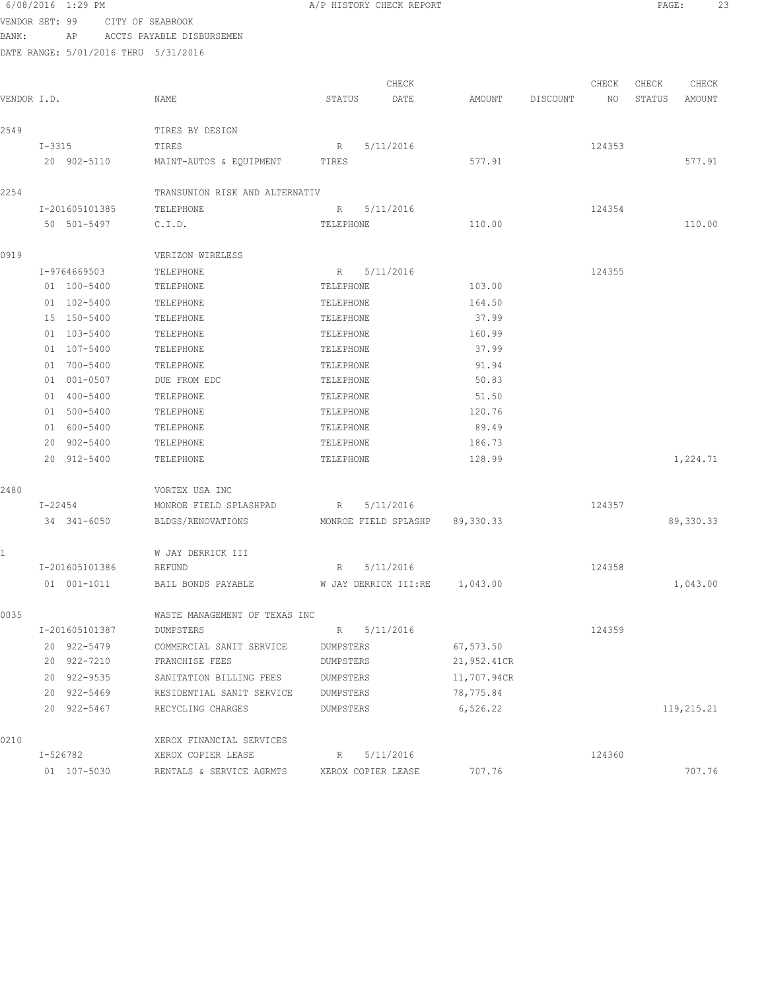|                |            | 6/08/2016 1:29 PM |                                      | A/P HISTORY CHECK REPORT |             |          |        | PAGE:  | -23        |  |
|----------------|------------|-------------------|--------------------------------------|--------------------------|-------------|----------|--------|--------|------------|--|
| VENDOR SET: 99 |            |                   | CITY OF SEABROOK                     |                          |             |          |        |        |            |  |
| BANK:          |            | AP                | ACCTS PAYABLE DISBURSEMEN            |                          |             |          |        |        |            |  |
|                |            |                   | DATE RANGE: 5/01/2016 THRU 5/31/2016 |                          |             |          |        |        |            |  |
|                |            |                   |                                      | CHECK                    |             |          | CHECK  | CHECK  | CHECK      |  |
| VENDOR I.D.    |            |                   | NAME                                 | STATUS<br>DATE           | AMOUNT      | DISCOUNT | NO     | STATUS | AMOUNT     |  |
| 2549           |            |                   | TIRES BY DESIGN                      |                          |             |          |        |        |            |  |
|                | $I - 3315$ |                   | TIRES                                | 5/11/2016<br>R           |             |          | 124353 |        |            |  |
|                |            | 20 902-5110       | MAINT-AUTOS & EQUIPMENT              | TIRES                    | 577.91      |          |        |        | 577.91     |  |
| 2254           |            |                   | TRANSUNION RISK AND ALTERNATIV       |                          |             |          |        |        |            |  |
|                |            | I-201605101385    | TELEPHONE                            | 5/11/2016<br>R           |             |          | 124354 |        |            |  |
|                |            | 50 501-5497       | C.I.D.                               | TELEPHONE                | 110.00      |          |        |        | 110.00     |  |
| 0919           |            |                   | VERIZON WIRELESS                     |                          |             |          |        |        |            |  |
|                |            | I-9764669503      | TELEPHONE                            | 5/11/2016<br>$R_{\perp}$ |             |          | 124355 |        |            |  |
|                |            | 01 100-5400       | TELEPHONE                            | TELEPHONE                | 103.00      |          |        |        |            |  |
|                |            | 01 102-5400       | TELEPHONE                            | TELEPHONE                | 164.50      |          |        |        |            |  |
|                |            | 15 150-5400       | TELEPHONE                            | TELEPHONE                | 37.99       |          |        |        |            |  |
|                |            | 01 103-5400       | TELEPHONE                            | TELEPHONE                | 160.99      |          |        |        |            |  |
|                |            | 01 107-5400       | TELEPHONE                            | TELEPHONE                | 37.99       |          |        |        |            |  |
|                |            | 01 700-5400       | TELEPHONE                            | TELEPHONE                | 91.94       |          |        |        |            |  |
|                |            | 01 001-0507       | DUE FROM EDC                         | TELEPHONE                | 50.83       |          |        |        |            |  |
|                |            | 01 400-5400       | TELEPHONE                            | TELEPHONE                | 51.50       |          |        |        |            |  |
|                |            | 01 500-5400       | TELEPHONE                            | TELEPHONE                | 120.76      |          |        |        |            |  |
|                |            | 01 600-5400       | TELEPHONE                            | TELEPHONE                | 89.49       |          |        |        |            |  |
|                |            | 20 902-5400       | TELEPHONE                            | TELEPHONE                | 186.73      |          |        |        |            |  |
|                |            | 20 912-5400       | TELEPHONE                            | TELEPHONE                | 128.99      |          |        |        | 1,224.71   |  |
| 2480           |            |                   | VORTEX USA INC                       |                          |             |          |        |        |            |  |
|                |            | I-22454           | MONROE FIELD SPLASHPAD               | R<br>5/11/2016           |             |          | 124357 |        |            |  |
|                |            | 34 341-6050       | BLDGS/RENOVATIONS                    | MONROE FIELD SPLASHP     | 89, 330. 33 |          |        |        | 89,330.33  |  |
| 1              |            |                   | W JAY DERRICK III                    |                          |             |          |        |        |            |  |
|                |            | I-201605101386    | REFUND                               | 5/11/2016<br>R           |             |          | 124358 |        |            |  |
|                |            | $01 001 - 1011$   | BAIL BONDS PAYABLE                   | W JAY DERRICK III:RE     | 1,043.00    |          |        |        | 1,043.00   |  |
| 0035           |            |                   | WASTE MANAGEMENT OF TEXAS INC        |                          |             |          |        |        |            |  |
|                |            | I-201605101387    | DUMPSTERS                            | R 5/11/2016              |             |          | 124359 |        |            |  |
|                |            | 20 922-5479       | COMMERCIAL SANIT SERVICE             | DUMPSTERS                | 67,573.50   |          |        |        |            |  |
|                |            | 20 922-7210       | FRANCHISE FEES                       | DUMPSTERS                | 21,952.41CR |          |        |        |            |  |
|                |            | 20 922-9535       | SANITATION BILLING FEES              | DUMPSTERS                | 11,707.94CR |          |        |        |            |  |
|                |            | 20 922-5469       | RESIDENTIAL SANIT SERVICE            | DUMPSTERS                | 78,775.84   |          |        |        |            |  |
|                |            | 20 922-5467       | RECYCLING CHARGES                    | DUMPSTERS                | 6,526.22    |          |        |        | 119,215.21 |  |
| 0210           |            |                   | XEROX FINANCIAL SERVICES             |                          |             |          |        |        |            |  |
|                | I-526782   |                   | XEROX COPIER LEASE                   | 5/11/2016<br>R           |             |          | 124360 |        |            |  |
|                |            | 01 107-5030       | RENTALS & SERVICE AGRMTS             | XEROX COPIER LEASE       | 707.76      |          |        |        | 707.76     |  |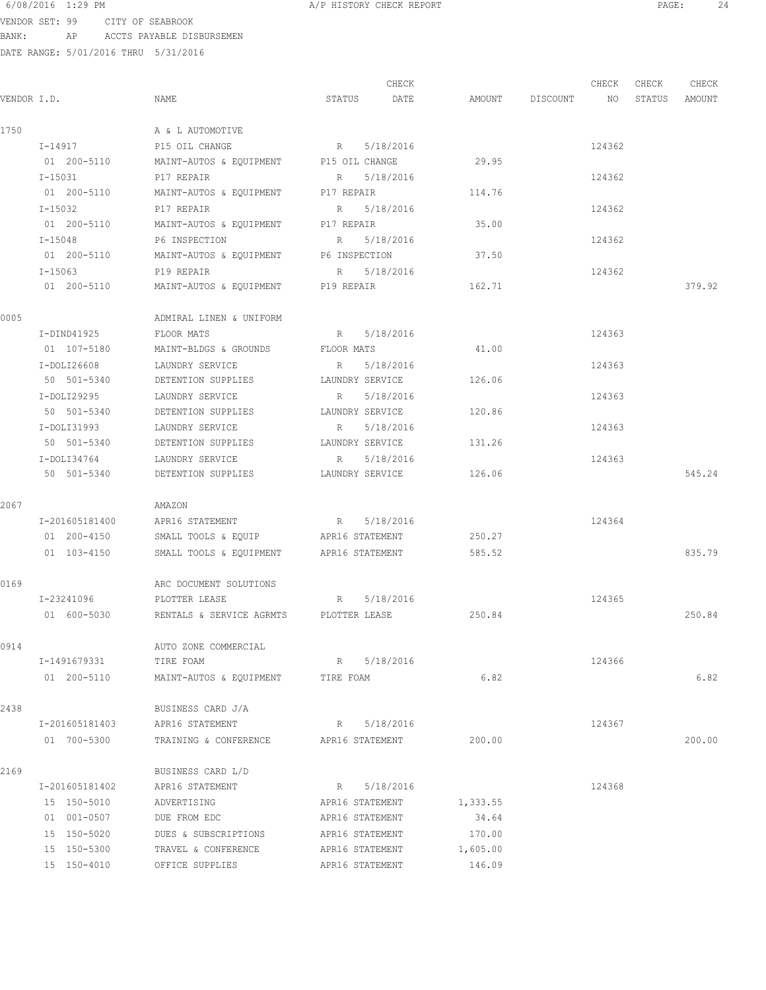VENDOR SET: 99 CITY OF SEABROOK BANK: AP ACCTS PAYABLE DISBURSEMEN

|             |                |                                         |                 | CHECK     |          |                    | CHECK  | CHECK  | CHECK  |
|-------------|----------------|-----------------------------------------|-----------------|-----------|----------|--------------------|--------|--------|--------|
| VENDOR I.D. |                | NAME                                    | STATUS          | DATE      |          | AMOUNT DISCOUNT NO |        | STATUS | AMOUNT |
| 1750        |                | A & L AUTOMOTIVE                        |                 |           |          |                    |        |        |        |
|             | $I - 14917$    | P15 OIL CHANGE                          | R 5/18/2016     |           |          |                    | 124362 |        |        |
|             | 01 200-5110    | MAINT-AUTOS & EQUIPMENT P15 OIL CHANGE  |                 |           | 29.95    |                    |        |        |        |
|             | I-15031        | P17 REPAIR                              | R 5/18/2016     |           |          |                    | 124362 |        |        |
|             | 01 200-5110    | MAINT-AUTOS & EQUIPMENT P17 REPAIR      |                 |           | 114.76   |                    |        |        |        |
|             | I-15032        | P17 REPAIR                              | R 5/18/2016     |           |          |                    | 124362 |        |        |
|             | 01 200-5110    | MAINT-AUTOS & EQUIPMENT P17 REPAIR      |                 |           | 35.00    |                    |        |        |        |
|             | $I - 15048$    | P6 INSPECTION                           | R 5/18/2016     |           |          |                    | 124362 |        |        |
|             | 01 200-5110    | MAINT-AUTOS & EQUIPMENT P6 INSPECTION   |                 |           | 37.50    |                    |        |        |        |
|             | I-15063        | P19 REPAIR                              | R 5/18/2016     |           |          |                    | 124362 |        |        |
|             | 01 200-5110    | MAINT-AUTOS & EQUIPMENT P19 REPAIR      |                 |           | 162.71   |                    |        |        | 379.92 |
| 0005        |                | ADMIRAL LINEN & UNIFORM                 |                 |           |          |                    |        |        |        |
|             | I-DIND41925    | FLOOR MATS                              | R 5/18/2016     |           |          |                    | 124363 |        |        |
|             | 01 107-5180    | MAINT-BLDGS & GROUNDS FLOOR MATS        |                 |           | 41.00    |                    |        |        |        |
|             | $I-DOLI26608$  | LAUNDRY SERVICE                         | R               | 5/18/2016 |          |                    | 124363 |        |        |
|             | 50 501-5340    | DETENTION SUPPLIES LAUNDRY SERVICE      |                 |           | 126.06   |                    |        |        |        |
|             | I-DOLI29295    | LAUNDRY SERVICE                         | R               | 5/18/2016 |          |                    | 124363 |        |        |
|             | 50 501-5340    | DETENTION SUPPLIES                      | LAUNDRY SERVICE |           | 120.86   |                    |        |        |        |
|             | I-DOLI31993    | LAUNDRY SERVICE                         | R               | 5/18/2016 |          |                    | 124363 |        |        |
|             | 50 501-5340    | DETENTION SUPPLIES                      | LAUNDRY SERVICE |           | 131.26   |                    |        |        |        |
|             | $I-DOLI34764$  | LAUNDRY SERVICE                         | R 5/18/2016     |           |          |                    | 124363 |        |        |
|             | 50 501-5340    | DETENTION SUPPLIES                      | LAUNDRY SERVICE |           | 126.06   |                    |        |        | 545.24 |
| 2067        |                | AMAZON                                  |                 |           |          |                    |        |        |        |
|             | I-201605181400 | APR16 STATEMENT                         | R 5/18/2016     |           |          |                    | 124364 |        |        |
|             | 01 200-4150    | SMALL TOOLS & EQUIP APR16 STATEMENT     |                 |           | 250.27   |                    |        |        |        |
|             | 01 103-4150    | SMALL TOOLS & EQUIPMENT APR16 STATEMENT |                 |           | 585.52   |                    |        |        | 835.79 |
| 0169        |                | ARC DOCUMENT SOLUTIONS                  |                 |           |          |                    |        |        |        |
|             | I-23241096     | PLOTTER LEASE                           | R 5/18/2016     |           |          |                    | 124365 |        |        |
|             | 01 600-5030    | RENTALS & SERVICE AGRMTS PLOTTER LEASE  |                 |           | 250.84   |                    |        |        | 250.84 |
| 0914        |                | AUTO ZONE COMMERCIAL                    |                 |           |          |                    |        |        |        |
|             | I-1491679331   | TIRE FOAM                               | R 5/18/2016     |           |          |                    | 124366 |        |        |
|             | 01 200-5110    | MAINT-AUTOS & EQUIPMENT TIRE FOAM       |                 |           | 6.82     |                    |        |        | 6.82   |
| 2438        |                | BUSINESS CARD J/A                       |                 |           |          |                    |        |        |        |
|             | I-201605181403 | APR16 STATEMENT                         | R 5/18/2016     |           |          |                    | 124367 |        |        |
|             | 01 700-5300    | TRAINING & CONFERENCE APR16 STATEMENT   |                 |           | 200.00   |                    |        |        | 200.00 |
| 2169        |                | BUSINESS CARD L/D                       |                 |           |          |                    |        |        |        |
|             | I-201605181402 | APR16 STATEMENT                         | R 5/18/2016     |           |          |                    | 124368 |        |        |
|             | 15 150-5010    | ADVERTISING                             | APR16 STATEMENT |           | 1,333.55 |                    |        |        |        |
|             | 01 001-0507    | DUE FROM EDC                            | APR16 STATEMENT |           | 34.64    |                    |        |        |        |
|             | 15 150-5020    | DUES & SUBSCRIPTIONS                    | APR16 STATEMENT |           | 170.00   |                    |        |        |        |
|             | 15 150-5300    | TRAVEL & CONFERENCE                     | APR16 STATEMENT |           | 1,605.00 |                    |        |        |        |
|             | 15 150-4010    | OFFICE SUPPLIES                         | APR16 STATEMENT |           | 146.09   |                    |        |        |        |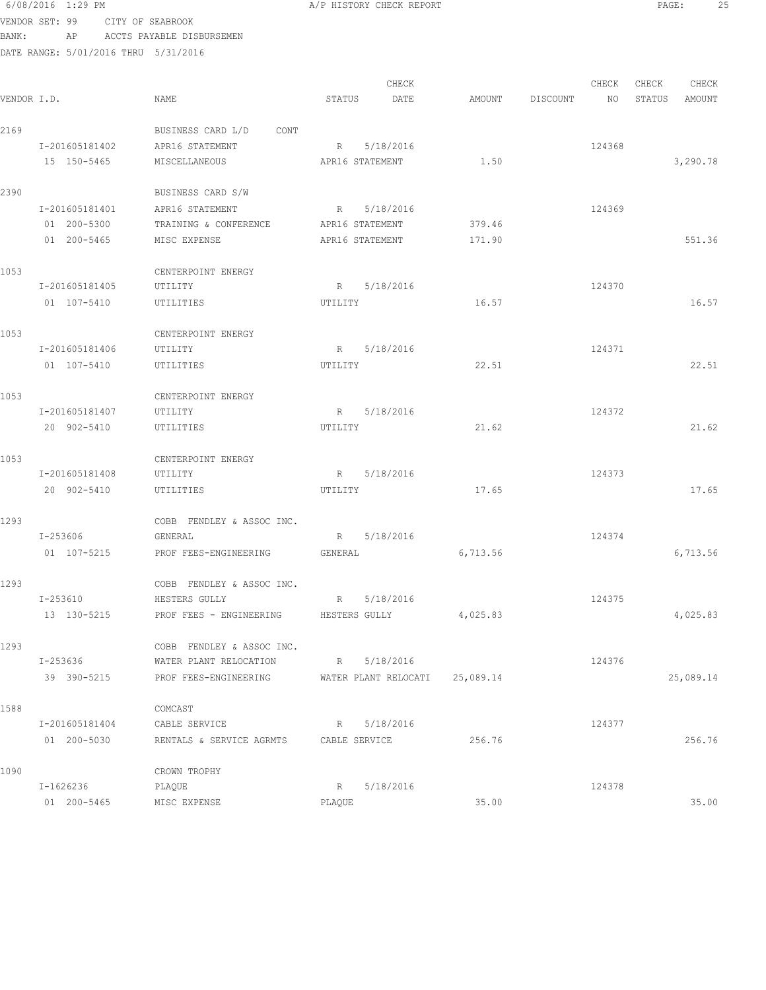## 6/08/2016 1:29 PM **A/P HISTORY CHECK REPORT PAGE:** 25 VENDOR SET: 99 CITY OF SEABROOK

BANK: AP ACCTS PAYABLE DISBURSEMEN

| VENDOR I.D. |                | NAME                          | STATUS                 | CHECK<br>DATE                  |          | AMOUNT DISCOUNT NO | CHECK  | CHECK | CHECK<br>STATUS AMOUNT |
|-------------|----------------|-------------------------------|------------------------|--------------------------------|----------|--------------------|--------|-------|------------------------|
|             |                |                               |                        |                                |          |                    |        |       |                        |
| 2169        |                | BUSINESS CARD L/D CONT        |                        |                                |          |                    |        |       |                        |
|             | I-201605181402 | APR16 STATEMENT               | R                      | 5/18/2016                      |          |                    | 124368 |       |                        |
|             | 15 150-5465    | MISCELLANEOUS                 | APR16 STATEMENT        |                                | 1.50     |                    |        |       | 3,290.78               |
| 2390        |                | BUSINESS CARD S/W             |                        |                                |          |                    |        |       |                        |
|             | I-201605181401 | APR16 STATEMENT               | R 5/18/2016            |                                |          |                    | 124369 |       |                        |
|             | 01 200-5300    | TRAINING & CONFERENCE         | APR16 STATEMENT        |                                | 379.46   |                    |        |       |                        |
|             | 01 200-5465    | MISC EXPENSE                  | APR16 STATEMENT        |                                | 171.90   |                    |        |       | 551.36                 |
| 1053        |                | CENTERPOINT ENERGY            |                        |                                |          |                    |        |       |                        |
|             | I-201605181405 | UTILITY                       | R 5/18/2016            |                                |          |                    | 124370 |       |                        |
|             | 01 107-5410    | UTILITIES                     | UTILITY                |                                | 16.57    |                    |        |       | 16.57                  |
| 1053        |                | CENTERPOINT ENERGY            |                        |                                |          |                    |        |       |                        |
|             | I-201605181406 | UTILITY                       | R 5/18/2016            |                                |          |                    | 124371 |       |                        |
|             | 01 107-5410    | UTILITIES                     | UTILITY                |                                | 22.51    |                    |        |       | 22.51                  |
| 1053        |                | CENTERPOINT ENERGY            |                        |                                |          |                    |        |       |                        |
|             | I-201605181407 | UTILITY                       | R 5/18/2016            |                                |          |                    | 124372 |       |                        |
|             | 20 902-5410    | UTILITIES                     | UTILITY                |                                | 21.62    |                    |        |       | 21.62                  |
| 1053        |                | CENTERPOINT ENERGY            |                        |                                |          |                    |        |       |                        |
|             | I-201605181408 | UTILITY                       | R 5/18/2016            |                                |          |                    | 124373 |       |                        |
|             | 20 902-5410    | UTILITIES                     | UTILITY                |                                | 17.65    |                    |        |       | 17.65                  |
| 1293        |                | COBB FENDLEY & ASSOC INC.     |                        |                                |          |                    |        |       |                        |
|             | I-253606       | GENERAL                       | R 5/18/2016            |                                |          |                    | 124374 |       |                        |
|             | 01 107-5215    | PROF FEES-ENGINEERING GENERAL |                        |                                | 6,713.56 |                    |        |       | 6,713.56               |
| 1293        |                | COBB FENDLEY & ASSOC INC.     |                        |                                |          |                    |        |       |                        |
|             | $I - 253610$   | HESTERS GULLY                 | R 5/18/2016            |                                |          |                    | 124375 |       |                        |
|             | 13 130-5215    | PROF FEES - ENGINEERING       | HESTERS GULLY 4,025.83 |                                |          |                    |        |       | 4,025.83               |
| 1293        |                | COBB FENDLEY & ASSOC INC.     |                        |                                |          |                    |        |       |                        |
|             | I-253636       | WATER PLANT RELOCATION        | R 5/18/2016            |                                |          |                    | 124376 |       |                        |
|             | 39 390-5215    | PROF FEES-ENGINEERING         |                        | WATER PLANT RELOCATI 25,089.14 |          |                    |        |       | 25,089.14              |
| 1588        |                | COMCAST                       |                        |                                |          |                    |        |       |                        |
|             | I-201605181404 | CABLE SERVICE                 | $R_{\perp}$            | 5/18/2016                      |          |                    | 124377 |       |                        |
|             | 01 200-5030    | RENTALS & SERVICE AGRMTS      | CABLE SERVICE          |                                | 256.76   |                    |        |       | 256.76                 |
| 1090        |                | CROWN TROPHY                  |                        |                                |          |                    |        |       |                        |
|             | I-1626236      | PLAQUE                        | R                      | 5/18/2016                      |          |                    | 124378 |       |                        |
|             | 01 200-5465    | MISC EXPENSE                  | PLAQUE                 |                                | 35.00    |                    |        |       | 35.00                  |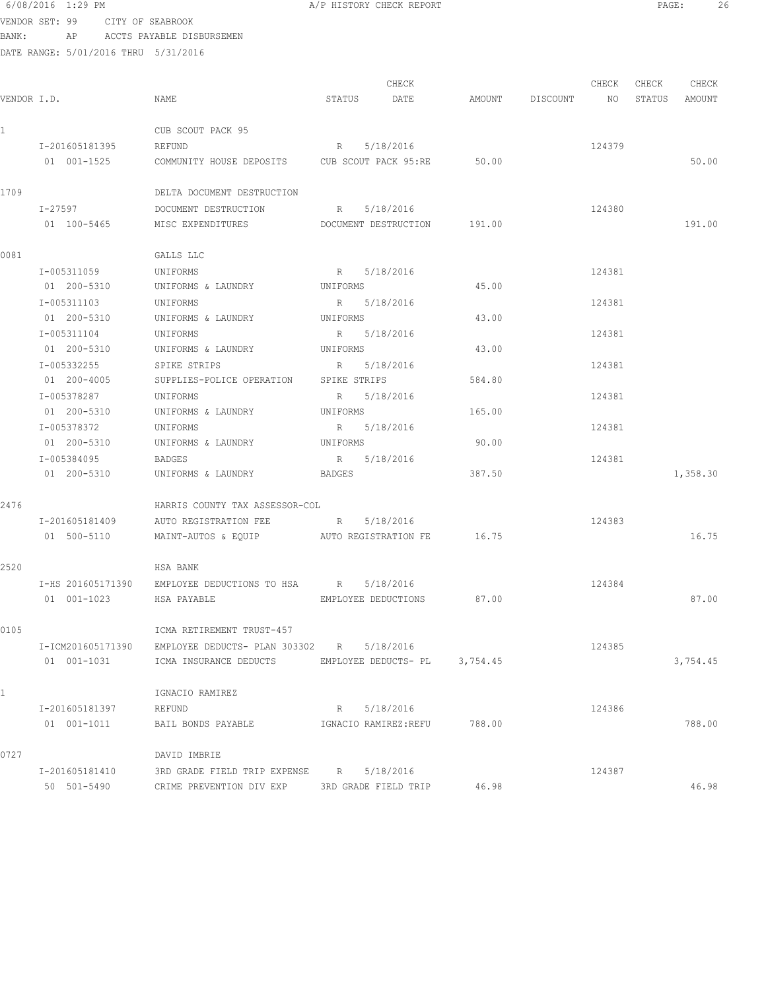## 6/08/2016 1:29 PM A/P HISTORY CHECK REPORT PAGE: 26 VENDOR SET: 99 CITY OF SEABROOK

| VERDOR DEL JJ – CIII VI DEREDIOOR    |    |  |                           |  |
|--------------------------------------|----|--|---------------------------|--|
| BANK :                               | AP |  | ACCTS PAYABLE DISBURSEMEN |  |
| DATE RANGE: 5/01/2016 THRU 5/31/2016 |    |  |                           |  |

|              |                   |                                                          |              | CHECK                         |        |                 | CHECK  | CHECK  | CHECK    |
|--------------|-------------------|----------------------------------------------------------|--------------|-------------------------------|--------|-----------------|--------|--------|----------|
| VENDOR I.D.  |                   | NAME                                                     | STATUS       | DATE                          |        | AMOUNT DISCOUNT | NO     | STATUS | AMOUNT   |
| $\mathbf{1}$ |                   | CUB SCOUT PACK 95                                        |              |                               |        |                 |        |        |          |
|              | I-201605181395    | REFUND                                                   | R            | 5/18/2016                     |        |                 | 124379 |        |          |
|              | 01 001-1525       | COMMUNITY HOUSE DEPOSITS CUB SCOUT PACK 95:RE 50.00      |              |                               |        |                 |        |        | 50.00    |
| 1709         |                   | DELTA DOCUMENT DESTRUCTION                               |              |                               |        |                 |        |        |          |
|              | I-27597           | DOCUMENT DESTRUCTION                                     | R 5/18/2016  |                               |        |                 | 124380 |        |          |
|              | 01 100-5465       | MISC EXPENDITURES                                        |              | DOCUMENT DESTRUCTION 191.00   |        |                 |        |        | 191.00   |
| 0081         |                   | GALLS LLC                                                |              |                               |        |                 |        |        |          |
|              | I-005311059       | UNIFORMS                                                 | R 5/18/2016  |                               |        |                 | 124381 |        |          |
|              | 01 200-5310       | UNIFORMS & LAUNDRY UNIFORMS                              |              |                               | 45.00  |                 |        |        |          |
|              | I-005311103       | UNIFORMS                                                 | R 5/18/2016  |                               |        |                 | 124381 |        |          |
|              | 01 200-5310       | UNIFORMS & LAUNDRY                                       | UNIFORMS     |                               | 43.00  |                 |        |        |          |
|              | I-005311104       | UNIFORMS                                                 | R 5/18/2016  |                               |        |                 | 124381 |        |          |
|              | 01 200-5310       | UNIFORMS & LAUNDRY                                       | UNIFORMS     |                               | 43.00  |                 |        |        |          |
|              | I-005332255       | SPIKE STRIPS                                             | R 5/18/2016  |                               |        |                 | 124381 |        |          |
|              | 01 200-4005       | SUPPLIES-POLICE OPERATION                                | SPIKE STRIPS |                               | 584.80 |                 |        |        |          |
|              | I-005378287       | UNIFORMS                                                 | R 5/18/2016  |                               |        |                 | 124381 |        |          |
|              | 01 200-5310       | UNIFORMS & LAUNDRY                                       | UNIFORMS     |                               | 165.00 |                 |        |        |          |
|              | I-005378372       | UNIFORMS                                                 | R 5/18/2016  |                               |        |                 | 124381 |        |          |
|              | 01 200-5310       | UNIFORMS & LAUNDRY                                       | UNIFORMS     |                               | 90.00  |                 |        |        |          |
|              | I-005384095       | <b>BADGES</b>                                            | R 5/18/2016  |                               |        |                 | 124381 |        |          |
|              | 01 200-5310       | UNIFORMS & LAUNDRY BADGES                                |              |                               | 387.50 |                 |        |        | 1,358.30 |
| 2476         |                   | HARRIS COUNTY TAX ASSESSOR-COL                           |              |                               |        |                 |        |        |          |
|              | I-201605181409    | AUTO REGISTRATION FEE                                    | R            | 5/18/2016                     |        |                 | 124383 |        |          |
|              | 01 500-5110       | MAINT-AUTOS & EQUIP AUTO REGISTRATION FE 16.75           |              |                               |        |                 |        |        | 16.75    |
| 2520         |                   | HSA BANK                                                 |              |                               |        |                 |        |        |          |
|              |                   | I-HS 201605171390 EMPLOYEE DEDUCTIONS TO HSA R 5/18/2016 |              |                               |        |                 | 124384 |        |          |
|              | 01 001-1023       | HSA PAYABLE                                              |              | EMPLOYEE DEDUCTIONS 87.00     |        |                 |        |        | 87.00    |
| 0105         |                   | ICMA RETIREMENT TRUST-457                                |              |                               |        |                 |        |        |          |
|              | I-ICM201605171390 | EMPLOYEE DEDUCTS- PLAN 303302 R                          |              | 5/18/2016                     |        |                 | 124385 |        |          |
|              | 01 001-1031       | ICMA INSURANCE DEDUCTS                                   |              | EMPLOYEE DEDUCTS- PL 3,754.45 |        |                 |        |        | 3,754.45 |
|              |                   | IGNACIO RAMIREZ                                          |              |                               |        |                 |        |        |          |
|              | I-201605181397    | REFUND                                                   | R            | 5/18/2016                     |        |                 | 124386 |        |          |
|              | 01 001-1011       | BAIL BONDS PAYABLE                                       |              | IGNACIO RAMIREZ:REFU          | 788.00 |                 |        |        | 788.00   |
| 0727         |                   | DAVID IMBRIE                                             |              |                               |        |                 |        |        |          |
|              | I-201605181410    | 3RD GRADE FIELD TRIP EXPENSE R 5/18/2016                 |              |                               |        |                 | 124387 |        |          |
|              | 50 501-5490       | CRIME PREVENTION DIV EXP 3RD GRADE FIELD TRIP            |              |                               | 46.98  |                 |        |        | 46.98    |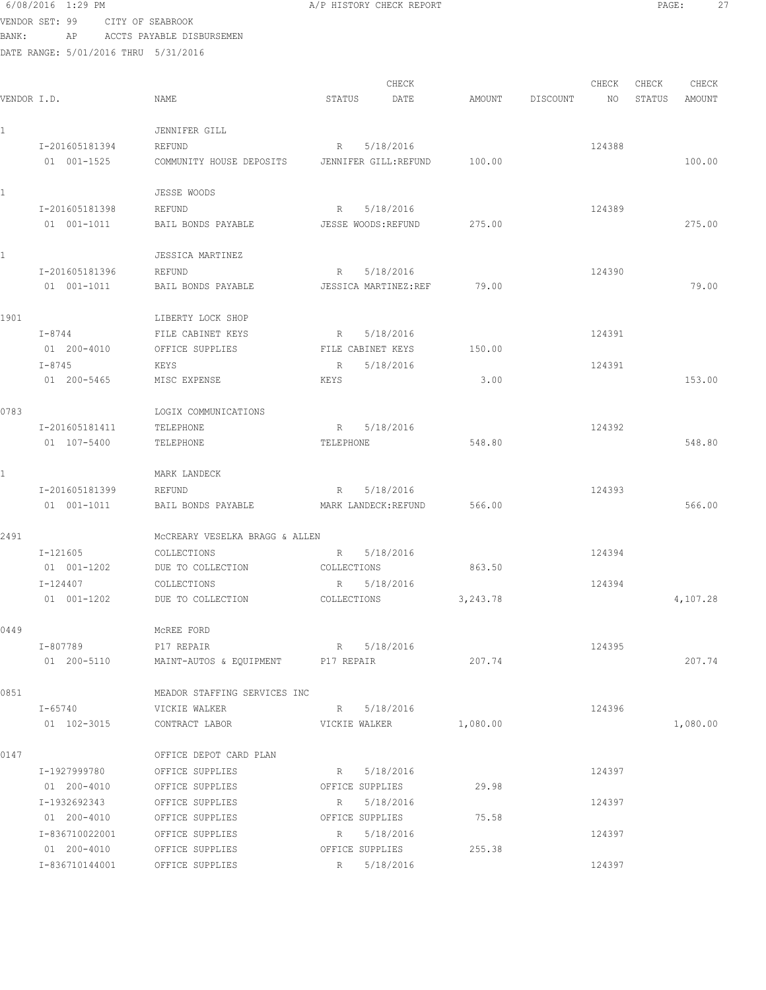6/08/2016 1:29 PM A/P HISTORY CHECK REPORT PAGE: 27 VENDOR SET: 99 CITY OF SEABROOK BANK: AP ACCTS PAYABLE DISBURSEMEN DATE RANGE: 5/01/2016 THRU 5/31/2016 CHECK CHECK CHECK CHECK CHECK CHECK CHECK CHECK CHECK CHECK CHECK CHECK CHECK CHECK CHECK CHECK CHECK CHECK CHECK CHECK CHECK CHECK CHECK CHECK CHECK CHECK CHECK CHECK CHECK CHECK CHECK CHECK CHECK CHECK CHECK CHECK CHECK VENDOR I.D. NAME STATUS DATE AMOUNT DISCOUNT NO STATUS AMOUNT 1 JENNIFER GILL I-201605181394 REFUND R 5/18/2016 R 5/18/2016 01 001-1525 COMMUNITY HOUSE DEPOSITS JENNIFER GILL:REFUND 100.00 100.00 1 JESSE WOODS I-201605181398 REFUND R 5/18/2016 124389 01 001-1011 BAIL BONDS PAYABLE JESSE WOODS:REFUND 275.00 1 JESSICA MARTINEZ I-201605181396 REFUND R 5/18/2016 R 5/18/2016 01 001-1011 BAIL BONDS PAYABLE JESSICA MARTINEZ:REF 79.00 79.00 1901 LIBERTY LOCK SHOP I-8744 FILE CABINET KEYS R 5/18/2016 124391 01 200-4010 OFFICE SUPPLIES FILE CABINET KEYS 150.00 I-8745 KEYS R 5/18/2016 124391

| <b>PAGE</b><br>×<br>۰. |  |
|------------------------|--|
|                        |  |

 01 200-5465 MISC EXPENSE KEYS 3.00 153.00 0783 LOGIX COMMUNICATIONS I-201605181411 TELEPHONE R 5/18/2016 R 5/18/2016 01 107-5400 TELEPHONE TELEPHONE TELEPHONE 548.80 1 MARK LANDECK I-201605181399 REFUND R 5/18/2016 124393 01 001-1011 BAIL BONDS PAYABLE MARK LANDECK:REFUND 566.00 2491 McCREARY VESELKA BRAGG & ALLEN I-121605 COLLECTIONS R 5/18/2016 124394 01 001-1202 DUE TO COLLECTION COLLECTIONS 863.50 I-124407 COLLECTIONS R 5/18/2016 124394 01 001-1202 DUE TO COLLECTION COLLECTIONS 3,243.78 4,107.28 0449 McREE FORD I-807789 P17 REPAIR R 5/18/2016 R 5/18/2016 01 200-5110 MAINT-AUTOS & EQUIPMENT P17 REPAIR 207.74 207.74 0851 MEADOR STAFFING SERVICES INC I-65740 VICKIE WALKER R R 5/18/2016 R 5/18/2016 01 102-3015 CONTRACT LABOR VICKIE WALKER 1,080.00 1,080.00 1,080.00 0147 OFFICE DEPOT CARD PLAN I-1927999780 OFFICE SUPPLIES R 5/18/2016 R 5/18/2016 01 200-4010 OFFICE SUPPLIES OFFICE SUPPLIES 29.98

I-1932692343 OFFICE SUPPLIES R 5/18/2016 124397

I-836710022001 OFFICE SUPPLIES R 5/18/2016 124397

I-836710144001 OFFICE SUPPLIES R 5/18/2016 124397

01 200-4010 OFFICE SUPPLIES OFFICE SUPPLIES 75.58

01 200-4010 OFFICE SUPPLIES OFFICE SUPPLIES 255.38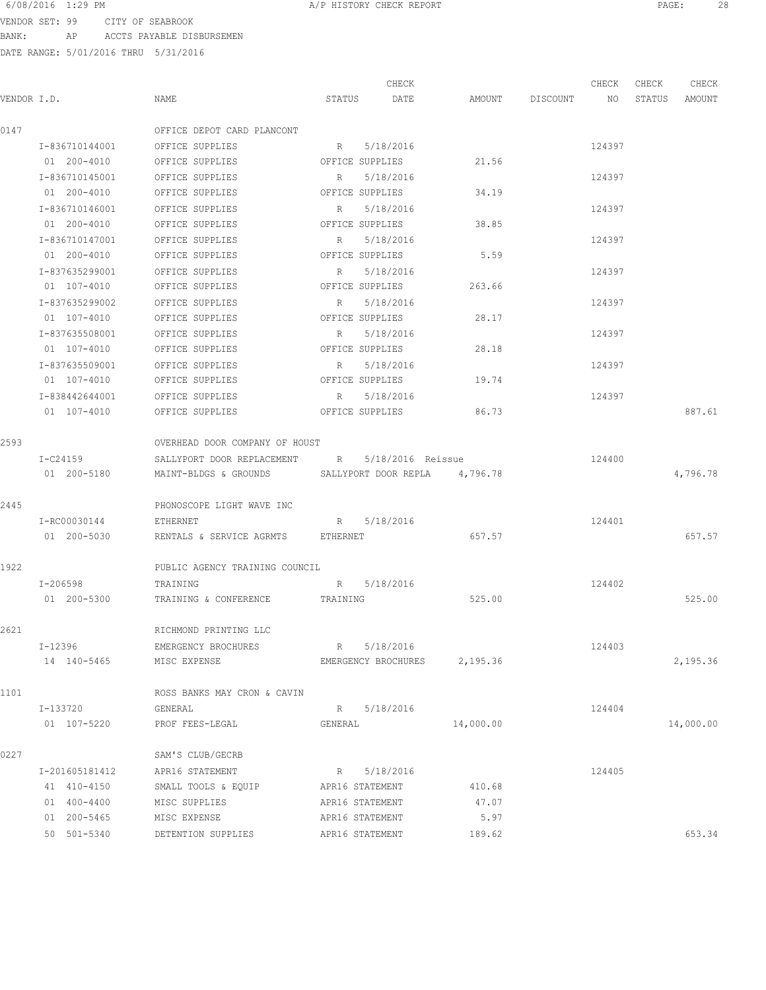VENDOR SET: 99 CITY OF SEABROOK BANK: AP ACCTS PAYABLE DISBURSEMEN

|             |                |                                                     |         | CHECK                        |           |                    | CHECK  | CHECK  | CHECK     |
|-------------|----------------|-----------------------------------------------------|---------|------------------------------|-----------|--------------------|--------|--------|-----------|
| VENDOR I.D. |                | NAME                                                | STATUS  | DATE                         |           | AMOUNT DISCOUNT NO |        | STATUS | AMOUNT    |
| 0147        |                | OFFICE DEPOT CARD PLANCONT                          |         |                              |           |                    |        |        |           |
|             | I-836710144001 | OFFICE SUPPLIES                                     |         | R 5/18/2016                  |           |                    | 124397 |        |           |
|             | 01 200-4010    | OFFICE SUPPLIES                                     |         | OFFICE SUPPLIES              | 21.56     |                    |        |        |           |
|             | I-836710145001 | OFFICE SUPPLIES                                     | R       | 5/18/2016                    |           |                    | 124397 |        |           |
|             | 01 200-4010    | OFFICE SUPPLIES                                     |         | OFFICE SUPPLIES              | 34.19     |                    |        |        |           |
|             | I-836710146001 | OFFICE SUPPLIES                                     |         | R 5/18/2016                  |           |                    | 124397 |        |           |
|             | 01 200-4010    | OFFICE SUPPLIES                                     |         | OFFICE SUPPLIES              | 38.85     |                    |        |        |           |
|             | I-836710147001 | OFFICE SUPPLIES                                     |         | R 5/18/2016                  |           |                    | 124397 |        |           |
|             | 01 200-4010    | OFFICE SUPPLIES                                     |         | OFFICE SUPPLIES              | 5.59      |                    |        |        |           |
|             | I-837635299001 | OFFICE SUPPLIES                                     |         | R 5/18/2016                  |           |                    | 124397 |        |           |
|             | 01 107-4010    | OFFICE SUPPLIES                                     |         | OFFICE SUPPLIES              | 263.66    |                    |        |        |           |
|             | I-837635299002 | OFFICE SUPPLIES                                     | R       | 5/18/2016                    |           |                    | 124397 |        |           |
|             | 01 107-4010    | OFFICE SUPPLIES                                     |         | OFFICE SUPPLIES              | 28.17     |                    |        |        |           |
|             | I-837635508001 | OFFICE SUPPLIES                                     | R       | 5/18/2016                    |           |                    | 124397 |        |           |
|             | 01 107-4010    | OFFICE SUPPLIES                                     |         | OFFICE SUPPLIES              | 28.18     |                    |        |        |           |
|             | I-837635509001 | OFFICE SUPPLIES                                     | R       | 5/18/2016                    |           |                    | 124397 |        |           |
|             | 01 107-4010    | OFFICE SUPPLIES                                     |         | OFFICE SUPPLIES              | 19.74     |                    |        |        |           |
|             | I-838442644001 | OFFICE SUPPLIES                                     | R       | 5/18/2016                    |           |                    | 124397 |        |           |
|             | 01 107-4010    | OFFICE SUPPLIES                                     |         | OFFICE SUPPLIES              | 86.73     |                    |        |        | 887.61    |
| 2593        |                | OVERHEAD DOOR COMPANY OF HOUST                      |         |                              |           |                    |        |        |           |
|             | $I-C24159$     | SALLYPORT DOOR REPLACEMENT R 5/18/2016 Reissue      |         |                              |           |                    | 124400 |        |           |
|             | 01 200-5180    | MAINT-BLDGS & GROUNDS SALLYPORT DOOR REPLA 4,796.78 |         |                              |           |                    |        |        | 4,796.78  |
| 2445        |                | PHONOSCOPE LIGHT WAVE INC                           |         |                              |           |                    |        |        |           |
|             | I-RC00030144   | ETHERNET                                            |         | R 5/18/2016                  |           |                    | 124401 |        |           |
|             | 01 200-5030    | RENTALS & SERVICE AGRMTS ETHERNET                   |         |                              | 657.57    |                    |        |        | 657.57    |
| 1922        |                | PUBLIC AGENCY TRAINING COUNCIL                      |         |                              |           |                    |        |        |           |
|             | I-206598       | TRAINING                                            |         | R 5/18/2016                  |           |                    | 124402 |        |           |
|             | 01 200-5300    | TRAINING & CONFERENCE TRAINING                      |         |                              | 525.00    |                    |        |        | 525.00    |
| 2621        |                | RICHMOND PRINTING LLC                               |         |                              |           |                    |        |        |           |
|             | I-12396        | EMERGENCY BROCHURES                                 |         | R 5/18/2016                  |           |                    | 124403 |        |           |
|             | 14 140-5465    | MISC EXPENSE                                        |         | EMERGENCY BROCHURES 2,195.36 |           |                    |        |        | 2,195.36  |
| 1101        |                | ROSS BANKS MAY CRON & CAVIN                         |         |                              |           |                    |        |        |           |
|             | I-133720       | GENERAL                                             |         | R 5/18/2016                  |           |                    | 124404 |        |           |
|             | 01 107-5220    | PROF FEES-LEGAL                                     | GENERAL |                              | 14,000.00 |                    |        |        | 14,000.00 |
| 0227        |                | SAM'S CLUB/GECRB                                    |         |                              |           |                    |        |        |           |
|             | I-201605181412 | APR16 STATEMENT                                     |         | R 5/18/2016                  |           |                    | 124405 |        |           |
|             | 41 410-4150    | SMALL TOOLS & EQUIP APR16 STATEMENT                 |         |                              | 410.68    |                    |        |        |           |
|             | 01 400-4400    | MISC SUPPLIES                                       |         | APR16 STATEMENT              | 47.07     |                    |        |        |           |
|             | 01 200-5465    | MISC EXPENSE                                        |         | APR16 STATEMENT              | 5.97      |                    |        |        |           |
|             | 50 501-5340    | DETENTION SUPPLIES                                  |         | APR16 STATEMENT              | 189.62    |                    |        |        | 653.34    |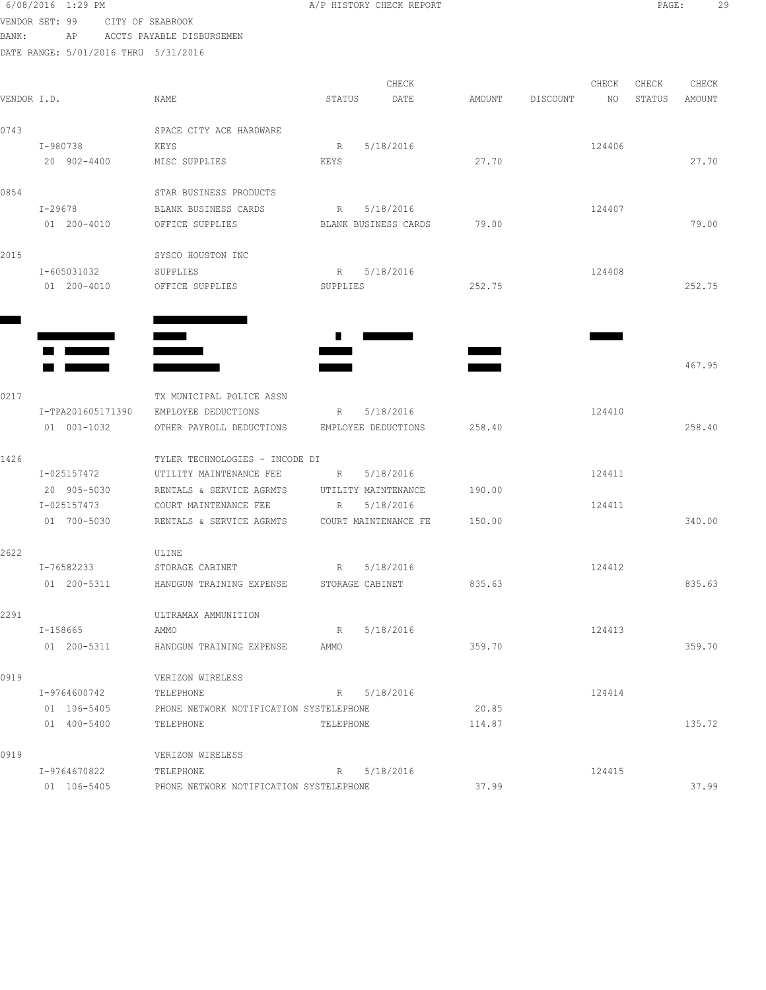|             | 6/08/2016 1:29 PM                                                                                                                                                                                                                    |             |                                          |                 | A/P HISTORY CHECK REPORT            |        |          |        | PAGE:  |        | 29 |
|-------------|--------------------------------------------------------------------------------------------------------------------------------------------------------------------------------------------------------------------------------------|-------------|------------------------------------------|-----------------|-------------------------------------|--------|----------|--------|--------|--------|----|
|             | VENDOR SET: 99                                                                                                                                                                                                                       |             | CITY OF SEABROOK                         |                 |                                     |        |          |        |        |        |    |
| BANK:       | AP                                                                                                                                                                                                                                   |             | ACCTS PAYABLE DISBURSEMEN                |                 |                                     |        |          |        |        |        |    |
|             |                                                                                                                                                                                                                                      |             | DATE RANGE: 5/01/2016 THRU 5/31/2016     |                 |                                     |        |          |        |        |        |    |
|             |                                                                                                                                                                                                                                      |             |                                          |                 |                                     |        |          |        |        |        |    |
|             |                                                                                                                                                                                                                                      |             |                                          |                 | CHECK                               |        |          | CHECK  | CHECK  | CHECK  |    |
| VENDOR I.D. |                                                                                                                                                                                                                                      |             | NAME                                     | STATUS          | DATE                                | AMOUNT | DISCOUNT | NO     | STATUS | AMOUNT |    |
| 0743        |                                                                                                                                                                                                                                      |             | SPACE CITY ACE HARDWARE                  |                 |                                     |        |          |        |        |        |    |
|             | I-980738                                                                                                                                                                                                                             |             | KEYS                                     | R               | 5/18/2016                           |        |          | 124406 |        |        |    |
|             | 20 902-4400                                                                                                                                                                                                                          |             | MISC SUPPLIES                            | KEYS            |                                     | 27.70  |          |        |        | 27.70  |    |
|             |                                                                                                                                                                                                                                      |             |                                          |                 |                                     |        |          |        |        |        |    |
| 0854        |                                                                                                                                                                                                                                      |             | STAR BUSINESS PRODUCTS                   |                 |                                     |        |          |        |        |        |    |
|             | I-29678                                                                                                                                                                                                                              |             | BLANK BUSINESS CARDS                     | R               | 5/18/2016                           |        |          | 124407 |        |        |    |
|             | 01 200-4010                                                                                                                                                                                                                          |             | OFFICE SUPPLIES                          |                 | BLANK BUSINESS CARDS                | 79.00  |          |        |        | 79.00  |    |
| 2015        |                                                                                                                                                                                                                                      |             | SYSCO HOUSTON INC                        |                 |                                     |        |          |        |        |        |    |
|             | I-605031032                                                                                                                                                                                                                          |             | SUPPLIES                                 |                 | R 5/18/2016                         |        |          | 124408 |        |        |    |
|             | 01 200-4010                                                                                                                                                                                                                          |             | OFFICE SUPPLIES                          | SUPPLIES        |                                     | 252.75 |          |        |        | 252.75 |    |
|             |                                                                                                                                                                                                                                      |             |                                          |                 |                                     |        |          |        |        |        |    |
|             |                                                                                                                                                                                                                                      |             |                                          |                 |                                     |        |          |        |        |        |    |
|             |                                                                                                                                                                                                                                      |             | $\equiv$                                 | <b>Contract</b> |                                     |        |          |        |        |        |    |
|             | <u> a la serie de la provincia de la provincia de la provincia de la provincia de la provincia de la provincia d</u>                                                                                                                 |             |                                          |                 |                                     |        |          |        |        |        |    |
|             | <u>Martin Communication and the second second in the second second second in the second second second in the second second second in the second second second in the second second second in the second second second in the sec</u> |             |                                          |                 |                                     |        |          |        |        | 467.95 |    |
| 0217        |                                                                                                                                                                                                                                      |             | TX MUNICIPAL POLICE ASSN                 |                 |                                     |        |          |        |        |        |    |
|             | I-TPA201605171390                                                                                                                                                                                                                    |             | EMPLOYEE DEDUCTIONS                      | $R$ and $R$     | 5/18/2016                           |        |          | 124410 |        |        |    |
|             | 01 001-1032                                                                                                                                                                                                                          |             | OTHER PAYROLL DEDUCTIONS                 |                 | EMPLOYEE DEDUCTIONS                 | 258.40 |          |        |        | 258.40 |    |
|             |                                                                                                                                                                                                                                      |             |                                          |                 |                                     |        |          |        |        |        |    |
| 1426        |                                                                                                                                                                                                                                      |             | TYLER TECHNOLOGIES - INCODE DI           |                 |                                     |        |          |        |        |        |    |
|             | I-025157472                                                                                                                                                                                                                          |             | UTILITY MAINTENANCE FEE                  | R               | 5/18/2016                           |        |          | 124411 |        |        |    |
|             | 20 905-5030                                                                                                                                                                                                                          |             | RENTALS & SERVICE AGRMTS                 |                 | UTILITY MAINTENANCE                 | 190.00 |          | 124411 |        |        |    |
|             | I-025157473<br>01 700-5030                                                                                                                                                                                                           |             | COURT MAINTENANCE FEE                    |                 | R 5/18/2016<br>COURT MAINTENANCE FE | 150.00 |          |        |        | 340.00 |    |
|             |                                                                                                                                                                                                                                      |             | RENTALS & SERVICE AGRMTS                 |                 |                                     |        |          |        |        |        |    |
| 2622        |                                                                                                                                                                                                                                      |             | ULINE                                    |                 |                                     |        |          |        |        |        |    |
|             | I-76582233                                                                                                                                                                                                                           |             | STORAGE CABINET                          | $R \sim$        | 5/18/2016                           |        |          | 124412 |        |        |    |
|             |                                                                                                                                                                                                                                      | 01 200-5311 | HANDGUN TRAINING EXPENSE STORAGE CABINET |                 |                                     | 835.63 |          |        |        | 835.63 |    |
| 2291        |                                                                                                                                                                                                                                      |             | ULTRAMAX AMMUNITION                      |                 |                                     |        |          |        |        |        |    |
|             | I-158665                                                                                                                                                                                                                             |             | AMMO                                     | R               | 5/18/2016                           |        |          | 124413 |        |        |    |
|             | 01 200-5311                                                                                                                                                                                                                          |             | HANDGUN TRAINING EXPENSE                 | AMMO            |                                     | 359.70 |          |        |        | 359.70 |    |
|             |                                                                                                                                                                                                                                      |             |                                          |                 |                                     |        |          |        |        |        |    |
| 0919        |                                                                                                                                                                                                                                      |             | VERIZON WIRELESS                         |                 |                                     |        |          |        |        |        |    |
|             | I-9764600742                                                                                                                                                                                                                         |             | TELEPHONE                                |                 | R 5/18/2016                         |        |          | 124414 |        |        |    |
|             | 01 106-5405                                                                                                                                                                                                                          |             | PHONE NETWORK NOTIFICATION SYSTELEPHONE  |                 |                                     | 20.85  |          |        |        |        |    |
|             | 01 400-5400                                                                                                                                                                                                                          |             | TELEPHONE                                | TELEPHONE       |                                     | 114.87 |          |        |        | 135.72 |    |
| 0919        |                                                                                                                                                                                                                                      |             | VERIZON WIRELESS                         |                 |                                     |        |          |        |        |        |    |
|             | I-9764670822                                                                                                                                                                                                                         |             | TELEPHONE                                |                 | R 5/18/2016                         |        |          | 124415 |        |        |    |
|             | 01 106-5405                                                                                                                                                                                                                          |             | PHONE NETWORK NOTIFICATION SYSTELEPHONE  |                 |                                     | 37.99  |          |        |        | 37.99  |    |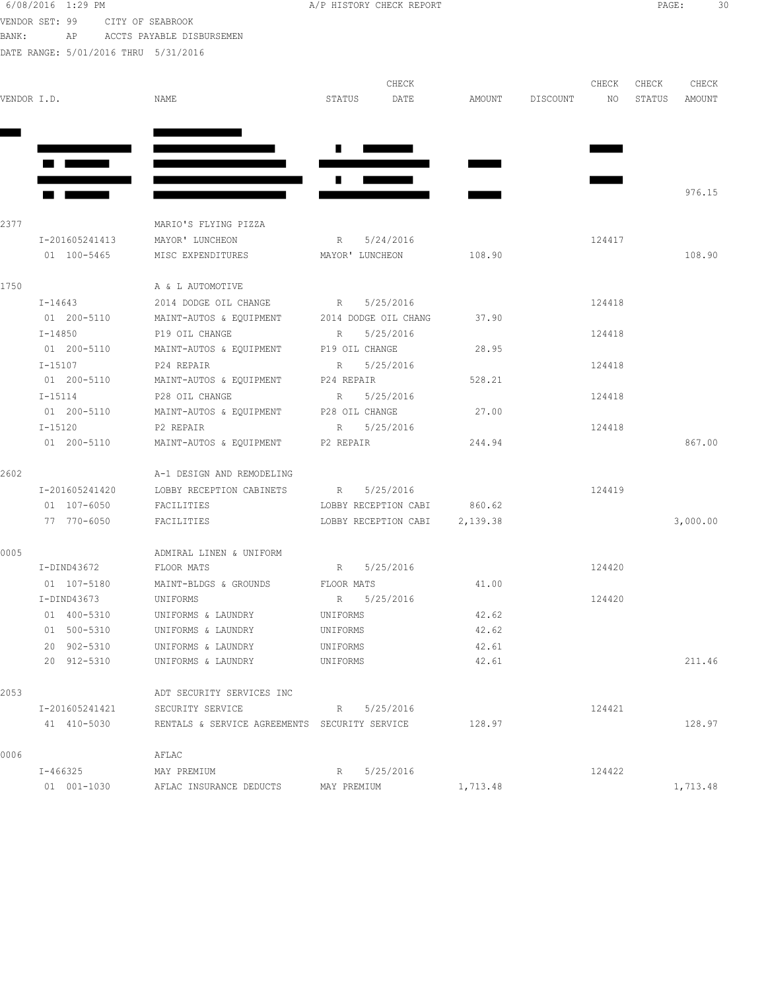| 6/08/2016 1:29 PM |    |                           |  |
|-------------------|----|---------------------------|--|
| VENDOR SET: 99    |    | CITY OF SEABROOK          |  |
| BANK:             | AP | ACCTS PAYABLE DISBURSEMEN |  |

A/P HISTORY CHECK REPORT PAGE: 30

| VENDOR I.D. |                | NAME                                          | CHECK<br>STATUS<br>DATE  | AMOUNT   | CHECK<br>DISCOUNT<br>NO | CHECK<br>CHECK<br>STATUS<br>AMOUNT |
|-------------|----------------|-----------------------------------------------|--------------------------|----------|-------------------------|------------------------------------|
|             | a kara         |                                               | Ш                        |          |                         |                                    |
|             |                |                                               | ш                        |          |                         | 976.15                             |
| 2377        |                | MARIO'S FLYING PIZZA                          |                          |          |                         |                                    |
|             | I-201605241413 | MAYOR' LUNCHEON                               | 5/24/2016<br>$R_{\odot}$ |          | 124417                  |                                    |
|             | 01 100-5465    | MISC EXPENDITURES                             | MAYOR' LUNCHEON          | 108.90   |                         | 108.90                             |
| 1750        |                | A & L AUTOMOTIVE                              |                          |          |                         |                                    |
|             | I-14643        | 2014 DODGE OIL CHANGE                         | 5/25/2016<br>$R_{\perp}$ |          | 124418                  |                                    |
|             | 01 200-5110    | MAINT-AUTOS & EQUIPMENT 2014 DODGE OIL CHANG  |                          | 37.90    |                         |                                    |
|             | I-14850        | P19 OIL CHANGE                                | 5/25/2016<br>R           |          | 124418                  |                                    |
|             | 01 200-5110    | MAINT-AUTOS & EQUIPMENT                       | P19 OIL CHANGE           | 28.95    |                         |                                    |
|             | $I - 15107$    | P24 REPAIR                                    | 5/25/2016<br>R           |          | 124418                  |                                    |
|             | 01 200-5110    | MAINT-AUTOS & EQUIPMENT                       | P24 REPAIR               | 528.21   |                         |                                    |
|             | I-15114        | P28 OIL CHANGE                                | 5/25/2016<br>R           |          | 124418                  |                                    |
|             | 01 200-5110    | MAINT-AUTOS & EQUIPMENT                       | P28 OIL CHANGE           | 27.00    |                         |                                    |
|             | I-15120        | P2 REPAIR                                     | 5/25/2016<br>R           |          | 124418                  |                                    |
|             | 01 200-5110    | MAINT-AUTOS & EQUIPMENT                       | P2 REPAIR                | 244.94   |                         | 867.00                             |
| 2602        |                | A-1 DESIGN AND REMODELING                     |                          |          |                         |                                    |
|             | I-201605241420 | LOBBY RECEPTION CABINETS                      | 5/25/2016<br>R           |          | 124419                  |                                    |
|             | 01 107-6050    | FACILITIES                                    | LOBBY RECEPTION CABI     | 860.62   |                         |                                    |
|             | 77 770-6050    | FACILITIES                                    | LOBBY RECEPTION CABI     | 2,139.38 |                         | 3,000.00                           |
| 0005        |                | ADMIRAL LINEN & UNIFORM                       |                          |          |                         |                                    |
|             | I-DIND43672    | FLOOR MATS                                    | 5/25/2016<br>R           |          | 124420                  |                                    |
|             | 01 107-5180    | MAINT-BLDGS & GROUNDS                         | FLOOR MATS               | 41.00    |                         |                                    |
|             | I-DIND43673    | UNIFORMS                                      | 5/25/2016<br>R           |          | 124420                  |                                    |
|             | 01 400-5310    | UNIFORMS & LAUNDRY                            | UNIFORMS                 | 42.62    |                         |                                    |
|             | 01 500-5310    | UNIFORMS & LAUNDRY                            | UNIFORMS                 | 42.62    |                         |                                    |
|             | 20 902-5310    | UNIFORMS & LAUNDRY                            | UNIFORMS                 | 42.61    |                         |                                    |
|             | 20 912-5310    | UNIFORMS & LAUNDRY                            | UNIFORMS                 | 42.61    |                         | 211.46                             |
| 2053        |                | ADT SECURITY SERVICES INC                     |                          |          |                         |                                    |
|             | I-201605241421 | SECURITY SERVICE                              | R 5/25/2016              |          | 124421                  |                                    |
|             | 41 410-5030    | RENTALS & SERVICE AGREEMENTS SECURITY SERVICE |                          | 128.97   |                         | 128.97                             |
| 0006        |                | AFLAC                                         |                          |          |                         |                                    |
|             | I-466325       | MAY PREMIUM                                   | 5/25/2016<br>$R_{\perp}$ |          | 124422                  |                                    |
|             | 01 001-1030    | AFLAC INSURANCE DEDUCTS                       | MAY PREMIUM              | 1,713.48 |                         | 1,713.48                           |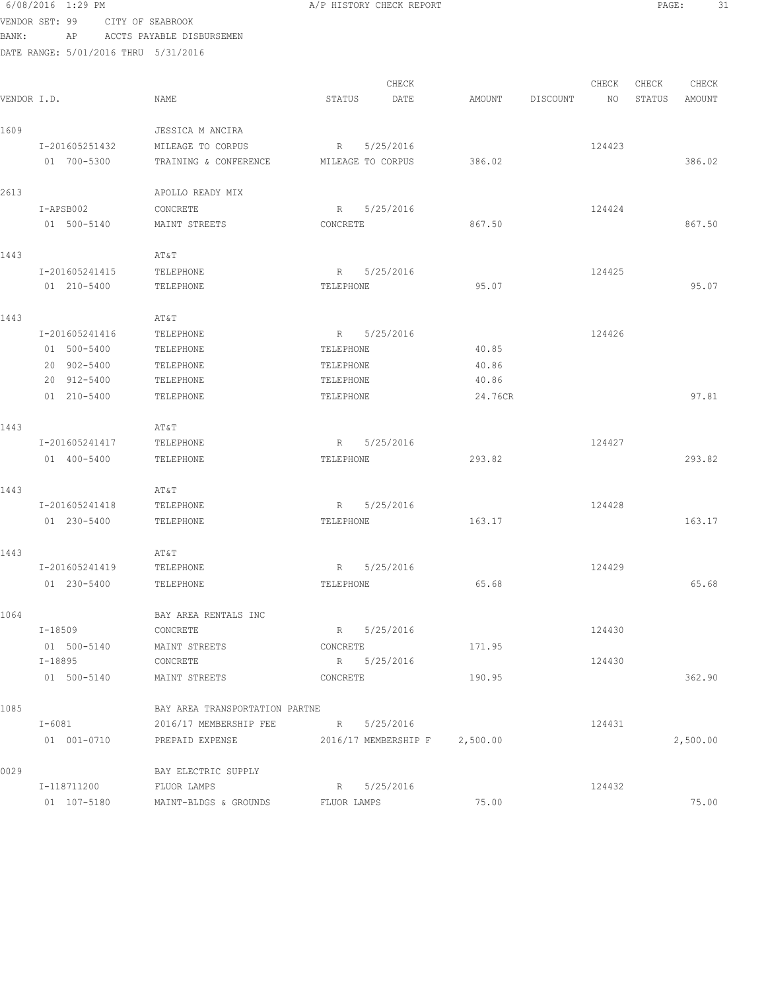| VENDOR SET: 99 |         |                | CITY OF SEABROOK |                                      |                   |                               |         |          |        |        |          |
|----------------|---------|----------------|------------------|--------------------------------------|-------------------|-------------------------------|---------|----------|--------|--------|----------|
| BANK:          |         | ΑP             |                  | ACCTS PAYABLE DISBURSEMEN            |                   |                               |         |          |        |        |          |
|                |         |                |                  | DATE RANGE: 5/01/2016 THRU 5/31/2016 |                   |                               |         |          |        |        |          |
|                |         |                |                  |                                      |                   | CHECK                         |         |          | CHECK  | CHECK  | CHECK    |
| VENDOR I.D.    |         |                |                  | NAME                                 | STATUS            | DATE                          | AMOUNT  | DISCOUNT | NO     | STATUS | AMOUNT   |
| 1609           |         |                |                  | JESSICA M ANCIRA                     |                   |                               |         |          |        |        |          |
|                |         | I-201605251432 |                  | MILEAGE TO CORPUS                    |                   | R 5/25/2016                   |         |          | 124423 |        |          |
|                |         | 01 700-5300    |                  | TRAINING & CONFERENCE                | MILEAGE TO CORPUS |                               | 386.02  |          |        |        | 386.02   |
| 2613           |         |                |                  | APOLLO READY MIX                     |                   |                               |         |          |        |        |          |
|                |         | I-APSB002      |                  | CONCRETE                             | R                 | 5/25/2016                     |         |          | 124424 |        |          |
|                |         | 01 500-5140    |                  | MAINT STREETS                        | CONCRETE          |                               | 867.50  |          |        |        | 867.50   |
| 1443           |         |                |                  | AT&T                                 |                   |                               |         |          |        |        |          |
|                |         | I-201605241415 |                  | TELEPHONE                            | R                 | 5/25/2016                     |         |          | 124425 |        |          |
|                |         | 01 210-5400    |                  | TELEPHONE                            | TELEPHONE         |                               | 95.07   |          |        |        | 95.07    |
| 1443           |         |                |                  | AT&T                                 |                   |                               |         |          |        |        |          |
|                |         | I-201605241416 |                  | TELEPHONE                            | R                 | 5/25/2016                     |         |          | 124426 |        |          |
|                |         | 01 500-5400    |                  | TELEPHONE                            | TELEPHONE         |                               | 40.85   |          |        |        |          |
|                |         | 20 902-5400    |                  | TELEPHONE                            | TELEPHONE         |                               | 40.86   |          |        |        |          |
|                |         | 20 912-5400    |                  | TELEPHONE                            | TELEPHONE         |                               | 40.86   |          |        |        |          |
|                |         | 01 210-5400    |                  | TELEPHONE                            | TELEPHONE         |                               | 24.76CR |          |        |        | 97.81    |
| 1443           |         |                |                  | AT&T                                 |                   |                               |         |          |        |        |          |
|                |         | I-201605241417 |                  | TELEPHONE                            |                   | R 5/25/2016                   |         |          | 124427 |        |          |
|                |         | 01 400-5400    |                  | TELEPHONE                            | TELEPHONE         |                               | 293.82  |          |        |        | 293.82   |
| 1443           |         |                |                  | AT&T                                 |                   |                               |         |          |        |        |          |
|                |         | I-201605241418 |                  | TELEPHONE                            |                   | R 5/25/2016                   |         |          | 124428 |        |          |
|                |         | 01 230-5400    |                  | TELEPHONE                            | TELEPHONE         |                               | 163.17  |          |        |        | 163.17   |
| 1443           |         |                |                  | AT&T                                 |                   |                               |         |          |        |        |          |
|                |         | I-201605241419 |                  | TELEPHONE                            | R                 | 5/25/2016                     |         |          | 124429 |        |          |
|                |         |                | 01 230-5400      | TELEPHONE                            | TELEPHONE         |                               | 65.68   |          |        |        | 65.68    |
| 1064           |         |                |                  | BAY AREA RENTALS INC                 |                   |                               |         |          |        |        |          |
|                |         | I-18509        |                  | CONCRETE                             | R 5/25/2016       |                               |         |          | 124430 |        |          |
|                |         | 01 500-5140    |                  | MAINT STREETS                        | CONCRETE          |                               | 171.95  |          |        |        |          |
|                | I-18895 |                |                  | CONCRETE                             | R 5/25/2016       |                               |         |          | 124430 |        |          |
|                |         |                | 01 500-5140      | MAINT STREETS                        | CONCRETE          |                               | 190.95  |          |        |        | 362.90   |
| 1085           |         |                |                  | BAY AREA TRANSPORTATION PARTNE       |                   |                               |         |          |        |        |          |
|                |         | I-6081         |                  | 2016/17 MEMBERSHIP FEE               | R 5/25/2016       |                               |         |          | 124431 |        |          |
|                |         | 01 001-0710    |                  | PREPAID EXPENSE                      |                   | 2016/17 MEMBERSHIP F 2,500.00 |         |          |        |        | 2,500.00 |
| 0029           |         |                |                  | BAY ELECTRIC SUPPLY                  |                   |                               |         |          |        |        |          |
|                |         | I-118711200    |                  | FLUOR LAMPS                          |                   | R 5/25/2016                   |         |          | 124432 |        |          |
|                |         |                | 01 107-5180      | MAINT-BLDGS & GROUNDS FLUOR LAMPS    |                   |                               | 75.00   |          |        |        | 75.00    |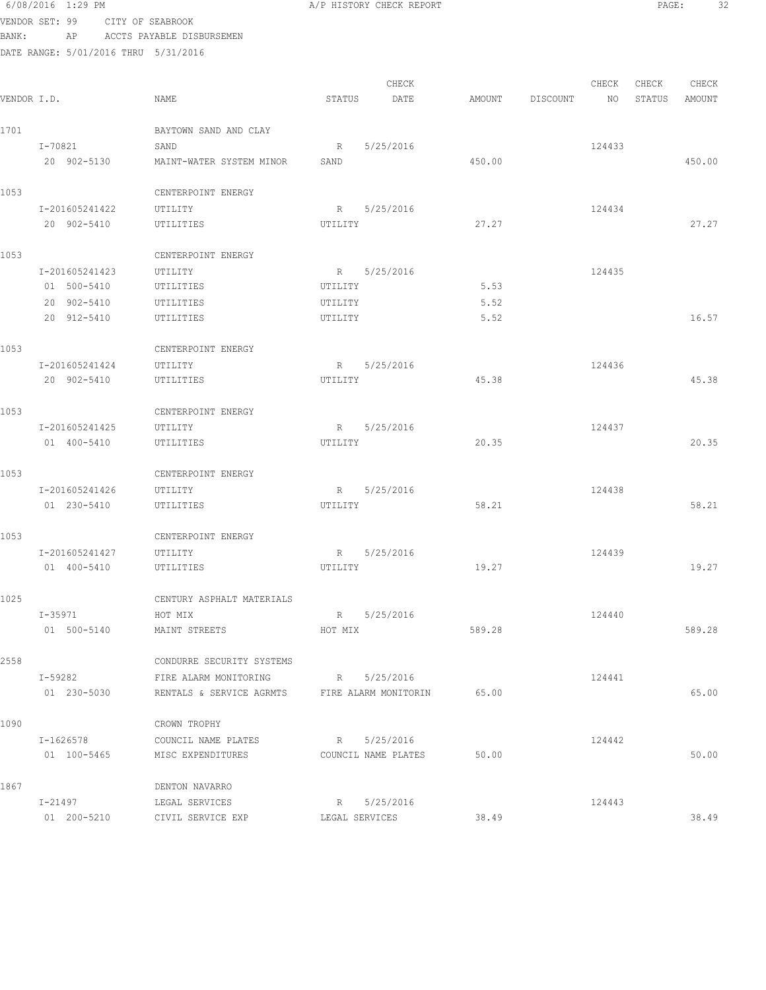|             | VENDOR SET: 99                       | CITY OF SEABROOK                                    |                |                     |        |          |        |        |                 |
|-------------|--------------------------------------|-----------------------------------------------------|----------------|---------------------|--------|----------|--------|--------|-----------------|
| BANK:       | AP                                   | ACCTS PAYABLE DISBURSEMEN                           |                |                     |        |          |        |        |                 |
|             | DATE RANGE: 5/01/2016 THRU 5/31/2016 |                                                     |                |                     |        |          |        |        |                 |
|             |                                      |                                                     |                |                     |        |          |        |        |                 |
|             |                                      |                                                     | STATUS         | CHECK               |        |          | CHECK  | CHECK  | CHECK<br>AMOUNT |
| VENDOR I.D. |                                      | NAME                                                |                | DATE                | AMOUNT | DISCOUNT | NO     | STATUS |                 |
| 1701        |                                      | BAYTOWN SAND AND CLAY                               |                |                     |        |          |        |        |                 |
|             | I-70821                              | SAND                                                | R              | 5/25/2016           |        |          | 124433 |        |                 |
|             | 20 902-5130                          | MAINT-WATER SYSTEM MINOR                            | SAND           |                     | 450.00 |          |        |        | 450.00          |
|             |                                      |                                                     |                |                     |        |          |        |        |                 |
| 1053        |                                      | CENTERPOINT ENERGY                                  |                |                     |        |          |        |        |                 |
|             | I-201605241422                       | UTILITY                                             |                | R 5/25/2016         |        |          | 124434 |        |                 |
|             | 20 902-5410                          | UTILITIES                                           | UTILITY        |                     | 27.27  |          |        |        | 27.27           |
|             |                                      |                                                     |                |                     |        |          |        |        |                 |
| 1053        |                                      | CENTERPOINT ENERGY                                  |                |                     |        |          |        |        |                 |
|             | I-201605241423<br>01 500-5410        | UTILITY<br>UTILITIES                                | UTILITY        | R 5/25/2016         | 5.53   |          | 124435 |        |                 |
|             | 20 902-5410                          | UTILITIES                                           | UTILITY        |                     | 5.52   |          |        |        |                 |
|             | 20 912-5410                          | UTILITIES                                           | UTILITY        |                     | 5.52   |          |        |        | 16.57           |
|             |                                      |                                                     |                |                     |        |          |        |        |                 |
| 1053        |                                      | CENTERPOINT ENERGY                                  |                |                     |        |          |        |        |                 |
|             | I-201605241424                       | UTILITY                                             | R              | 5/25/2016           |        |          | 124436 |        |                 |
|             | 20 902-5410                          | UTILITIES                                           | UTILITY        |                     | 45.38  |          |        |        | 45.38           |
| 1053        |                                      | CENTERPOINT ENERGY                                  |                |                     |        |          |        |        |                 |
|             | I-201605241425                       | UTILITY                                             | R              | 5/25/2016           |        |          | 124437 |        |                 |
|             | 01 400-5410                          | UTILITIES                                           | UTILITY        |                     | 20.35  |          |        |        | 20.35           |
|             |                                      |                                                     |                |                     |        |          |        |        |                 |
| 1053        |                                      | CENTERPOINT ENERGY                                  |                |                     |        |          |        |        |                 |
|             | I-201605241426                       | UTILITY                                             |                | R 5/25/2016         |        |          | 124438 |        |                 |
|             | 01 230-5410                          | UTILITIES                                           | UTILITY        |                     | 58.21  |          |        |        | 58.21           |
| 1053        |                                      | CENTERPOINT ENERGY                                  |                |                     |        |          |        |        |                 |
|             | I-201605241427                       | UTILITY                                             |                | R 5/25/2016         |        |          | 124439 |        |                 |
|             | 01 400-5410                          | UTILITIES                                           | UTILITY        |                     | 19.27  |          |        |        | 19.27           |
|             |                                      |                                                     |                |                     |        |          |        |        |                 |
| 1025        |                                      | CENTURY ASPHALT MATERIALS                           |                |                     |        |          |        |        |                 |
|             | I-35971                              | HOT MIX                                             |                | R 5/25/2016         |        |          | 124440 |        |                 |
|             | 01 500-5140                          | MAINT STREETS                                       | HOT MIX        |                     | 589.28 |          |        |        | 589.28          |
| 2558        |                                      | CONDURRE SECURITY SYSTEMS                           |                |                     |        |          |        |        |                 |
|             | I-59282                              | FIRE ALARM MONITORING                               |                | R 5/25/2016         |        |          | 124441 |        |                 |
|             | 01 230-5030                          | RENTALS & SERVICE AGRMTS FIRE ALARM MONITORIN 65.00 |                |                     |        |          |        |        | 65.00           |
|             |                                      |                                                     |                |                     |        |          |        |        |                 |
| 1090        |                                      | CROWN TROPHY                                        |                |                     |        |          |        |        |                 |
|             | $I - 1626578$                        | COUNCIL NAME PLATES                                 | R 5/25/2016    |                     |        |          | 124442 |        |                 |
|             |                                      | 01 100-5465 MISC EXPENDITURES                       |                | COUNCIL NAME PLATES | 50.00  |          |        |        | 50.00           |
| 1867        |                                      | DENTON NAVARRO                                      |                |                     |        |          |        |        |                 |
|             | I-21497                              | LEGAL SERVICES                                      |                | R 5/25/2016         |        |          | 124443 |        |                 |
|             | 01 200-5210                          | CIVIL SERVICE EXP                                   | LEGAL SERVICES |                     | 38.49  |          |        |        | 38.49           |
|             |                                      |                                                     |                |                     |        |          |        |        |                 |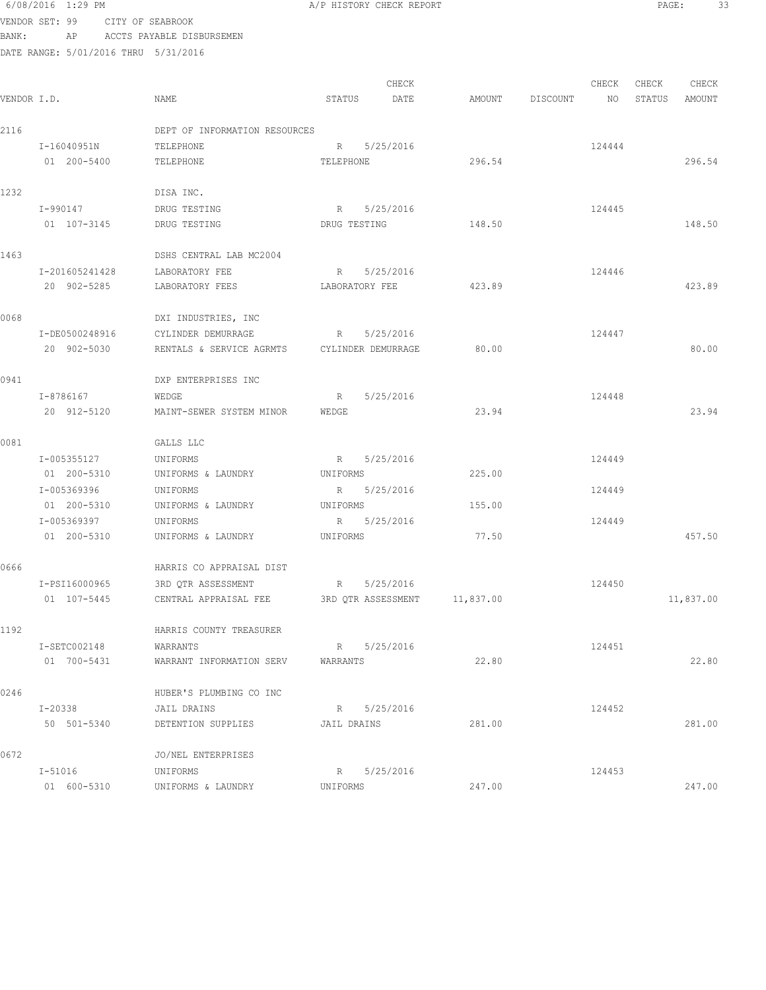### 6/08/2016 1:29 PM **A/P HISTORY CHECK REPORT PAGE:** 33 VENDOR SET: 99 CITY OF SEABROOK

BANK: AP ACCTS PAYABLE DISBURSEMEN

| VENDOR I.D. |                | NAME                                        | CHECK<br>STATUS<br>DATE      | AMOUNT    | DISCOUNT | CHECK<br>NO | CHECK<br>STATUS | CHECK<br>AMOUNT |
|-------------|----------------|---------------------------------------------|------------------------------|-----------|----------|-------------|-----------------|-----------------|
| 2116        |                | DEPT OF INFORMATION RESOURCES               |                              |           |          |             |                 |                 |
|             | I-16040951N    | TELEPHONE                                   | 5/25/2016<br>R               |           |          | 124444      |                 |                 |
|             | 01 200-5400    | TELEPHONE                                   | TELEPHONE                    | 296.54    |          |             |                 | 296.54          |
| 1232        |                | DISA INC.                                   |                              |           |          |             |                 |                 |
|             | I-990147       | DRUG TESTING                                | 5/25/2016<br>R               |           |          | 124445      |                 |                 |
|             | 01 107-3145    | DRUG TESTING                                | DRUG TESTING                 | 148.50    |          |             |                 | 148.50          |
| 1463        |                | DSHS CENTRAL LAB MC2004                     |                              |           |          |             |                 |                 |
|             | I-201605241428 | LABORATORY FEE                              | R<br>5/25/2016               |           |          | 124446      |                 |                 |
|             | 20 902-5285    | LABORATORY FEES                             | LABORATORY FEE               | 423.89    |          |             |                 | 423.89          |
| 0068        |                | DXI INDUSTRIES, INC                         |                              |           |          |             |                 |                 |
|             | I-DE0500248916 | CYLINDER DEMURRAGE                          | R 5/25/2016                  |           |          | 124447      |                 |                 |
|             | 20 902-5030    | RENTALS & SERVICE AGRMTS CYLINDER DEMURRAGE |                              | 80.00     |          |             |                 | 80.00           |
| 0941        |                | DXP ENTERPRISES INC                         |                              |           |          |             |                 |                 |
|             | I-8786167      | WEDGE                                       | 5/25/2016<br>R               |           |          | 124448      |                 |                 |
|             | 20 912-5120    | MAINT-SEWER SYSTEM MINOR                    | WEDGE                        | 23.94     |          |             |                 | 23.94           |
| 0081        |                | GALLS LLC                                   |                              |           |          |             |                 |                 |
|             | I-005355127    | UNIFORMS                                    | R 5/25/2016                  |           |          | 124449      |                 |                 |
|             | 01 200-5310    | UNIFORMS & LAUNDRY                          | UNIFORMS                     | 225.00    |          |             |                 |                 |
|             | I-005369396    | UNIFORMS                                    | R 5/25/2016                  |           |          | 124449      |                 |                 |
|             | 01 200-5310    | UNIFORMS & LAUNDRY                          | UNIFORMS                     | 155.00    |          |             |                 |                 |
|             | I-005369397    | UNIFORMS                                    | R 5/25/2016                  |           |          | 124449      |                 |                 |
|             | 01 200-5310    | UNIFORMS & LAUNDRY                          | UNIFORMS                     | 77.50     |          |             |                 | 457.50          |
| 0666        |                | HARRIS CO APPRAISAL DIST                    |                              |           |          |             |                 |                 |
|             | I-PSI16000965  | 3RD QTR ASSESSMENT                          | 5/25/2016<br>$R_{\rm c}$     |           |          | 124450      |                 |                 |
|             | 01 107-5445    | CENTRAL APPRAISAL FEE                       | 3RD OTR ASSESSMENT           | 11,837.00 |          |             |                 | 11,837.00       |
| 1192        |                | HARRIS COUNTY TREASURER                     |                              |           |          |             |                 |                 |
|             | I-SETC002148   | WARRANTS                                    | R 5/25/2016                  |           |          | 124451      |                 |                 |
|             | 01 700-5431    | WARRANT INFORMATION SERV                    | WARRANTS                     | 22.80     |          |             |                 | 22.80           |
| 0246        |                | HUBER'S PLUMBING CO INC                     |                              |           |          |             |                 |                 |
|             | I-20338        | JAIL DRAINS                                 | R 5/25/2016                  |           |          | 124452      |                 |                 |
|             | 50 501-5340    | DETENTION SUPPLIES                          | JAIL DRAINS                  | 281.00    |          |             |                 | 281.00          |
| 0672        |                | JO/NEL ENTERPRISES                          |                              |           |          |             |                 |                 |
|             | $I - 51016$    | UNIFORMS                                    | 5/25/2016<br>$R_{\parallel}$ |           |          | 124453      |                 |                 |
|             | 01 600-5310    | UNIFORMS & LAUNDRY                          | UNIFORMS                     | 247.00    |          |             |                 | 247.00          |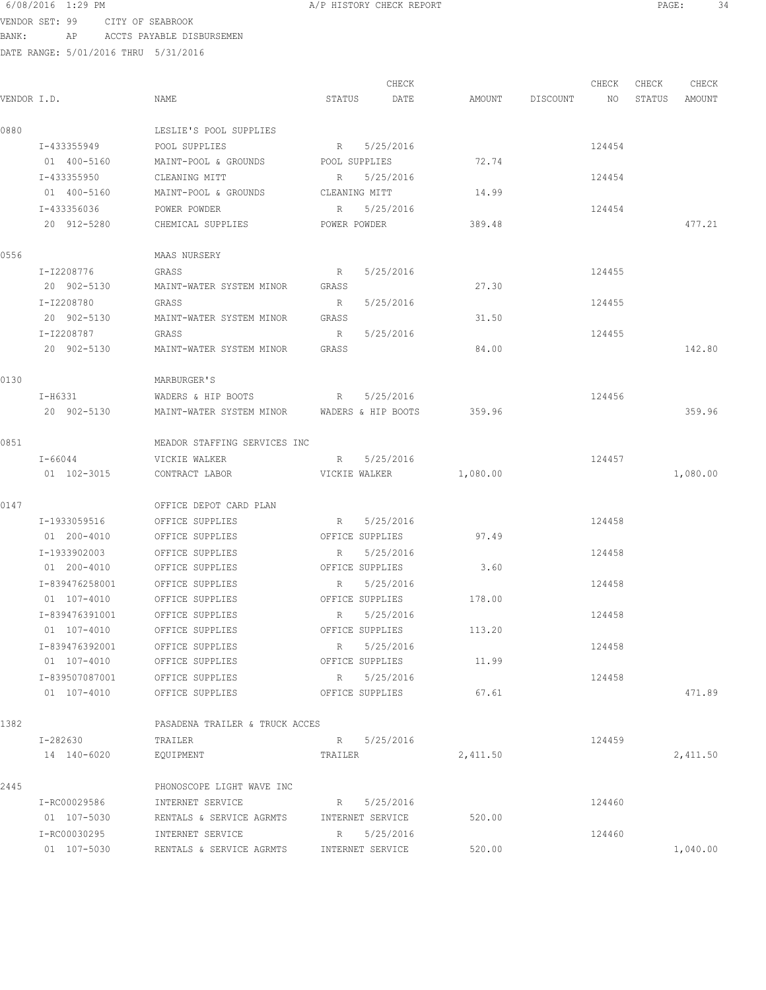VENDOR SET: 99 CITY OF SEABROOK BANK: AP ACCTS PAYABLE DISBURSEMEN

DATE RANGE: 5/01/2016 THRU 5/31/2016

CHECK CHECK CHECK CHECK CHECK CHECK CHECK CHECK CHECK CHECK CHECK CHECK CHECK CHECK CHECK CHECK CHECK CHECK CHECK CHECK CHECK CHECK CHECK CHECK CHECK CHECK CHECK CHECK CHECK CHECK CHECK CHECK CHECK CHECK CHECK CHECK CHECK VENDOR I.D. NAME STATUS DATE AMOUNT DISCOUNT NO STATUS AMOUNT 0880 LESLIE'S POOL SUPPLIES I-433355949 POOL SUPPLIES R 5/25/2016 R 124454 01 400-5160 MAINT-POOL & GROUNDS POOL SUPPLIES 72.74 I-433355950 CLEANING MITT R 5/25/2016 R 5/25/2016 124454 01 400-5160 MAINT-POOL & GROUNDS CLEANING MITT 14.99 I-433356036 POWER POWDER R 5/25/2016 R 5/25/2016 20 912-5280 CHEMICAL SUPPLIES POWER POWDER 389.48 477.21 0556 MAAS NURSERY I-I2208776 GRASS R 5/25/2016 124455 20 902-5130 MAINT-WATER SYSTEM MINOR GRASS 27.30 I-I2208780 GRASS R 5/25/2016 124455 20 902-5130 MAINT-WATER SYSTEM MINOR GRASS 31.50 I-I2208787 GRASS R 5/25/2016 124455 20 902-5130 MAINT-WATER SYSTEM MINOR GRASS 84.00 142.80 0130 MARBURGER'S I-H6331 WADERS & HIP BOOTS R 5/25/2016 124456 20 902-5130 MAINT-WATER SYSTEM MINOR WADERS & HIP BOOTS 359.96 359.96 0851 MEADOR STAFFING SERVICES INC I-66044 VICKIE WALKER R 5/25/2016 124457 01 102-3015 CONTRACT LABOR VICKIE WALKER 1,080.00 1,080.00 1,080.00 0147 OFFICE DEPOT CARD PLAN I-1933059516 OFFICE SUPPLIES R 5/25/2016 124458 01 200-4010 OFFICE SUPPLIES OFFICE SUPPLIES 97.49 I-1933902003 OFFICE SUPPLIES R 5/25/2016 124458 01 200-4010 OFFICE SUPPLIES OFFICE SUPPLIES 3.60 I-839476258001 OFFICE SUPPLIES R 5/25/2016 124458 01 107-4010 OFFICE SUPPLIES OFFICE SUPPLIES 178.00 I-839476391001 OFFICE SUPPLIES R 5/25/2016 124458 01 107-4010 OFFICE SUPPLIES OFFICE SUPPLIES 113.20 I-839476392001 OFFICE SUPPLIES R 5/25/2016 124458 01 107-4010 OFFICE SUPPLIES OFFICE SUPPLIES 11.99 I-839507087001 OFFICE SUPPLIES R 5/25/2016 124458 01 107-4010 OFFICE SUPPLIES OFFICE SUPPLIES 67.61 67.61 1382 PASADENA TRAILER & TRUCK ACCES I-282630 TRAILER R 5/25/2016 R 5/25/2016 14 140-6020 EQUIPMENT TRAILER 2,411.50 2,411.50 2445 PHONOSCOPE LIGHT WAVE INC I-RC00029586 INTERNET SERVICE R 5/25/2016 124460 01 107-5030 RENTALS & SERVICE AGRMTS INTERNET SERVICE 520.00 I-RC00030295 INTERNET SERVICE R 5/25/2016 124460 01 107-5030 RENTALS & SERVICE AGRMTS INTERNET SERVICE 520.00 1,040.00 1,040.00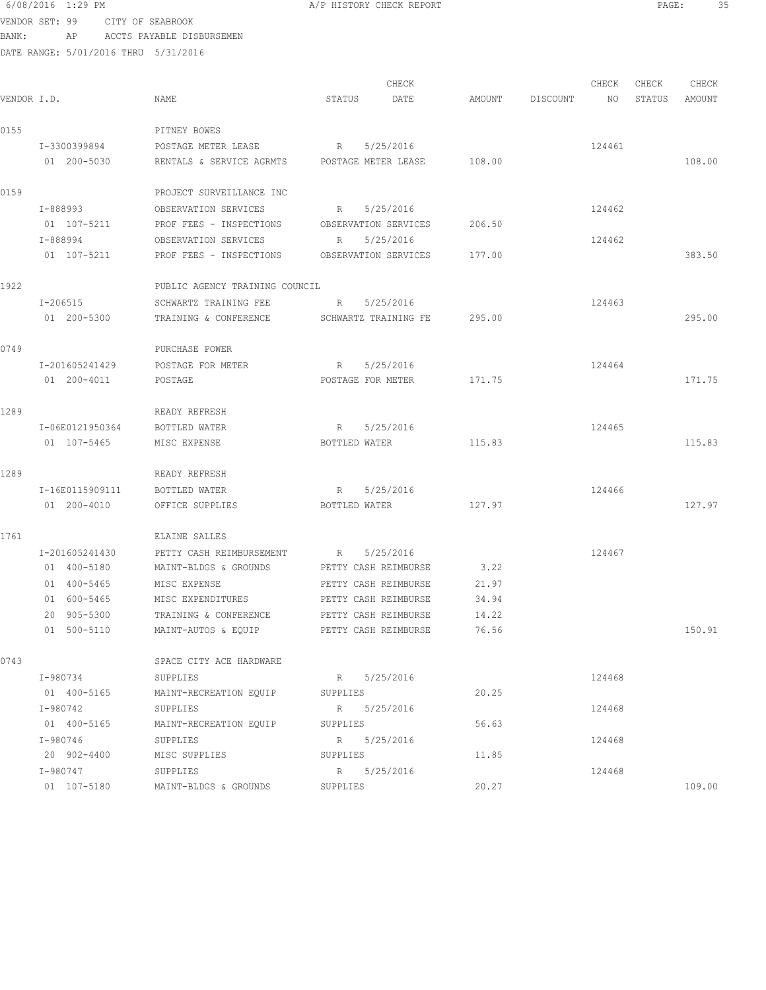# VENDOR SET: 99 CITY OF SEABROOK

BANK: AP ACCTS PAYABLE DISBURSEMEN

DATE RANGE: 5/01/2016 THRU 5/31/2016

| 6/08/2016 1:29 PM |                  | A/P HISTORY CHECK REPORT | PAGE | $\sim$ $-$<br>- |
|-------------------|------------------|--------------------------|------|-----------------|
| JENDOR SET: 99    | CITY OF SEARROOK |                          |      |                 |

CHECK CHECK CHECK CHECK VENDOR I.D. NAME STATUS DATE AMOUNT DISCOUNT NO STATUS AMOUNT 0155 PITNEY BOWES I-3300399894 POSTAGE METER LEASE R 5/25/2016 R 5/25/2016 01 200-5030 RENTALS & SERVICE AGRMTS POSTAGE METER LEASE 108.00 108.00 108.00 0159 PROJECT SURVEILLANCE INC I-888993 OBSERVATION SERVICES R 5/25/2016 124462 01 107-5211 PROF FEES - INSPECTIONS OBSERVATION SERVICES 206.50 I-888994 OBSERVATION SERVICES R 5/25/2016 124462 01 107-5211 PROF FEES - INSPECTIONS OBSERVATION SERVICES 177.00 383.50 1922 PUBLIC AGENCY TRAINING COUNCIL I-206515 SCHWARTZ TRAINING FEE R 5/25/2016 124463 01 200-5300 TRAINING & CONFERENCE SCHWARTZ TRAINING FE 295.00 295.00 0749 PURCHASE POWER I-201605241429 POSTAGE FOR METER R 5/25/2016 R 5/25/2016 124464 01 200-4011 POSTAGE **POSTAGE POSTAGE POSTAGE FOR METER** 171.75 171.75 171.75 1289 READY REFRESH I-06E0121950364 BOTTLED WATER R 5/25/2016 R 5/25/2016 01 107-5465 MISC EXPENSE BOTTLED WATER 115.83 115.83 1289 READY REFRESH I-16E0115909111 BOTTLED WATER R 5/25/2016 R 5/25/2016 01 200-4010 OFFICE SUPPLIES BOTTLED WATER 127.97 127.97 127.97 1761 ELAINE SALLES I-201605241430 PETTY CASH REIMBURSEMENT R 5/25/2016 124467 01 400-5180 MAINT-BLDGS & GROUNDS PETTY CASH REIMBURSE 3.22 01 400-5465 MISC EXPENSE PETTY CASH REIMBURSE 21.97 01 600-5465 MISC EXPENDITURES PETTY CASH REIMBURSE 34.94 20 905-5300 TRAINING & CONFERENCE PETTY CASH REIMBURSE 14.22 01 500-5110 MAINT-AUTOS & EQUIP PETTY CASH REIMBURSE 76.56 150.91 0743 SPACE CITY ACE HARDWARE I-980734 SUPPLIES R 5/25/2016 124468 01 400-5165 MAINT-RECREATION EQUIP SUPPLIES 20.25 I-980742 SUPPLIES R 5/25/2016 124468 01 400-5165 MAINT-RECREATION EQUIP SUPPLIES 56.63 I-980746 SUPPLIES R 5/25/2016 124468 20 902-4400 MISC SUPPLIES SUPPLIES 11.85 I-980747 SUPPLIES R 5/25/2016<br>
01 107-5180 MAINT-BLDGS & GROUNDS SUPPLIES 20.27 01 107-5180 MAINT-BLDGS & GROUNDS SUPPLIES 20.27 109.00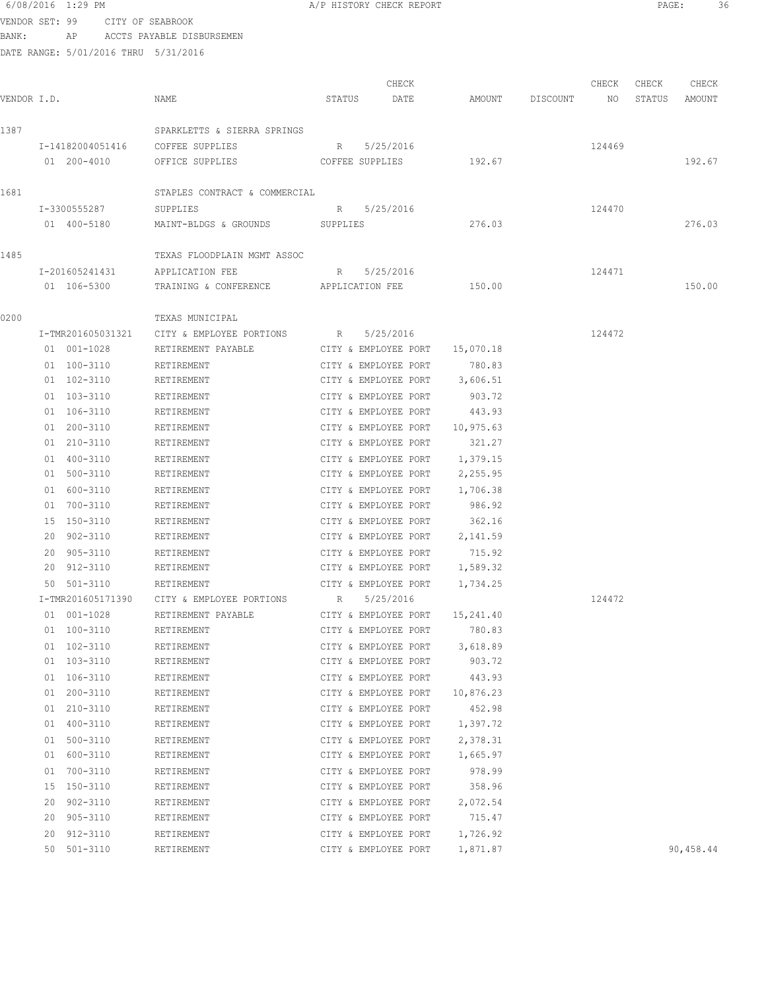|             | 6/08/2016 1:29 PM                    |                                       | A/P HISTORY CHECK REPORT |           |                 |        | PAGE:  | 36        |  |
|-------------|--------------------------------------|---------------------------------------|--------------------------|-----------|-----------------|--------|--------|-----------|--|
|             | VENDOR SET: 99 CITY OF SEABROOK      |                                       |                          |           |                 |        |        |           |  |
| BANK:       |                                      | AP ACCTS PAYABLE DISBURSEMEN          |                          |           |                 |        |        |           |  |
|             | DATE RANGE: 5/01/2016 THRU 5/31/2016 |                                       |                          |           |                 |        |        |           |  |
|             |                                      |                                       |                          |           |                 |        |        |           |  |
|             |                                      |                                       | CHECK                    |           |                 | CHECK  | CHECK  | CHECK     |  |
| VENDOR I.D. |                                      | NAME                                  | STATUS<br>DATE           |           | AMOUNT DISCOUNT | NO     | STATUS | AMOUNT    |  |
|             |                                      |                                       |                          |           |                 |        |        |           |  |
| 1387        |                                      | SPARKLETTS & SIERRA SPRINGS           |                          |           |                 |        |        |           |  |
|             | I-14182004051416                     | COFFEE SUPPLIES                       | 5/25/2016<br>R           |           |                 | 124469 |        |           |  |
|             | 01 200-4010                          | OFFICE SUPPLIES                       | COFFEE SUPPLIES          | 192.67    |                 |        |        | 192.67    |  |
| 1681        |                                      | STAPLES CONTRACT & COMMERCIAL         |                          |           |                 |        |        |           |  |
|             | I-3300555287                         | SUPPLIES                              | 5/25/2016<br>R           |           |                 | 124470 |        |           |  |
|             | 01 400-5180                          | MAINT-BLDGS & GROUNDS                 | SUPPLIES                 | 276.03    |                 |        |        | 276.03    |  |
|             |                                      |                                       |                          |           |                 |        |        |           |  |
| 1485        |                                      | TEXAS FLOODPLAIN MGMT ASSOC           |                          |           |                 |        |        |           |  |
|             | I-201605241431                       | APPLICATION FEE                       | R 5/25/2016              |           |                 | 124471 |        |           |  |
|             | 01 106-5300                          | TRAINING & CONFERENCE APPLICATION FEE |                          | 150.00    |                 |        |        | 150.00    |  |
| 0200        |                                      | TEXAS MUNICIPAL                       |                          |           |                 |        |        |           |  |
|             | I-TMR201605031321                    | CITY & EMPLOYEE PORTIONS              | 5/25/2016<br>$R$ and $R$ |           |                 | 124472 |        |           |  |
|             | 01 001-1028                          | RETIREMENT PAYABLE                    | CITY & EMPLOYEE PORT     | 15,070.18 |                 |        |        |           |  |
|             | 01 100-3110                          | RETIREMENT                            | CITY & EMPLOYEE PORT     | 780.83    |                 |        |        |           |  |
|             | 01 102-3110                          | RETIREMENT                            | CITY & EMPLOYEE PORT     | 3,606.51  |                 |        |        |           |  |
|             | 01 103-3110                          | RETIREMENT                            | CITY & EMPLOYEE PORT     | 903.72    |                 |        |        |           |  |
|             | 01 106-3110                          | RETIREMENT                            | CITY & EMPLOYEE PORT     | 443.93    |                 |        |        |           |  |
|             | 01 200-3110                          | RETIREMENT                            | CITY & EMPLOYEE PORT     | 10,975.63 |                 |        |        |           |  |
|             | 01 210-3110                          | RETIREMENT                            | CITY & EMPLOYEE PORT     | 321.27    |                 |        |        |           |  |
|             | 01 400-3110                          | RETIREMENT                            | CITY & EMPLOYEE PORT     | 1,379.15  |                 |        |        |           |  |
|             | 01 500-3110                          | RETIREMENT                            | CITY & EMPLOYEE PORT     | 2,255.95  |                 |        |        |           |  |
|             | 01 600-3110                          | RETIREMENT                            | CITY & EMPLOYEE PORT     | 1,706.38  |                 |        |        |           |  |
|             | 01 700-3110                          | RETIREMENT                            | CITY & EMPLOYEE PORT     | 986.92    |                 |        |        |           |  |
|             | 15 150-3110                          | RETIREMENT                            | CITY & EMPLOYEE PORT     | 362.16    |                 |        |        |           |  |
|             | 20 902-3110                          | RETIREMENT                            | CITY & EMPLOYEE PORT     | 2,141.59  |                 |        |        |           |  |
|             | 20 905-3110                          | RETIREMENT                            | CITY & EMPLOYEE PORT     | 715.92    |                 |        |        |           |  |
|             | 20 912-3110                          | RETIREMENT                            | CITY & EMPLOYEE PORT     | 1,589.32  |                 |        |        |           |  |
|             | 50 501-3110                          | RETIREMENT                            | CITY & EMPLOYEE PORT     | 1,734.25  |                 |        |        |           |  |
|             | I-TMR201605171390                    | CITY & EMPLOYEE PORTIONS              | R<br>5/25/2016           |           |                 | 124472 |        |           |  |
|             | 01 001-1028                          | RETIREMENT PAYABLE                    | CITY & EMPLOYEE PORT     | 15,241.40 |                 |        |        |           |  |
|             | 01 100-3110                          | RETIREMENT                            | CITY & EMPLOYEE PORT     | 780.83    |                 |        |        |           |  |
|             | 01 102-3110                          | RETIREMENT                            | CITY & EMPLOYEE PORT     | 3,618.89  |                 |        |        |           |  |
|             | 01 103-3110                          | RETIREMENT                            | CITY & EMPLOYEE PORT     | 903.72    |                 |        |        |           |  |
|             | 01 106-3110                          | RETIREMENT                            | CITY & EMPLOYEE PORT     | 443.93    |                 |        |        |           |  |
|             | 01 200-3110                          | RETIREMENT                            | CITY & EMPLOYEE PORT     | 10,876.23 |                 |        |        |           |  |
|             | 01 210-3110                          | RETIREMENT                            | CITY & EMPLOYEE PORT     | 452.98    |                 |        |        |           |  |
|             | 01 400-3110                          | RETIREMENT                            | CITY & EMPLOYEE PORT     | 1,397.72  |                 |        |        |           |  |
|             | 01 500-3110                          | RETIREMENT                            | CITY & EMPLOYEE PORT     | 2,378.31  |                 |        |        |           |  |
|             | 01 600-3110                          | RETIREMENT                            | CITY & EMPLOYEE PORT     | 1,665.97  |                 |        |        |           |  |
|             | 01 700-3110                          | RETIREMENT                            | CITY & EMPLOYEE PORT     | 978.99    |                 |        |        |           |  |
|             | 15 150-3110                          | RETIREMENT                            | CITY & EMPLOYEE PORT     | 358.96    |                 |        |        |           |  |
|             | 20 902-3110                          | RETIREMENT                            | CITY & EMPLOYEE PORT     | 2,072.54  |                 |        |        |           |  |
|             | 20 905-3110                          | RETIREMENT                            | CITY & EMPLOYEE PORT     | 715.47    |                 |        |        |           |  |
|             | 20 912-3110                          | RETIREMENT                            | CITY & EMPLOYEE PORT     | 1,726.92  |                 |        |        |           |  |
|             | 50 501-3110                          | RETIREMENT                            | CITY & EMPLOYEE PORT     | 1,871.87  |                 |        |        | 90,458.44 |  |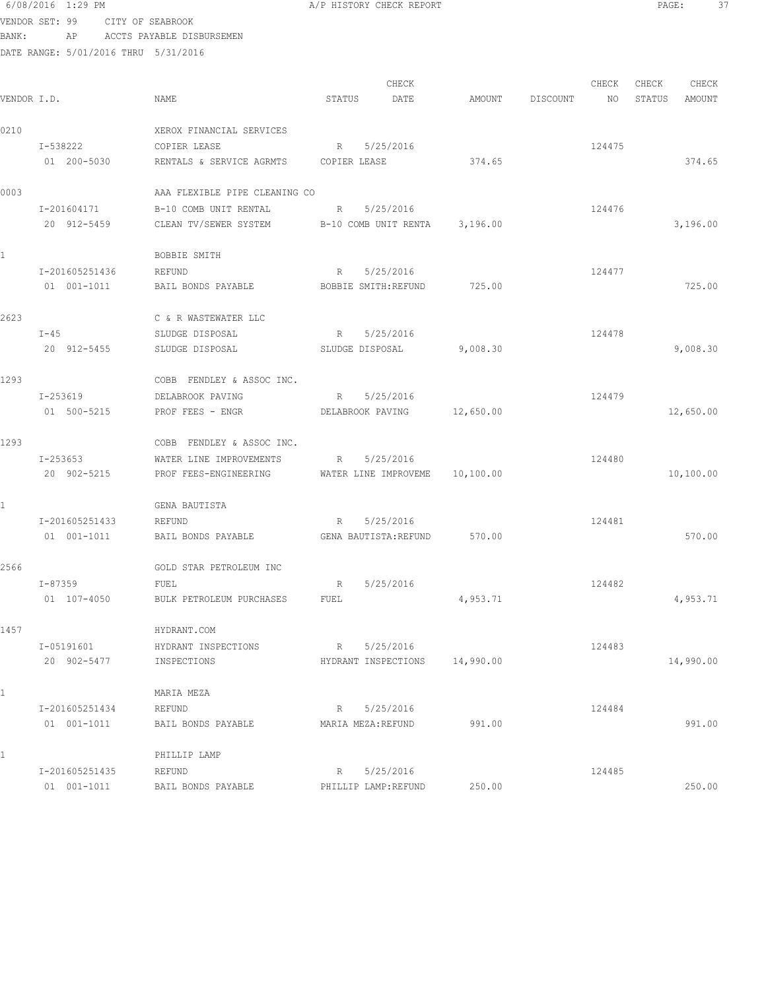### 6/08/2016 1:29 PM **A/P HISTORY CHECK REPORT PAGE:** 37 VENDOR SET: 99 CITY OF SEABROOK

BANK: AP ACCTS PAYABLE DISBURSEMEN

| VENDOR I.D.  |                | NAME                          | STATUS               | CHECK<br>DATE                 | AMOUNT    | DISCOUNT | CHECK<br>NO | CHECK<br>STATUS | CHECK<br>AMOUNT |
|--------------|----------------|-------------------------------|----------------------|-------------------------------|-----------|----------|-------------|-----------------|-----------------|
| 0210         |                | XEROX FINANCIAL SERVICES      |                      |                               |           |          |             |                 |                 |
|              | I-538222       | COPIER LEASE                  | R                    | 5/25/2016                     |           |          | 124475      |                 |                 |
|              | 01 200-5030    | RENTALS & SERVICE AGRMTS      | COPIER LEASE         |                               | 374.65    |          |             |                 | 374.65          |
| 0003         |                | AAA FLEXIBLE PIPE CLEANING CO |                      |                               |           |          |             |                 |                 |
|              | I-201604171    | B-10 COMB UNIT RENTAL         | R                    | 5/25/2016                     |           |          | 124476      |                 |                 |
|              | 20 912-5459    | CLEAN TV/SEWER SYSTEM         |                      | B-10 COMB UNIT RENTA 3,196.00 |           |          |             |                 | 3,196.00        |
| $\mathbf{1}$ |                | BOBBIE SMITH                  |                      |                               |           |          |             |                 |                 |
|              | I-201605251436 | REFUND                        | R                    | 5/25/2016                     |           |          | 124477      |                 |                 |
|              | 01 001-1011    | BAIL BONDS PAYABLE            | BOBBIE SMITH: REFUND |                               | 725.00    |          |             |                 | 725.00          |
| 2623         |                | C & R WASTEWATER LLC          |                      |                               |           |          |             |                 |                 |
|              | $I-45$         | SLUDGE DISPOSAL               | R                    | 5/25/2016                     |           |          | 124478      |                 |                 |
|              | 20 912-5455    | SLUDGE DISPOSAL               | SLUDGE DISPOSAL      |                               | 9,008.30  |          |             |                 | 9,008.30        |
| 1293         |                | COBB FENDLEY & ASSOC INC.     |                      |                               |           |          |             |                 |                 |
|              | I-253619       | DELABROOK PAVING              | R                    | 5/25/2016                     |           |          | 124479      |                 |                 |
|              | 01 500-5215    | PROF FEES - ENGR              | DELABROOK PAVING     |                               | 12,650.00 |          |             |                 | 12,650.00       |
| 1293         |                | COBB FENDLEY & ASSOC INC.     |                      |                               |           |          |             |                 |                 |
|              | I-253653       | WATER LINE IMPROVEMENTS       | R                    | 5/25/2016                     |           |          | 124480      |                 |                 |
|              | 20 902-5215    | PROF FEES-ENGINEERING         |                      | WATER LINE IMPROVEME          | 10,100.00 |          |             |                 | 10,100.00       |
| 1            |                | GENA BAUTISTA                 |                      |                               |           |          |             |                 |                 |
|              | I-201605251433 | REFUND                        | R                    | 5/25/2016                     |           |          | 124481      |                 |                 |
|              | 01 001-1011    | BAIL BONDS PAYABLE            |                      | GENA BAUTISTA: REFUND         | 570.00    |          |             |                 | 570.00          |
| 2566         |                | GOLD STAR PETROLEUM INC       |                      |                               |           |          |             |                 |                 |
|              | I-87359        | FUEL                          | R                    | 5/25/2016                     |           |          | 124482      |                 |                 |
|              | 01 107-4050    | BULK PETROLEUM PURCHASES      | FUEL                 |                               | 4,953.71  |          |             |                 | 4,953.71        |
| 1457         |                | HYDRANT.COM                   |                      |                               |           |          |             |                 |                 |
|              | I-05191601     | HYDRANT INSPECTIONS           | R                    | 5/25/2016                     |           |          | 124483      |                 |                 |
|              | 20 902-5477    | INSPECTIONS                   |                      | HYDRANT INSPECTIONS           | 14,990.00 |          |             |                 | 14,990.00       |
| $\mathbf 1$  |                | MARIA MEZA                    |                      |                               |           |          |             |                 |                 |
|              | I-201605251434 | REFUND                        | R                    | 5/25/2016                     |           |          | 124484      |                 |                 |
|              | 01 001-1011    | BAIL BONDS PAYABLE            |                      | MARIA MEZA: REFUND            | 991.00    |          |             |                 | 991.00          |
| 1            |                | PHILLIP LAMP                  |                      |                               |           |          |             |                 |                 |
|              | I-201605251435 | REFUND                        | R                    | 5/25/2016                     |           |          | 124485      |                 |                 |
|              | 01 001-1011    | BAIL BONDS PAYABLE            |                      | PHILLIP LAMP:REFUND           | 250.00    |          |             |                 | 250.00          |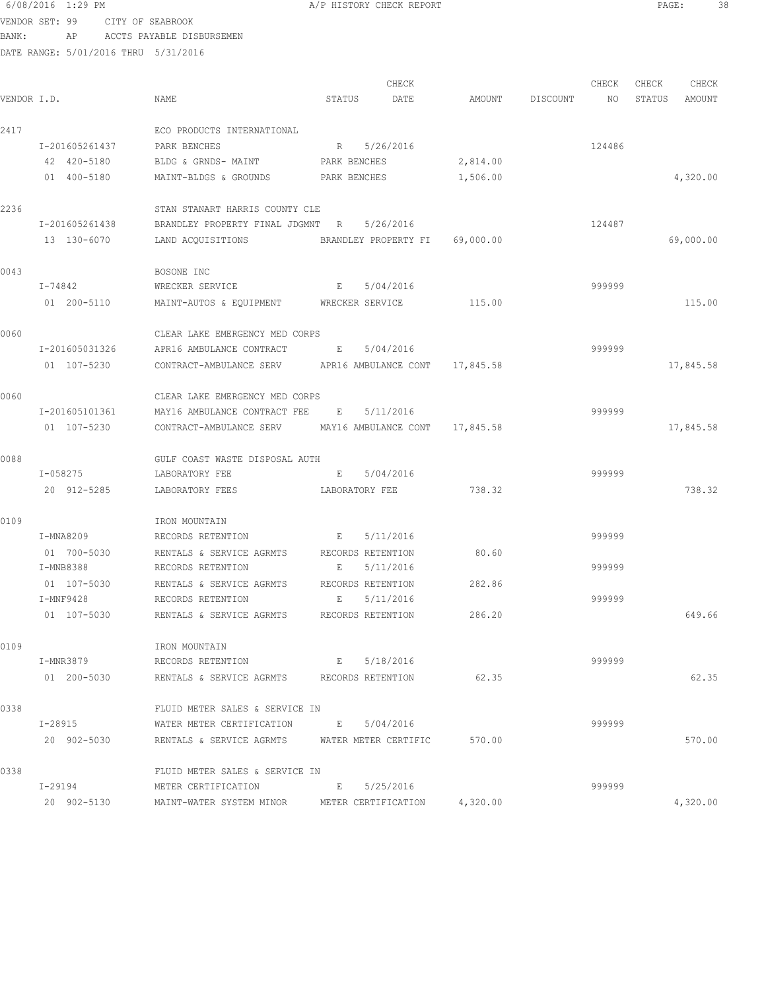#### 6/08/2016 1:29 PM **A/P HISTORY CHECK REPORT PAGE:** 38 VENDOR SET: 99 CITY OF SEABROOK

BANK: AP ACCTS PAYABLE DISBURSEMEN

| VENDOR I.D. |                | NAME                                                     | STATUS                         | CHECK<br>DATE |          | AMOUNT DISCOUNT | CHECK<br>NO | CHECK<br>STATUS | CHECK<br>AMOUNT |
|-------------|----------------|----------------------------------------------------------|--------------------------------|---------------|----------|-----------------|-------------|-----------------|-----------------|
|             |                |                                                          |                                |               |          |                 |             |                 |                 |
| 2417        |                | ECO PRODUCTS INTERNATIONAL                               |                                |               |          |                 |             |                 |                 |
|             | I-201605261437 | PARK BENCHES                                             | 5/26/2016<br>R                 |               |          |                 | 124486      |                 |                 |
|             | 42 420-5180    | BLDG & GRNDS- MAINT                                      | PARK BENCHES                   |               | 2,814.00 |                 |             |                 |                 |
|             | 01 400-5180    | MAINT-BLDGS & GROUNDS PARK BENCHES                       |                                |               | 1,506.00 |                 |             |                 | 4,320.00        |
| 2236        |                | STAN STANART HARRIS COUNTY CLE                           |                                |               |          |                 |             |                 |                 |
|             | I-201605261438 | BRANDLEY PROPERTY FINAL JDGMNT R                         | 5/26/2016                      |               |          |                 | 124487      |                 |                 |
|             | 13 130-6070    | LAND ACQUISITIONS BRANDLEY PROPERTY FI 69,000.00         |                                |               |          |                 |             |                 | 69,000.00       |
| 0043        |                | BOSONE INC                                               |                                |               |          |                 |             |                 |                 |
|             | I-74842        | WRECKER SERVICE                                          | E 5/04/2016                    |               |          |                 | 999999      |                 |                 |
|             | 01 200-5110    | MAINT-AUTOS & EQUIPMENT WRECKER SERVICE                  |                                |               | 115.00   |                 |             |                 | 115.00          |
| 0060        |                | CLEAR LAKE EMERGENCY MED CORPS                           |                                |               |          |                 |             |                 |                 |
|             | I-201605031326 | APR16 AMBULANCE CONTRACT                                 | 5/04/2016<br>E                 |               |          |                 | 999999      |                 |                 |
|             | 01 107-5230    | CONTRACT-AMBULANCE SERV                                  | APR16 AMBULANCE CONT 17,845.58 |               |          |                 |             |                 | 17,845.58       |
| 0060        |                | CLEAR LAKE EMERGENCY MED CORPS                           |                                |               |          |                 |             |                 |                 |
|             | I-201605101361 | MAY16 AMBULANCE CONTRACT FEE                             | 5/11/2016<br>E                 |               |          |                 | 999999      |                 |                 |
|             | 01 107-5230    | CONTRACT-AMBULANCE SERV MAY16 AMBULANCE CONT 17,845.58   |                                |               |          |                 |             |                 | 17,845.58       |
| 0088        |                | GULF COAST WASTE DISPOSAL AUTH                           |                                |               |          |                 |             |                 |                 |
|             | I-058275       | LABORATORY FEE                                           | 5/04/2016<br>E                 |               |          |                 | 999999      |                 |                 |
|             | 20 912-5285    | LABORATORY FEES                                          | LABORATORY FEE                 |               | 738.32   |                 |             |                 | 738.32          |
| 0109        |                | IRON MOUNTAIN                                            |                                |               |          |                 |             |                 |                 |
|             | I-MNA8209      | RECORDS RETENTION<br>and the state of the state of the B | 5/11/2016                      |               |          |                 | 999999      |                 |                 |
|             | 01 700-5030    | RENTALS & SERVICE AGRMTS RECORDS RETENTION               |                                |               | 80.60    |                 |             |                 |                 |
|             | I-MNB8388      | RECORDS RETENTION                                        | 5/11/2016<br>Е                 |               |          |                 | 999999      |                 |                 |
|             | 01 107-5030    | RENTALS & SERVICE AGRMTS RECORDS RETENTION               |                                |               | 282.86   |                 |             |                 |                 |
|             | I-MNF9428      | RECORDS RETENTION                                        | 5/11/2016<br>E                 |               |          |                 | 999999      |                 |                 |
|             | 01 107-5030    | RENTALS & SERVICE AGRMTS                                 | RECORDS RETENTION              |               | 286.20   |                 |             |                 | 649.66          |
| 0109        |                | IRON MOUNTAIN                                            |                                |               |          |                 |             |                 |                 |
|             | I-MNR3879      | RECORDS RETENTION                                        | E 5/18/2016                    |               |          |                 | 999999      |                 |                 |
|             | 01 200-5030    | RENTALS & SERVICE AGRMTS RECORDS RETENTION               |                                |               | 62.35    |                 |             |                 | 62.35           |
| 0338        |                | FLUID METER SALES & SERVICE IN                           |                                |               |          |                 |             |                 |                 |
|             | I-28915        | WATER METER CERTIFICATION                                | E 5/04/2016                    |               |          |                 | 999999      |                 |                 |
|             | 20 902-5030    | RENTALS & SERVICE AGRMTS WATER METER CERTIFIC            |                                |               | 570.00   |                 |             |                 | 570.00          |
| 0338        |                | FLUID METER SALES & SERVICE IN                           |                                |               |          |                 |             |                 |                 |
|             | I-29194        | METER CERTIFICATION                                      | 5/25/2016<br>E                 |               |          |                 | 999999      |                 |                 |
|             | 20 902-5130    | MAINT-WATER SYSTEM MINOR                                 | METER CERTIFICATION            |               | 4,320.00 |                 |             |                 | 4,320.00        |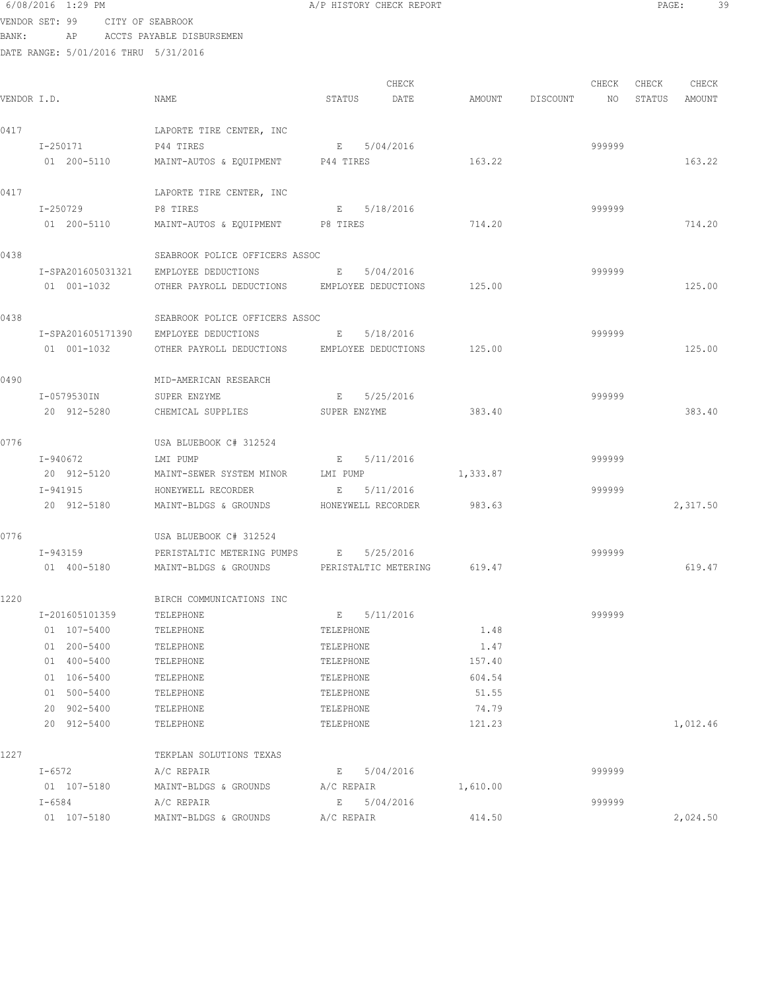| VENDOR SET: 99 |                | CITY OF SEABROOK |                                                                           |              |                             |          |                    |        |        |          |
|----------------|----------------|------------------|---------------------------------------------------------------------------|--------------|-----------------------------|----------|--------------------|--------|--------|----------|
| BANK:          |                |                  | AP ACCTS PAYABLE DISBURSEMEN                                              |              |                             |          |                    |        |        |          |
|                |                |                  | DATE RANGE: 5/01/2016 THRU 5/31/2016                                      |              |                             |          |                    |        |        |          |
|                |                |                  |                                                                           |              | CHECK                       |          |                    | CHECK  | CHECK  | CHECK    |
| VENDOR I.D.    |                |                  | NAME                                                                      | STATUS       | DATE                        |          | AMOUNT DISCOUNT NO |        | STATUS | AMOUNT   |
| 0417           |                |                  | LAPORTE TIRE CENTER, INC                                                  |              |                             |          |                    |        |        |          |
|                | I-250171       |                  | P44 TIRES                                                                 |              | E 5/04/2016                 |          |                    | 999999 |        |          |
|                | 01 200-5110    |                  | MAINT-AUTOS & EQUIPMENT P44 TIRES                                         |              |                             | 163.22   |                    |        |        | 163.22   |
| 0417           |                |                  | LAPORTE TIRE CENTER, INC                                                  |              |                             |          |                    |        |        |          |
|                | I-250729       |                  | P8 TIRES                                                                  | E            | 5/18/2016                   |          |                    | 999999 |        |          |
|                | 01 200-5110    |                  | MAINT-AUTOS & EQUIPMENT P8 TIRES                                          |              |                             | 714.20   |                    |        |        | 714.20   |
| 0438           |                |                  | SEABROOK POLICE OFFICERS ASSOC                                            |              |                             |          |                    |        |        |          |
|                |                |                  | I-SPA201605031321 EMPLOYEE DEDUCTIONS<br><b>Expanding Contract Except</b> |              | 5/04/2016                   |          |                    | 999999 |        |          |
|                |                | 01 001-1032      | OTHER PAYROLL DEDUCTIONS EMPLOYEE DEDUCTIONS                              |              |                             | 125.00   |                    |        |        | 125.00   |
| 0438           |                |                  | SEABROOK POLICE OFFICERS ASSOC                                            |              |                             |          |                    |        |        |          |
|                |                |                  | I-SPA201605171390 EMPLOYEE DEDUCTIONS                                     | $\mathbb{E}$ | 5/18/2016                   |          |                    | 999999 |        |          |
|                | 01 001-1032    |                  | OTHER PAYROLL DEDUCTIONS EMPLOYEE DEDUCTIONS                              |              |                             | 125.00   |                    |        |        | 125.00   |
| 0490           |                |                  | MID-AMERICAN RESEARCH                                                     |              |                             |          |                    |        |        |          |
|                | I-0579530IN    |                  | SUPER ENZYME                                                              |              | E 5/25/2016                 |          |                    | 999999 |        |          |
|                | 20 912-5280    |                  | CHEMICAL SUPPLIES SUPER ENZYME                                            |              |                             | 383.40   |                    |        |        | 383.40   |
| 0776           |                |                  | USA BLUEBOOK C# 312524                                                    |              |                             |          |                    |        |        |          |
|                | I-940672       |                  | LMI PUMP                                                                  |              | E 5/11/2016                 |          |                    | 999999 |        |          |
|                |                | 20 912-5120      | MAINT-SEWER SYSTEM MINOR LMI PUMP                                         |              |                             | 1,333.87 |                    |        |        |          |
|                | I-941915       |                  | HONEYWELL RECORDER                                                        |              | E 5/11/2016                 |          |                    | 999999 |        |          |
|                | 20 912-5180    |                  | MAINT-BLDGS & GROUNDS HONEYWELL RECORDER 983.63                           |              |                             |          |                    |        |        | 2,317.50 |
| 0776           |                |                  | USA BLUEBOOK C# 312524                                                    |              |                             |          |                    |        |        |          |
|                | I-943159       |                  | PERISTALTIC METERING PUMPS E                                              |              | 5/25/2016                   |          |                    | 999999 |        |          |
|                | 01 400-5180    |                  | MAINT-BLDGS & GROUNDS                                                     |              | PERISTALTIC METERING 619.47 |          |                    |        |        | 619.47   |
| 1220           |                |                  | BIRCH COMMUNICATIONS INC                                                  |              |                             |          |                    |        |        |          |
|                | I-201605101359 |                  | TELEPHONE                                                                 |              | E 5/11/2016                 |          |                    | 999999 |        |          |
|                | 01 107-5400    |                  | TELEPHONE                                                                 | TELEPHONE    |                             | 1.48     |                    |        |        |          |
|                | 01 200-5400    |                  | TELEPHONE                                                                 | TELEPHONE    |                             | 1.47     |                    |        |        |          |
|                | 01 400-5400    |                  | TELEPHONE                                                                 | TELEPHONE    |                             | 157.40   |                    |        |        |          |
|                | 01 106-5400    |                  | TELEPHONE                                                                 | TELEPHONE    |                             | 604.54   |                    |        |        |          |
|                | 01 500-5400    |                  | TELEPHONE                                                                 | TELEPHONE    |                             | 51.55    |                    |        |        |          |
|                | 20 902-5400    |                  | TELEPHONE                                                                 | TELEPHONE    |                             | 74.79    |                    |        |        |          |
|                | 20 912-5400    |                  | TELEPHONE                                                                 | TELEPHONE    |                             | 121.23   |                    |        |        | 1,012.46 |
| 1227           |                |                  | TEKPLAN SOLUTIONS TEXAS                                                   |              |                             |          |                    |        |        |          |
|                | I-6572         |                  | A/C REPAIR                                                                |              | E 5/04/2016                 |          |                    | 999999 |        |          |
|                | 01 107-5180    |                  | MAINT-BLDGS & GROUNDS                                                     |              | A/C REPAIR                  | 1,610.00 |                    |        |        |          |
|                | $I - 6584$     |                  | A/C REPAIR                                                                |              | E 5/04/2016                 |          |                    | 999999 |        |          |
|                | 01 107-5180    |                  | MAINT-BLDGS & GROUNDS                                                     | A/C REPAIR   |                             | 414.50   |                    |        |        | 2,024.50 |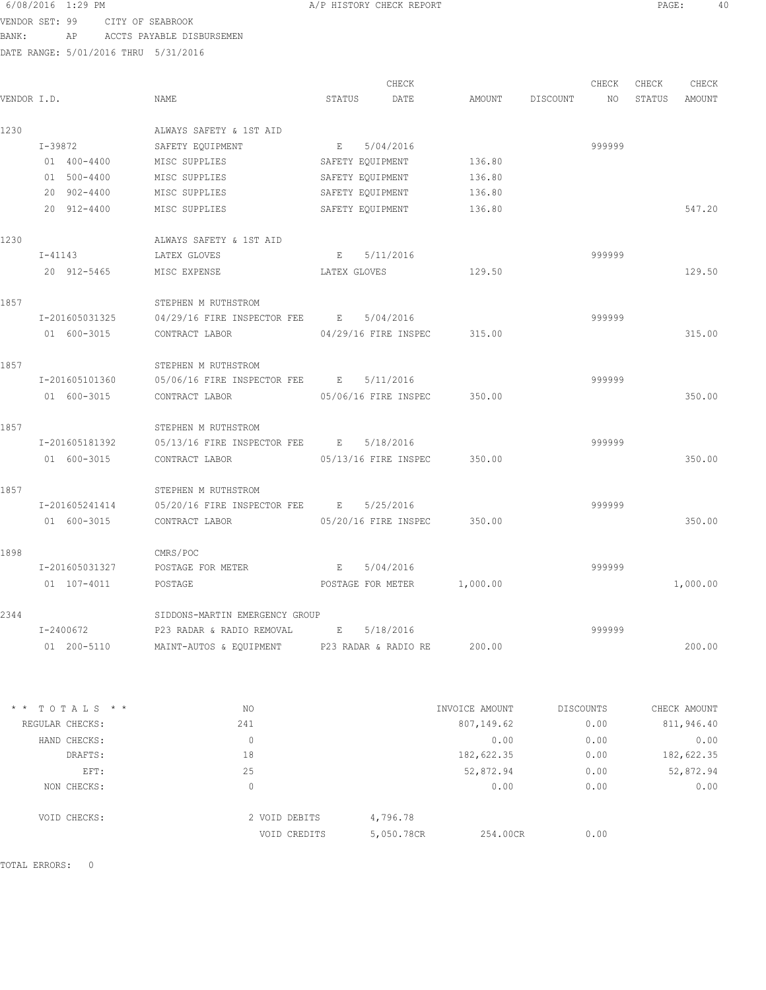### 6/08/2016 1:29 PM **A/P HISTORY CHECK REPORT PAGE:** 40 VENDOR SET: 99 CITY OF SEABROOK

BANK: AP ACCTS PAYABLE DISBURSEMEN

DATE RANGE: 5/01/2016 THRU 5/31/2016

|             |                |                                                     |                  | CHECK                       |          |          | CHECK  | CHECK  | CHECK    |
|-------------|----------------|-----------------------------------------------------|------------------|-----------------------------|----------|----------|--------|--------|----------|
| VENDOR I.D. |                | NAME                                                | STATUS           | DATE                        | AMOUNT   | DISCOUNT | NO.    | STATUS | AMOUNT   |
| 1230        |                | ALWAYS SAFETY & 1ST AID                             |                  |                             |          |          |        |        |          |
|             | I-39872        | SAFETY EQUIPMENT                                    | $E$ and $E$      | 5/04/2016                   |          |          | 999999 |        |          |
|             | 01 400-4400    | MISC SUPPLIES                                       | SAFETY EQUIPMENT |                             | 136.80   |          |        |        |          |
|             | 01 500-4400    | MISC SUPPLIES                                       | SAFETY EOUIPMENT |                             | 136.80   |          |        |        |          |
|             | 20 902-4400    | MISC SUPPLIES                                       | SAFETY EQUIPMENT |                             | 136.80   |          |        |        |          |
|             | 20 912-4400    | MISC SUPPLIES                                       | SAFETY EQUIPMENT |                             | 136.80   |          |        |        | 547.20   |
| 1230        |                | ALWAYS SAFETY & 1ST AID                             |                  |                             |          |          |        |        |          |
|             | $I - 41143$    | LATEX GLOVES                                        | E                | 5/11/2016                   |          |          | 999999 |        |          |
|             | 20 912-5465    | MISC EXPENSE                                        | LATEX GLOVES     |                             | 129.50   |          |        |        | 129.50   |
| 1857        |                | STEPHEN M RUTHSTROM                                 |                  |                             |          |          |        |        |          |
|             | I-201605031325 | 04/29/16 FIRE INSPECTOR FEE B                       |                  | 5/04/2016                   |          |          | 999999 |        |          |
|             | 01 600-3015    | CONTRACT LABOR                                      |                  | 04/29/16 FIRE INSPEC        | 315.00   |          |        |        | 315.00   |
| 1857        |                | STEPHEN M RUTHSTROM                                 |                  |                             |          |          |        |        |          |
|             | I-201605101360 | 05/06/16 FIRE INSPECTOR FEE B                       |                  | 5/11/2016                   |          |          | 999999 |        |          |
|             | 01 600-3015    | CONTRACT LABOR                                      |                  | 05/06/16 FIRE INSPEC        | 350.00   |          |        |        | 350.00   |
| 1857        |                | STEPHEN M RUTHSTROM                                 |                  |                             |          |          |        |        |          |
|             | I-201605181392 | 05/13/16 FIRE INSPECTOR FEE B 5/18/2016             |                  |                             |          |          | 999999 |        |          |
|             | 01 600-3015    | CONTRACT LABOR                                      |                  | 05/13/16 FIRE INSPEC        | 350.00   |          |        |        | 350.00   |
| 1857        |                | STEPHEN M RUTHSTROM                                 |                  |                             |          |          |        |        |          |
|             | I-201605241414 | 05/20/16 FIRE INSPECTOR FEE B 5/25/2016             |                  |                             |          |          | 999999 |        |          |
|             | 01 600-3015    | CONTRACT LABOR                                      |                  | 05/20/16 FIRE INSPEC 350.00 |          |          |        |        | 350.00   |
| 1898        |                | CMRS/POC                                            |                  |                             |          |          |        |        |          |
|             | I-201605031327 | POSTAGE FOR METER                                   | E 5/04/2016      |                             |          |          | 999999 |        |          |
|             | 01 107-4011    | POSTAGE                                             |                  | POSTAGE FOR METER           | 1,000.00 |          |        |        | 1,000.00 |
| 2344        |                | SIDDONS-MARTIN EMERGENCY GROUP                      |                  |                             |          |          |        |        |          |
|             | I-2400672      | P23 RADAR & RADIO REMOVAL                           | E                | 5/18/2016                   |          |          | 999999 |        |          |
|             | 01 200-5110    | MAINT-AUTOS & EQUIPMENT P23 RADAR & RADIO RE 200.00 |                  |                             |          |          |        |        | 200.00   |
|             |                |                                                     |                  |                             |          |          |        |        |          |

| $*$ * TOTALS * * | NO            | INVOICE AMOUNT         | DISCOUNTS | CHECK AMOUNT |
|------------------|---------------|------------------------|-----------|--------------|
| REGULAR CHECKS:  | 241           | 807,149.62             | 0.00      | 811,946.40   |
| HAND CHECKS:     | 0             | 0.00                   | 0.00      | 0.00         |
| DRAFTS:          | 18            | 182,622.35             | 0.00      | 182,622.35   |
| EFT:             | 25            | 52,872.94              | 0.00      | 52,872.94    |
| NON CHECKS:      | 0             | 0.00                   | 0.00      | 0.00         |
| VOID CHECKS:     | 2 VOID DEBITS | 4,796.78               |           |              |
|                  | VOID CREDITS  | 5,050.78CR<br>254.00CR | 0.00      |              |
|                  |               |                        |           |              |

TOTAL ERRORS: 0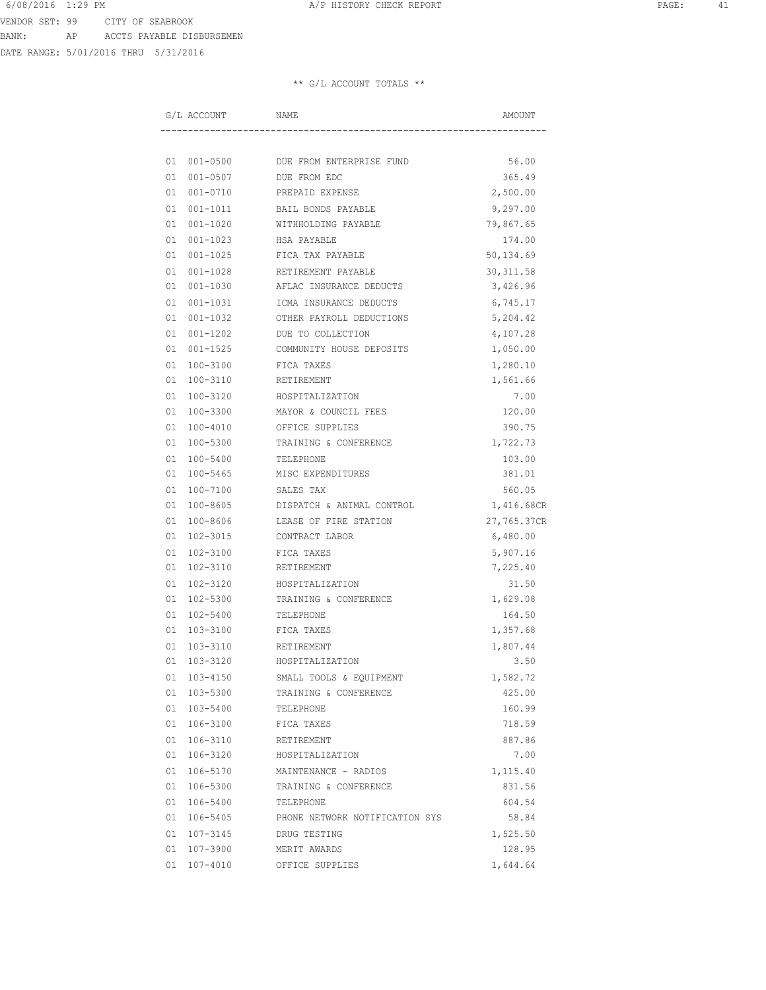DATE RANGE: 5/01/2016 THRU 5/31/2016

| G/L ACCOUNT    | NAME                                 | AMOUNT      |
|----------------|--------------------------------------|-------------|
|                |                                      |             |
|                | 01 001-0500 DUE FROM ENTERPRISE FUND | 56.00       |
| 01 001-0507    | DUE FROM EDC                         | 365.49      |
| 01 001-0710    | PREPAID EXPENSE                      | 2,500.00    |
| 01 001-1011    | BAIL BONDS PAYABLE                   | 9,297.00    |
| 01 001-1020    | WITHHOLDING PAYABLE                  | 79,867.65   |
| 01 001-1023    | HSA PAYABLE                          | 174.00      |
| 01 001-1025    | FICA TAX PAYABLE                     | 50,134.69   |
| 01 001-1028    | RETIREMENT PAYABLE                   | 30, 311.58  |
| 01 001-1030    | AFLAC INSURANCE DEDUCTS              | 3,426.96    |
| 01 001-1031    | ICMA INSURANCE DEDUCTS               | 6,745.17    |
| 01 001-1032    | OTHER PAYROLL DEDUCTIONS             | 5,204.42    |
| 01 001-1202    | DUE TO COLLECTION                    | 4,107.28    |
| 01 001-1525    | COMMUNITY HOUSE DEPOSITS             | 1,050.00    |
| 01 100-3100    | FICA TAXES                           | 1,280.10    |
| 01 100-3110    | RETIREMENT                           | 1,561.66    |
| 01 100-3120    | HOSPITALIZATION                      | 7.00        |
| 01 100-3300    | MAYOR & COUNCIL FEES                 | 120.00      |
| 01 100-4010    | OFFICE SUPPLIES                      | 390.75      |
| 01 100-5300    | TRAINING & CONFERENCE                | 1,722.73    |
| 01 100-5400    | TELEPHONE                            | 103.00      |
| 01 100-5465    | MISC EXPENDITURES                    | 381.01      |
| 01 100-7100    | SALES TAX                            | 560.05      |
| 01 100-8605    | DISPATCH & ANIMAL CONTROL            | 1,416.68CR  |
| 01 100-8606    | LEASE OF FIRE STATION                | 27,765.37CR |
| 01 102-3015    | CONTRACT LABOR                       | 6,480.00    |
| 01 102-3100    | FICA TAXES                           | 5,907.16    |
| 01 102-3110    | RETIREMENT                           | 7,225.40    |
| 01 102-3120    | HOSPITALIZATION                      | 31.50       |
| 01 102-5300    | TRAINING & CONFERENCE                | 1,629.08    |
| 01 102-5400    | TELEPHONE                            | 164.50      |
| 01 103-3100    | FICA TAXES                           | 1,357.68    |
| 103-3110<br>01 | RETIREMENT                           | 1,807.44    |
| 01 103-3120    | HOSPITALIZATION                      | 3.50        |
| 01 103-4150    | SMALL TOOLS & EQUIPMENT              | 1,582.72    |
| 01 103-5300    | TRAINING & CONFERENCE                | 425.00      |
| 01 103-5400    | TELEPHONE                            | 160.99      |
| 01 106-3100    | FICA TAXES                           | 718.59      |
| 01 106-3110    | RETIREMENT                           | 887.86      |
| 01 106-3120    | HOSPITALIZATION                      | 7.00        |
| 01 106-5170    | MAINTENANCE - RADIOS                 | 1,115.40    |
| 01 106-5300    | TRAINING & CONFERENCE                | 831.56      |
| 01 106-5400    | TELEPHONE                            | 604.54      |
| 01 106-5405    | PHONE NETWORK NOTIFICATION SYS       | 58.84       |
| 01 107-3145    | DRUG TESTING                         | 1,525.50    |
| 01 107-3900    | MERIT AWARDS                         | 128.95      |
| 01 107-4010    | OFFICE SUPPLIES                      | 1,644.64    |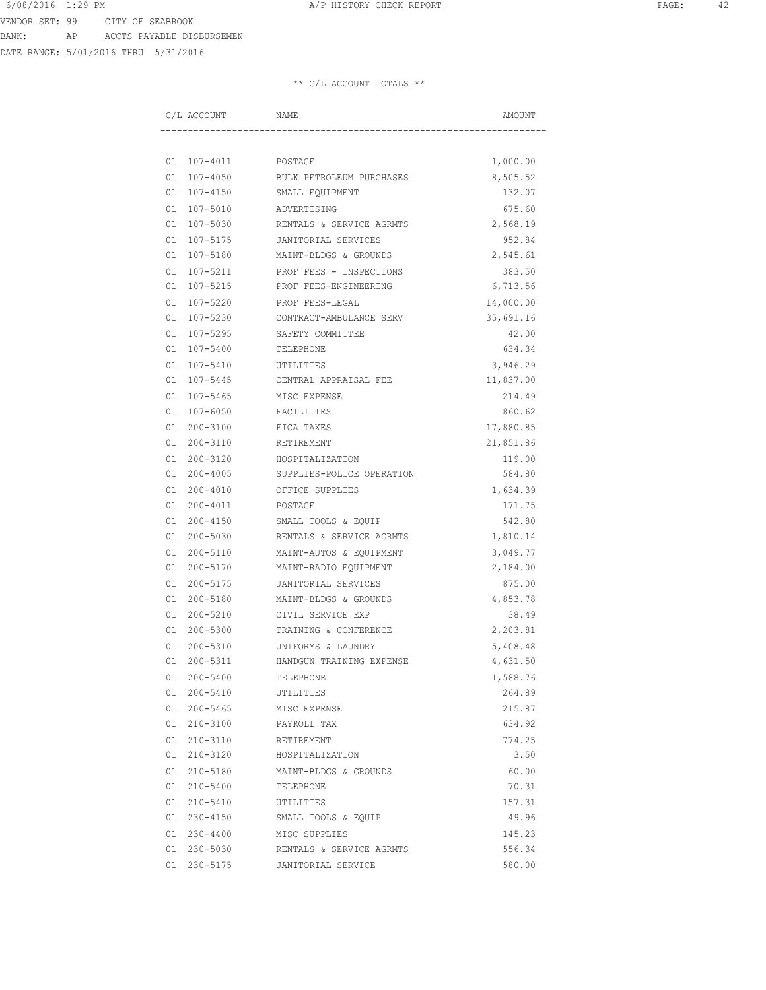DATE RANGE: 5/01/2016 THRU 5/31/2016

| G/L ACCOUNT         | NAME                      | AMOUNT    |
|---------------------|---------------------------|-----------|
|                     |                           |           |
| 01 107-4011 POSTAGE |                           | 1,000.00  |
| 01 107-4050         | BULK PETROLEUM PURCHASES  | 8,505.52  |
| 01 107-4150         | SMALL EQUIPMENT           | 132.07    |
| 01 107-5010         | ADVERTISING               | 675.60    |
| 01 107-5030         | RENTALS & SERVICE AGRMTS  | 2,568.19  |
| 01 107-5175         | JANITORIAL SERVICES       | 952.84    |
| 01 107-5180         | MAINT-BLDGS & GROUNDS     | 2,545.61  |
| 01 107-5211         | PROF FEES - INSPECTIONS   | 383.50    |
| 01 107-5215         | PROF FEES-ENGINEERING     | 6,713.56  |
| 01 107-5220         | PROF FEES-LEGAL           | 14,000.00 |
| 01 107-5230         | CONTRACT-AMBULANCE SERV   | 35,691.16 |
| 01 107-5295         | SAFETY COMMITTEE          | 42.00     |
| 01 107-5400         | TELEPHONE                 | 634.34    |
| 01 107-5410         | UTILITIES                 | 3,946.29  |
| 01 107-5445         | CENTRAL APPRAISAL FEE     | 11,837.00 |
| 01 107-5465         | MISC EXPENSE              | 214.49    |
| 01 107-6050         | FACILITIES                | 860.62    |
| 01 200-3100         | FICA TAXES                | 17,880.85 |
| 01 200-3110         | RETIREMENT                | 21,851.86 |
| 01 200-3120         | HOSPITALIZATION           | 119.00    |
| 01 200-4005         | SUPPLIES-POLICE OPERATION | 584.80    |
| 01 200-4010         | OFFICE SUPPLIES           | 1,634.39  |
| 01 200-4011         | POSTAGE                   | 171.75    |
| 01 200-4150         | SMALL TOOLS & EQUIP       | 542.80    |
| 01 200-5030         | RENTALS & SERVICE AGRMTS  | 1,810.14  |
| 01 200-5110         | MAINT-AUTOS & EQUIPMENT   | 3,049.77  |
| 01 200-5170         | MAINT-RADIO EQUIPMENT     | 2,184.00  |
| 01 200-5175         | JANITORIAL SERVICES       | 875.00    |
| 01 200-5180         | MAINT-BLDGS & GROUNDS     | 4,853.78  |
| 01 200-5210         | CIVIL SERVICE EXP         | 38.49     |
| 01 200-5300         | TRAINING & CONFERENCE     | 2,203.81  |
| 01 200-5310         | UNIFORMS & LAUNDRY        | 5,408.48  |
| 01 200-5311         | HANDGUN TRAINING EXPENSE  | 4,631.50  |
| 01 200-5400         | TELEPHONE                 | 1,588.76  |
| 01 200-5410         | UTILITIES                 | 264.89    |
| 01 200-5465         | MISC EXPENSE              | 215.87    |
| 01 210-3100         | PAYROLL TAX               | 634.92    |
| 01 210-3110         | RETIREMENT                | 774.25    |
| 01 210-3120         | HOSPITALIZATION           | 3.50      |
| 01 210-5180         | MAINT-BLDGS & GROUNDS     | 60.00     |
| 01 210-5400         | TELEPHONE                 | 70.31     |
| 01 210-5410         | UTILITIES                 | 157.31    |
| 01 230-4150         | SMALL TOOLS & EQUIP       | 49.96     |
| 01 230-4400         | MISC SUPPLIES             | 145.23    |
| 01 230-5030         | RENTALS & SERVICE AGRMTS  | 556.34    |
| 01 230-5175         | JANITORIAL SERVICE        | 580.00    |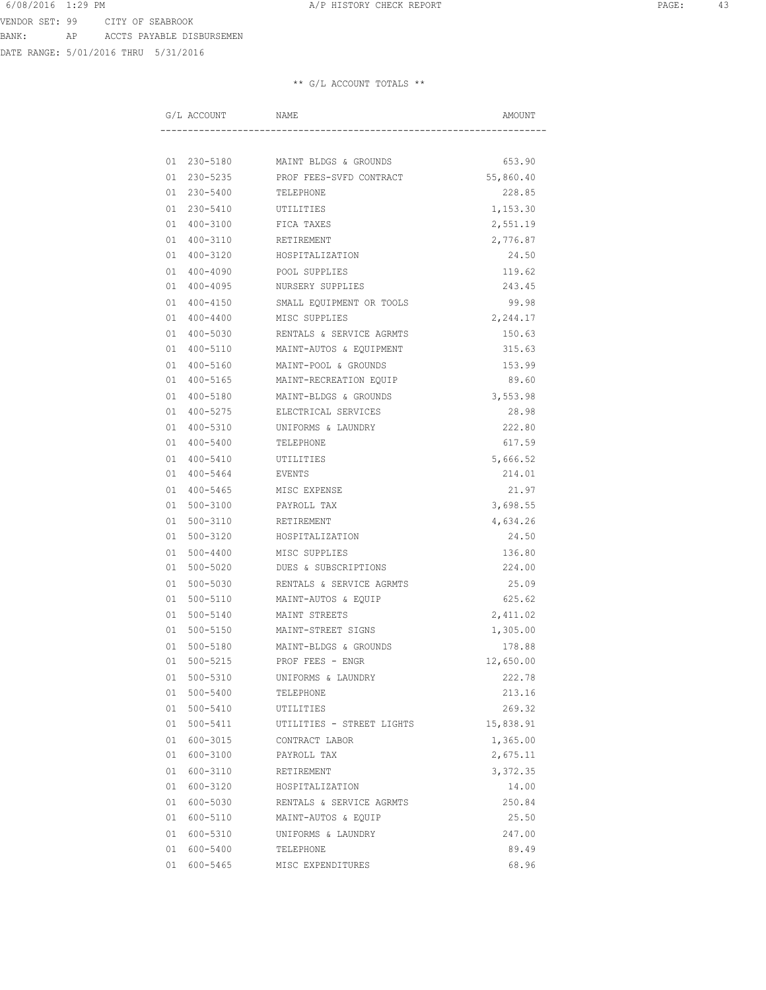DATE RANGE: 5/01/2016 THRU 5/31/2016

| G/L ACCOUNT    | NAME                              | AMOUNT    |
|----------------|-----------------------------------|-----------|
|                |                                   |           |
|                | 01 230-5180 MAINT BLDGS & GROUNDS | 653.90    |
| 01 230-5235    | PROF FEES-SVFD CONTRACT           | 55,860.40 |
| 01 230-5400    | TELEPHONE                         | 228.85    |
| 01 230-5410    | UTILITIES                         | 1,153.30  |
| 01 400-3100    | FICA TAXES                        | 2,551.19  |
| 01 400-3110    | RETIREMENT                        | 2,776.87  |
| 01 400-3120    | HOSPITALIZATION                   | 24.50     |
| 01 400-4090    | POOL SUPPLIES                     | 119.62    |
| 01 400-4095    | NURSERY SUPPLIES                  | 243.45    |
| 01 400-4150    | SMALL EQUIPMENT OR TOOLS          | 99.98     |
| 01 400-4400    | MISC SUPPLIES                     | 2,244.17  |
| 01 400-5030    | RENTALS & SERVICE AGRMTS          | 150.63    |
| 01 400-5110    | MAINT-AUTOS & EQUIPMENT           | 315.63    |
| 01 400-5160    | MAINT-POOL & GROUNDS              | 153.99    |
| 01 400-5165    | MAINT-RECREATION EQUIP            | 89.60     |
| 01 400-5180    | MAINT-BLDGS & GROUNDS             | 3,553.98  |
| 01 400-5275    | ELECTRICAL SERVICES               | 28.98     |
| 01 400-5310    | UNIFORMS & LAUNDRY                | 222.80    |
| 01 400-5400    | TELEPHONE                         | 617.59    |
| 01 400-5410    | UTILITIES                         | 5,666.52  |
| 01 400-5464    | EVENTS                            | 214.01    |
| 01 400-5465    | MISC EXPENSE                      | 21.97     |
| 01 500-3100    | PAYROLL TAX                       | 3,698.55  |
| 01 500-3110    | RETIREMENT                        | 4,634.26  |
| 01 500-3120    | HOSPITALIZATION                   | 24.50     |
| 01 500-4400    | MISC SUPPLIES                     | 136.80    |
| 01 500-5020    | DUES & SUBSCRIPTIONS              | 224.00    |
| 01 500-5030    | RENTALS & SERVICE AGRMTS          | 25.09     |
| 01 500-5110    | MAINT-AUTOS & EQUIP               | 625.62    |
| 500-5140<br>01 | MAINT STREETS                     | 2,411.02  |
| 01 500-5150    | MAINT-STREET SIGNS                | 1,305.00  |
| 01 500-5180    | MAINT-BLDGS & GROUNDS             | 178.88    |
| 01 500-5215    | PROF FEES - ENGR                  | 12,650.00 |
| 01 500-5310    | UNIFORMS & LAUNDRY                | 222.78    |
| 01 500-5400    | TELEPHONE                         | 213.16    |
| 01 500-5410    | UTILITIES                         | 269.32    |
| 01 500-5411    | UTILITIES - STREET LIGHTS         | 15,838.91 |
| 01 600-3015    | CONTRACT LABOR                    | 1,365.00  |
| 01 600-3100    | PAYROLL TAX                       | 2,675.11  |
| 01 600-3110    | RETIREMENT                        | 3,372.35  |
| 01 600-3120    | HOSPITALIZATION                   | 14.00     |
| 01 600-5030    | RENTALS & SERVICE AGRMTS          | 250.84    |
| 01 600-5110    | MAINT-AUTOS & EQUIP               | 25.50     |
| 01 600-5310    | UNIFORMS & LAUNDRY                | 247.00    |
| 01 600-5400    | TELEPHONE                         | 89.49     |
| 01 600-5465    | MISC EXPENDITURES                 | 68.96     |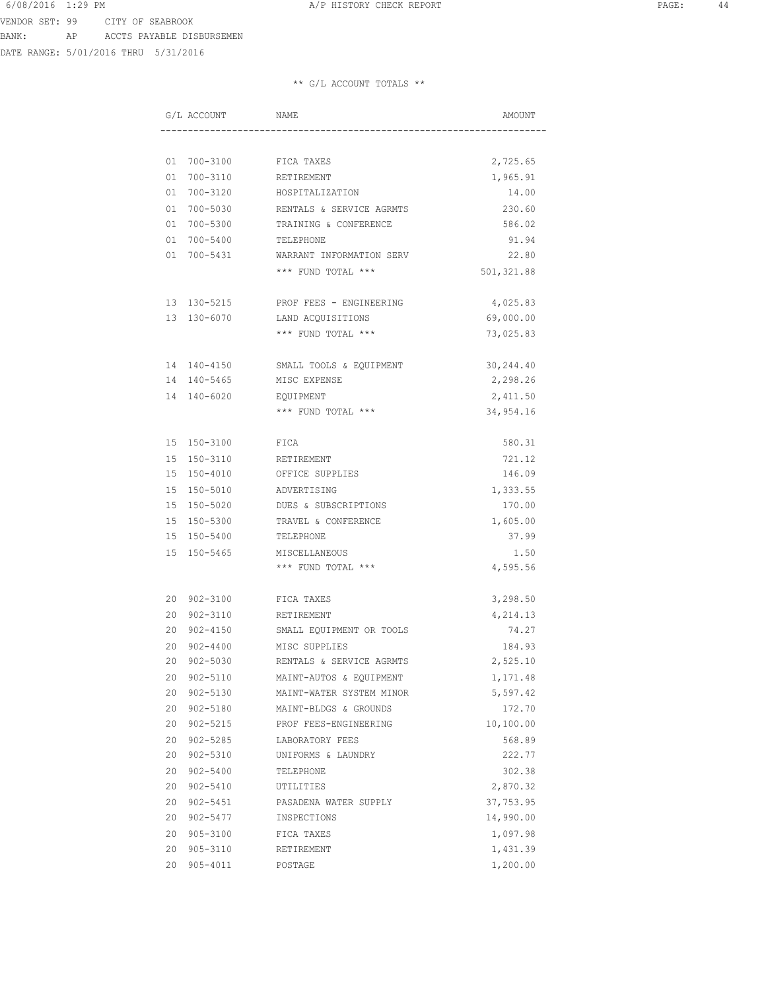DATE RANGE: 5/01/2016 THRU 5/31/2016

|           | G/L ACCOUNT             | NAME                                                | AMOUNT                |
|-----------|-------------------------|-----------------------------------------------------|-----------------------|
|           |                         |                                                     |                       |
|           |                         | 01 700-3100 FICA TAXES                              | 2,725.65              |
|           | 01 700-3110             | RETIREMENT                                          | 1,965.91              |
|           | 01 700-3120             | HOSPITALIZATION                                     | 14.00                 |
|           | 01 700-5030             | RENTALS & SERVICE AGRMTS                            | 230.60                |
|           | 01 700-5300             | TRAINING & CONFERENCE                               | 586.02                |
|           | 01 700-5400             | TELEPHONE                                           | 91.94                 |
|           | 01 700-5431             | WARRANT INFORMATION SERV                            | 22.80                 |
|           |                         | *** FUND TOTAL ***                                  | 501,321.88            |
|           |                         | 13 130-5215 PROF FEES - ENGINEERING                 |                       |
|           |                         | 13 130-6070 LAND ACQUISITIONS                       | 4,025.83<br>69,000.00 |
|           |                         |                                                     |                       |
|           |                         | *** FUND TOTAL ***                                  | 73,025.83             |
|           | 14 140-4150             | SMALL TOOLS & EQUIPMENT                             | 30,244.40             |
|           | 14 140-5465             | MISC EXPENSE                                        | 2,298.26              |
|           | 14 140-6020             | EQUIPMENT                                           | 2,411.50              |
|           |                         | *** FUND TOTAL ***                                  | 34,954.16             |
|           | 15 150-3100             | FICA                                                | 580.31                |
|           | 15 150-3110             | RETIREMENT                                          | 721.12                |
|           | 15 150-4010             | OFFICE SUPPLIES                                     | 146.09                |
|           | 15 150-5010             | ADVERTISING                                         | 1,333.55              |
|           | 15 150-5020             | DUES & SUBSCRIPTIONS                                | 170.00                |
|           | 15 150-5300             | TRAVEL & CONFERENCE                                 | 1,605.00              |
|           | 15 150-5400             | TELEPHONE                                           | 37.99                 |
|           | 15 150-5465             | MISCELLANEOUS                                       | 1.50                  |
|           |                         | *** FUND TOTAL ***                                  | 4,595.56              |
|           | 20 902-3100             | FICA TAXES                                          | 3,298.50              |
|           |                         |                                                     |                       |
|           | 20 902-3110             | RETIREMENT<br>SMALL EQUIPMENT OR TOOLS              | 4,214.13<br>74.27     |
|           | 20 902-4150             |                                                     |                       |
| 20<br>2.0 | 902-4400<br>902-5030    | MISC SUPPLIES                                       | 184.93<br>2,525.10    |
|           |                         | RENTALS & SERVICE AGRMTS                            |                       |
| 20        | 902-5110<br>20 902-5130 | MAINT-AUTOS & EQUIPMENT<br>MAINT-WATER SYSTEM MINOR | 1,171.48<br>5,597.42  |
|           | 20 902-5180             | MAINT-BLDGS & GROUNDS                               | 172.70                |
|           | 20 902-5215             | PROF FEES-ENGINEERING                               | 10,100.00             |
|           | 20 902-5285             | LABORATORY FEES                                     | 568.89                |
|           | 20 902-5310             | UNIFORMS & LAUNDRY                                  | 222.77                |
|           | 20 902-5400             | TELEPHONE                                           | 302.38                |
|           | 20 902-5410             | UTILITIES                                           | 2,870.32              |
|           | 20 902-5451             | PASADENA WATER SUPPLY                               | 37,753.95             |
|           | 20 902-5477             | INSPECTIONS                                         | 14,990.00             |
|           | 20 905-3100             | FICA TAXES                                          | 1,097.98              |
| 20        | 905-3110                | RETIREMENT                                          | 1,431.39              |
| 20        | 905-4011                | POSTAGE                                             | 1,200.00              |
|           |                         |                                                     |                       |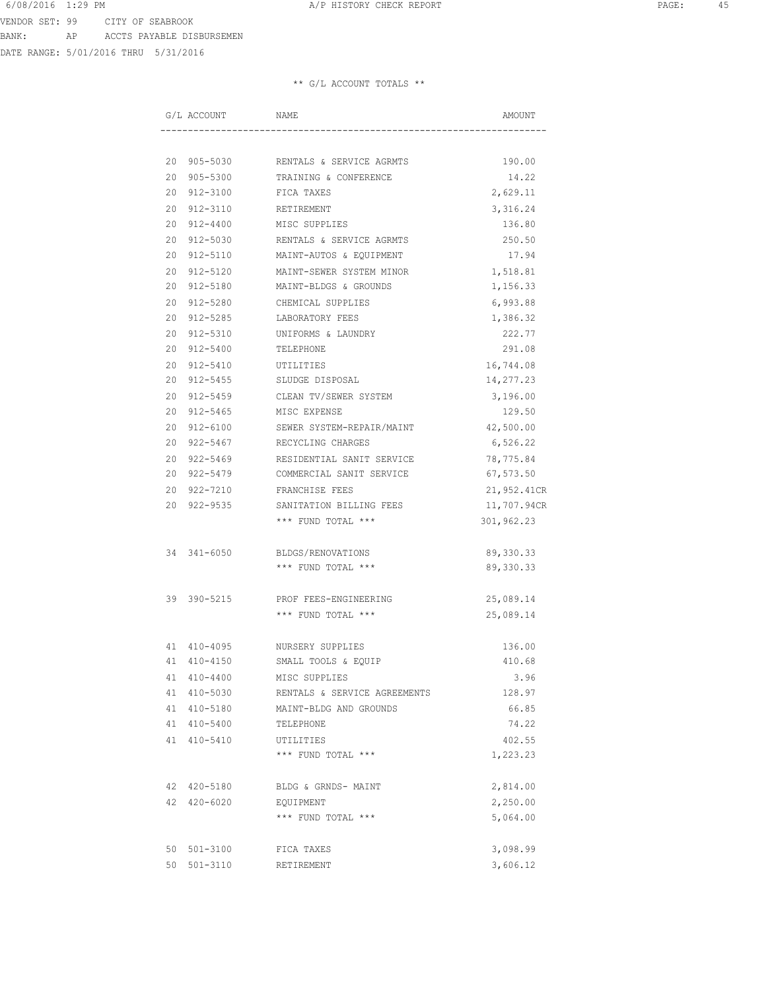DATE RANGE: 5/01/2016 THRU 5/31/2016

|  | G/L ACCOUNT     | NAME                                 | AMOUNT      |
|--|-----------------|--------------------------------------|-------------|
|  |                 |                                      |             |
|  |                 | 20 905-5030 RENTALS & SERVICE AGRMTS | 190.00      |
|  |                 | 20 905-5300 TRAINING & CONFERENCE    | 14.22       |
|  | 20 912-3100     | FICA TAXES                           | 2,629.11    |
|  | 20 912-3110     | RETIREMENT                           | 3,316.24    |
|  | 20 912-4400     | MISC SUPPLIES                        | 136.80      |
|  | 20 912-5030     | RENTALS & SERVICE AGRMTS             | 250.50      |
|  | 20 912-5110     | MAINT-AUTOS & EQUIPMENT              | 17.94       |
|  | 20 912-5120     | MAINT-SEWER SYSTEM MINOR             | 1,518.81    |
|  | 20 912-5180     | MAINT-BLDGS & GROUNDS                | 1,156.33    |
|  |                 | 20 912-5280 CHEMICAL SUPPLIES        | 6,993.88    |
|  |                 | 20 912-5285 LABORATORY FEES          | 1,386.32    |
|  |                 | 20 912-5310 UNIFORMS & LAUNDRY       | 222.77      |
|  |                 | 20 912-5400 TELEPHONE                | 291.08      |
|  | 20 912-5410     | UTILITIES                            | 16,744.08   |
|  | 20 912-5455     | SLUDGE DISPOSAL                      | 14,277.23   |
|  | 20 912-5459     | CLEAN TV/SEWER SYSTEM                | 3,196.00    |
|  | 20 912-5465     | MISC EXPENSE                         | 129.50      |
|  | 20 912-6100     | SEWER SYSTEM-REPAIR/MAINT            | 42,500.00   |
|  | 20 922-5467     | RECYCLING CHARGES                    | 6,526.22    |
|  | 20 922-5469     | RESIDENTIAL SANIT SERVICE            | 78,775.84   |
|  | 20 922-5479     | COMMERCIAL SANIT SERVICE             | 67,573.50   |
|  |                 | 20 922-7210 FRANCHISE FEES           | 21,952.41CR |
|  |                 | 20 922-9535 SANITATION BILLING FEES  | 11,707.94CR |
|  |                 | *** FUND TOTAL ***                   | 301,962.23  |
|  | 34 341-6050     | BLDGS/RENOVATIONS                    | 89, 330.33  |
|  |                 | *** FUND TOTAL ***                   | 89, 330.33  |
|  | 39 390-5215     | PROF FEES-ENGINEERING                | 25,089.14   |
|  |                 | *** FUND TOTAL ***                   | 25,089.14   |
|  | 41 410-4095     | NURSERY SUPPLIES                     | 136.00      |
|  | 41 410-4150     | SMALL TOOLS & EQUIP                  | 410.68      |
|  | 41 410-4400     | MISC SUPPLIES                        | 3.96        |
|  | 41 410-5030     | RENTALS & SERVICE AGREEMENTS         | 128.97      |
|  | 41 410-5180     | MAINT-BLDG AND GROUNDS               | 66.85       |
|  | 41 410-5400     | TELEPHONE                            | 74.22       |
|  | 41 410-5410     | UTILITIES                            | 402.55      |
|  |                 | *** FUND TOTAL ***                   | 1,223.23    |
|  | 42 420-5180     | BLDG & GRNDS- MAINT                  | 2,814.00    |
|  | $42.420 - 6020$ | EQUIPMENT                            | 2,250.00    |
|  |                 | *** FUND TOTAL ***                   | 5,064.00    |
|  | 50 501-3100     | FICA TAXES                           | 3,098.99    |
|  | 50 501-3110     | RETIREMENT                           | 3,606.12    |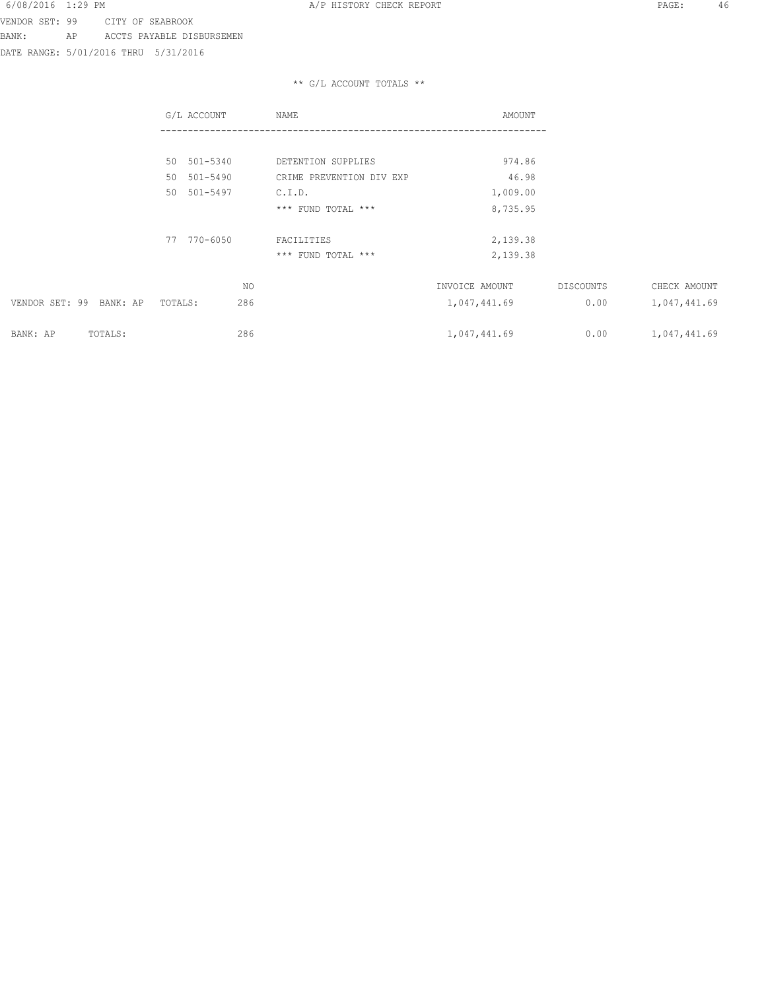DATE RANGE: 5/01/2016 THRU 5/31/2016

|                         | G/L ACCOUNT    | NAME                     | AMOUNT         |           |              |
|-------------------------|----------------|--------------------------|----------------|-----------|--------------|
|                         |                |                          |                |           |              |
|                         | 50 501-5340    | DETENTION SUPPLIES       | 974.86         |           |              |
|                         | 50 501-5490    | CRIME PREVENTION DIV EXP | 46.98          |           |              |
|                         | 501-5497<br>50 | C.I.D.                   | 1,009.00       |           |              |
|                         |                | *** FUND TOTAL ***       | 8,735.95       |           |              |
|                         | 770-6050<br>77 | FACILITIES               | 2,139.38       |           |              |
|                         |                | *** FUND TOTAL ***       | 2,139.38       |           |              |
|                         | NO             |                          | INVOICE AMOUNT | DISCOUNTS | CHECK AMOUNT |
| VENDOR SET: 99 BANK: AP | 286<br>TOTALS: |                          | 1,047,441.69   | 0.00      | 1,047,441.69 |
| BANK: AP<br>TOTALS:     | 286            |                          | 1,047,441.69   | 0.00      | 1,047,441.69 |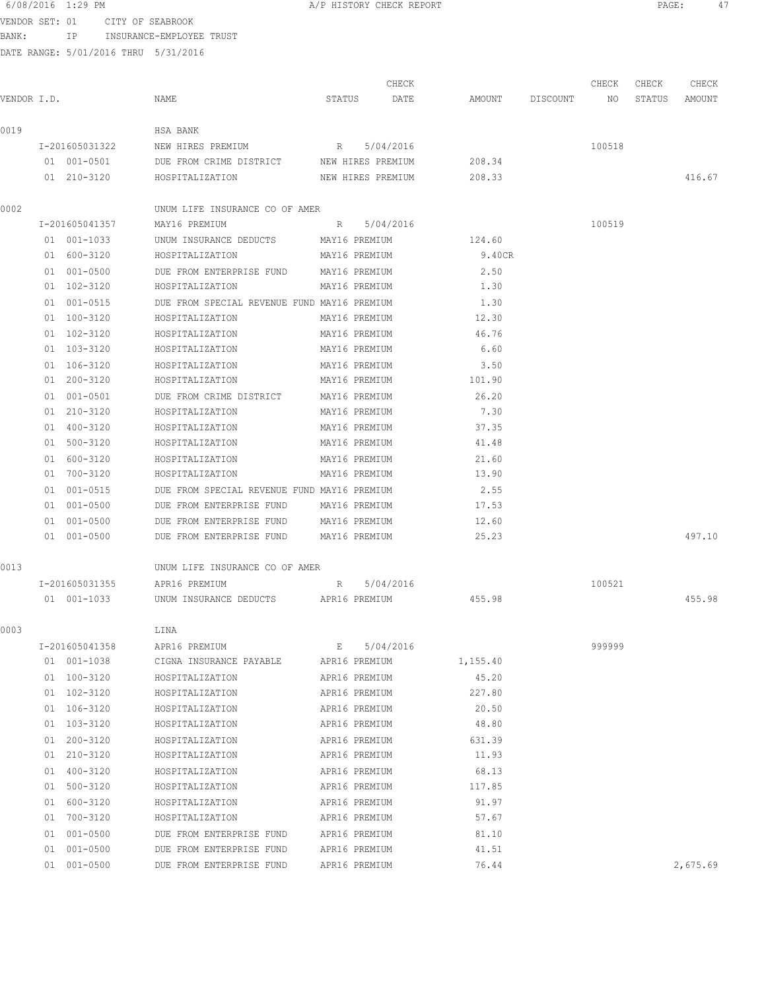VENDOR SET: 01 CITY OF SEABROOK

BANK: IP INSURANCE-EMPLOYEE TRUST

|             |                |                                                         |                               |               | CHECK       |          |                    | CHECK  | CHECK  | CHECK    |
|-------------|----------------|---------------------------------------------------------|-------------------------------|---------------|-------------|----------|--------------------|--------|--------|----------|
| VENDOR I.D. |                | NAME                                                    | STATUS                        |               | DATE        |          | AMOUNT DISCOUNT NO |        | STATUS | AMOUNT   |
| 0019        |                | HSA BANK                                                |                               |               |             |          |                    |        |        |          |
|             | I-201605031322 | NEW HIRES PREMIUM                                       |                               |               | R 5/04/2016 |          |                    | 100518 |        |          |
|             | 01 001-0501    | DUE FROM CRIME DISTRICT NEW HIRES PREMIUM               |                               |               |             | 208.34   |                    |        |        |          |
|             | 01 210-3120    | HOSPITALIZATION<br>NEW HIRES PREMIUM                    |                               |               |             | 208.33   |                    |        |        | 416.67   |
| 0002        |                | UNUM LIFE INSURANCE CO OF AMER                          |                               |               |             |          |                    |        |        |          |
|             | I-201605041357 | MAY16 PREMIUM R 5/04/2016                               |                               |               |             |          |                    | 100519 |        |          |
|             | 01 001-1033    | UNUM INSURANCE DEDUCTS MAY16 PREMIUM                    |                               |               |             | 124.60   |                    |        |        |          |
|             | 01 600-3120    | HOSPITALIZATION MAY16 PREMIUM                           |                               |               |             | 9.40CR   |                    |        |        |          |
|             | 01 001-0500    | DUE FROM ENTERPRISE FUND MAY16 PREMIUM                  |                               |               |             | 2.50     |                    |        |        |          |
|             | 01 102-3120    | HOSPITALIZATION<br>MAY16 PREMIUM                        |                               |               |             | 1.30     |                    |        |        |          |
|             | 01 001-0515    | DUE FROM SPECIAL REVENUE FUND MAY16 PREMIUM             |                               |               |             | 1.30     |                    |        |        |          |
|             | 01 100-3120    | HOSPITALIZATION                                         |                               | MAY16 PREMIUM |             | 12.30    |                    |        |        |          |
|             | 01 102-3120    | HOSPITALIZATION                                         |                               | MAY16 PREMIUM |             | 46.76    |                    |        |        |          |
|             | 01 103-3120    | HOSPITALIZATION                                         |                               | MAY16 PREMIUM |             | 6.60     |                    |        |        |          |
|             | 01 106-3120    | HOSPITALIZATION                                         |                               | MAY16 PREMIUM |             | 3.50     |                    |        |        |          |
|             | 01 200-3120    | HOSPITALIZATION                                         |                               | MAY16 PREMIUM |             | 101.90   |                    |        |        |          |
|             | 01 001-0501    | DUE FROM CRIME DISTRICT                                 |                               | MAY16 PREMIUM |             | 26.20    |                    |        |        |          |
|             | 01 210-3120    | HOSPITALIZATION                                         |                               | MAY16 PREMIUM |             | 7.30     |                    |        |        |          |
|             | 01 400-3120    | HOSPITALIZATION                                         |                               | MAY16 PREMIUM |             | 37.35    |                    |        |        |          |
|             | 01 500-3120    | HOSPITALIZATION                                         |                               | MAY16 PREMIUM |             | 41.48    |                    |        |        |          |
|             | 01 600-3120    | HOSPITALIZATION                                         |                               | MAY16 PREMIUM |             | 21.60    |                    |        |        |          |
|             | 01 700-3120    | HOSPITALIZATION                                         |                               | MAY16 PREMIUM |             | 13.90    |                    |        |        |          |
|             | 01 001-0515    | DUE FROM SPECIAL REVENUE FUND MAY16 PREMIUM             |                               |               |             | 2.55     |                    |        |        |          |
|             | 01 001-0500    | DUE FROM ENTERPRISE FUND                                |                               | MAY16 PREMIUM |             | 17.53    |                    |        |        |          |
|             | 01 001-0500    | DUE FROM ENTERPRISE FUND MAY16 PREMIUM                  |                               |               |             | 12.60    |                    |        |        |          |
|             | 01 001-0500    | DUE FROM ENTERPRISE FUND MAY16 PREMIUM                  |                               |               |             | 25.23    |                    |        |        | 497.10   |
|             |                |                                                         |                               |               |             |          |                    |        |        |          |
| 0013        |                | UNUM LIFE INSURANCE CO OF AMER                          |                               |               |             |          |                    |        |        |          |
|             |                | I-201605031355 APR16 PREMIUM                            | R                             |               | 5/04/2016   |          |                    | 100521 |        |          |
|             |                | 01 001-1033 UNUM INSURANCE DEDUCTS APR16 PREMIUM 455.98 |                               |               |             |          |                    |        |        | 455.98   |
| 0003        |                | LINA                                                    |                               |               |             |          |                    |        |        |          |
|             | I-201605041358 | APR16 PREMIUM                                           | $\mathbf{E}$ and $\mathbf{E}$ |               | 5/04/2016   |          |                    | 999999 |        |          |
|             | 01 001-1038    | CIGNA INSURANCE PAYABLE APR16 PREMIUM                   |                               |               |             | 1,155.40 |                    |        |        |          |
|             | 01 100-3120    | HOSPITALIZATION                                         |                               | APR16 PREMIUM |             | 45.20    |                    |        |        |          |
|             | 01 102-3120    | HOSPITALIZATION                                         |                               | APR16 PREMIUM |             | 227.80   |                    |        |        |          |
|             | 01 106-3120    | HOSPITALIZATION                                         |                               | APR16 PREMIUM |             | 20.50    |                    |        |        |          |
|             | 01 103-3120    | HOSPITALIZATION                                         |                               | APR16 PREMIUM |             | 48.80    |                    |        |        |          |
|             | 01 200-3120    | HOSPITALIZATION                                         |                               | APR16 PREMIUM |             | 631.39   |                    |        |        |          |
|             | 01 210-3120    | HOSPITALIZATION                                         |                               | APR16 PREMIUM |             | 11.93    |                    |        |        |          |
|             | 01 400-3120    | HOSPITALIZATION                                         |                               | APR16 PREMIUM |             | 68.13    |                    |        |        |          |
|             | 01 500-3120    | HOSPITALIZATION                                         |                               | APR16 PREMIUM |             | 117.85   |                    |        |        |          |
|             | 01 600-3120    | APR16 PREMIUM<br>HOSPITALIZATION                        |                               |               |             | 91.97    |                    |        |        |          |
|             | 01 700-3120    | HOSPITALIZATION<br>APR16 PREMIUM                        |                               |               |             | 57.67    |                    |        |        |          |
|             | 01 001-0500    | DUE FROM ENTERPRISE FUND APR16 PREMIUM                  |                               |               |             | 81.10    |                    |        |        |          |
|             | 01 001-0500    | DUE FROM ENTERPRISE FUND                                |                               | APR16 PREMIUM |             | 41.51    |                    |        |        |          |
|             | 01 001-0500    | DUE FROM ENTERPRISE FUND                                |                               | APR16 PREMIUM |             | 76.44    |                    |        |        | 2,675.69 |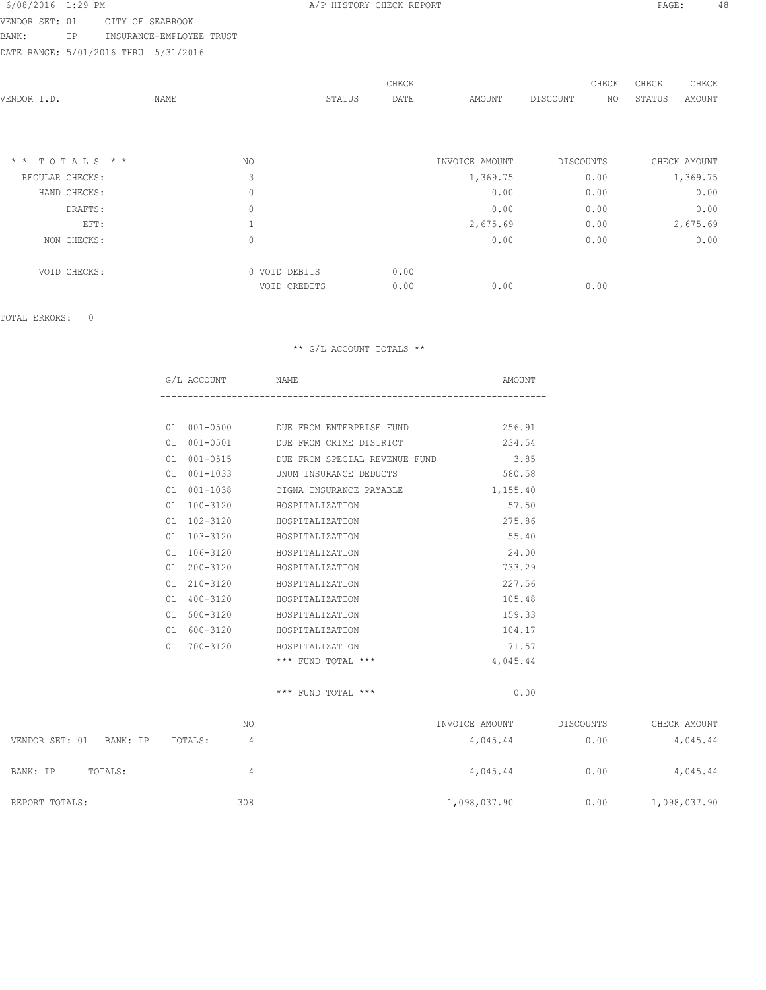VENDOR SET: 01 CITY OF SEABROOK

BANK: IP INSURANCE-EMPLOYEE TRUST

DATE RANGE: 5/01/2016 THRU 5/31/2016

| VENDOR I.D.      | NAME |                               | STATUS | CHECK<br>DATE | AMOUNT         | DISCOUNT  | CHECK<br>NO. | CHECK<br>STATUS | CHECK<br>AMOUNT |
|------------------|------|-------------------------------|--------|---------------|----------------|-----------|--------------|-----------------|-----------------|
| $*$ * TOTALS * * |      | NO                            |        |               | INVOICE AMOUNT | DISCOUNTS |              |                 | CHECK AMOUNT    |
| REGULAR CHECKS:  |      | 3                             |        |               | 1,369.75       | 0.00      |              |                 | 1,369.75        |
| HAND CHECKS:     |      | $\mathbf 0$                   |        |               | 0.00           | 0.00      |              |                 | 0.00            |
| DRAFTS:          |      | $\mathbf{0}$                  |        |               | 0.00           | 0.00      |              |                 | 0.00            |
| EFT:             |      |                               |        |               | 2,675.69       | 0.00      |              |                 | 2,675.69        |
| NON CHECKS:      |      | $\mathbb O$                   |        |               | 0.00           | 0.00      |              |                 | 0.00            |
| VOID CHECKS:     |      | 0 VOID DEBITS<br>VOID CREDITS |        | 0.00<br>0.00  | 0.00           | 0.00      |              |                 |                 |

TOTAL ERRORS: 0

#### \*\* G/L ACCOUNT TOTALS \*\*

|    | G/L ACCOUNT NAME |                                   | AMOUNT   |
|----|------------------|-----------------------------------|----------|
|    |                  |                                   |          |
| 01 |                  | 001-0500 DUE FROM ENTERPRISE FUND | 256.91   |
| 01 | $001 - 0501$     | DUE FROM CRIME DISTRICT           | 234.54   |
| 01 | $001 - 0515$     | DUE FROM SPECIAL REVENUE FUND     | 3.85     |
| 01 | $001 - 1033$     | UNUM INSURANCE DEDUCTS            | 580.58   |
| 01 | $001 - 1038$     | CIGNA INSURANCE PAYABLE           | 1,155.40 |
| 01 | 100-3120         | HOSPITALIZATION                   | 57.50    |
| 01 | 102-3120         | HOSPITALIZATION                   | 275.86   |
| 01 | 103-3120         | HOSPITALIZATION                   | 55.40    |
| 01 | $106 - 3120$     | HOSPITALIZATION                   | 24.00    |
| 01 | $200 - 3120$     | HOSPITALIZATION                   | 733.29   |
| 01 | $210 - 3120$     | HOSPITALIZATION                   | 227.56   |
| 01 | 400-3120         | HOSPITALIZATION                   | 105.48   |
| 01 | $500 - 3120$     | HOSPITALIZATION                   | 159.33   |
| 01 | 600-3120         | HOSPITALIZATION                   | 104.17   |
| 01 | 700-3120         | HOSPITALIZATION                   | 71.57    |
|    |                  | *** FUND TOTAL ***                | 4,045.44 |

\*\*\* FUND TOTAL \*\*\* 0.00

|                            | NO      | INVOICE AMOUNT | DISCOUNTS | CHECK AMOUNT |
|----------------------------|---------|----------------|-----------|--------------|
| VENDOR SET: 01<br>BANK: IP | TOTALS: | 4,045.44       | 0.00      | 4,045.44     |
| BANK: IP<br>TOTALS:        | 4       | 4,045.44       | 0.00      | 4,045.44     |
| REPORT TOTALS:             | 308     | 1,098,037.90   | 0.00      | 1,098,037.90 |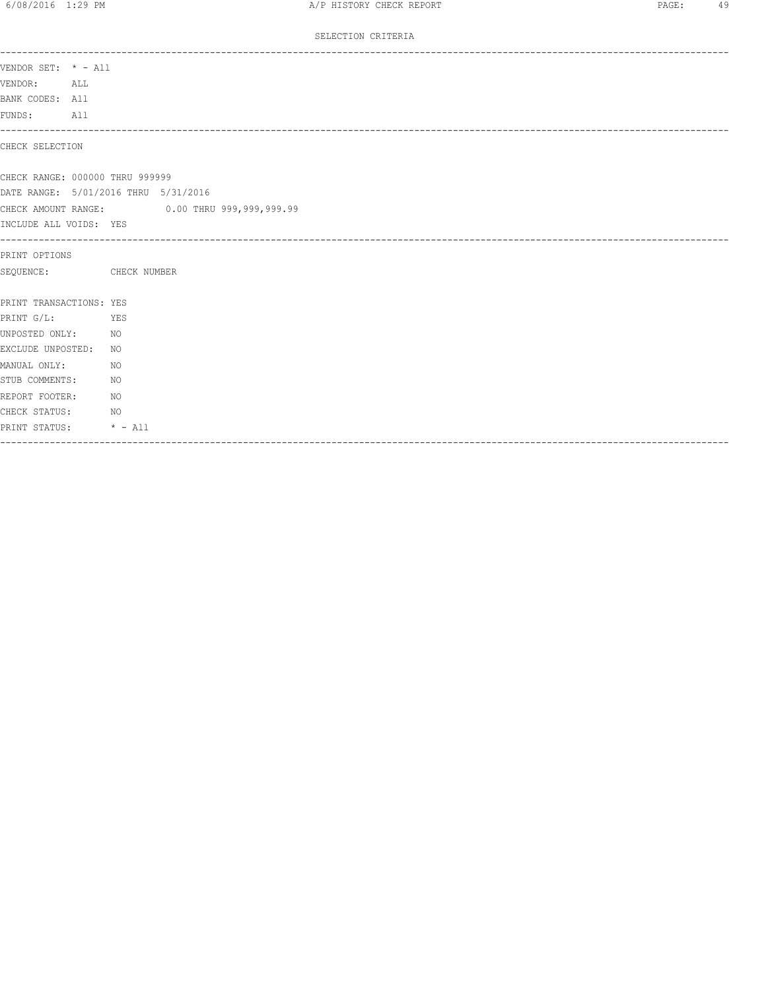SELECTION CRITERIA

| VENDOR SET: * - All     |                                              |
|-------------------------|----------------------------------------------|
| VENDOR:                 | ALL                                          |
| BANK CODES: All         |                                              |
| FUNDS: All              |                                              |
| CHECK SELECTION         | ------------------------------------         |
|                         | CHECK RANGE: 000000 THRU 999999              |
|                         | DATE RANGE: 5/01/2016 THRU 5/31/2016         |
|                         | CHECK AMOUNT RANGE: 0.00 THRU 999,999,999.99 |
| INCLUDE ALL VOIDS: YES  |                                              |
| ---------------------   |                                              |
| PRINT OPTIONS           |                                              |
|                         | SEQUENCE: CHECK NUMBER                       |
| PRINT TRANSACTIONS: YES |                                              |
| PRINT G/L:              | <b>EXERCITE</b> STREET                       |
| UNPOSTED ONLY: NO       |                                              |
| EXCLUDE UNPOSTED:       | NO                                           |
| MANUAL ONLY:            | NO.                                          |
| STUB COMMENTS:          | NO.                                          |
| REPORT FOOTER:          | NO <sub>N</sub>                              |
| CHECK STATUS:           | $N$ O                                        |
|                         | PRINT STATUS: * - All                        |
|                         |                                              |